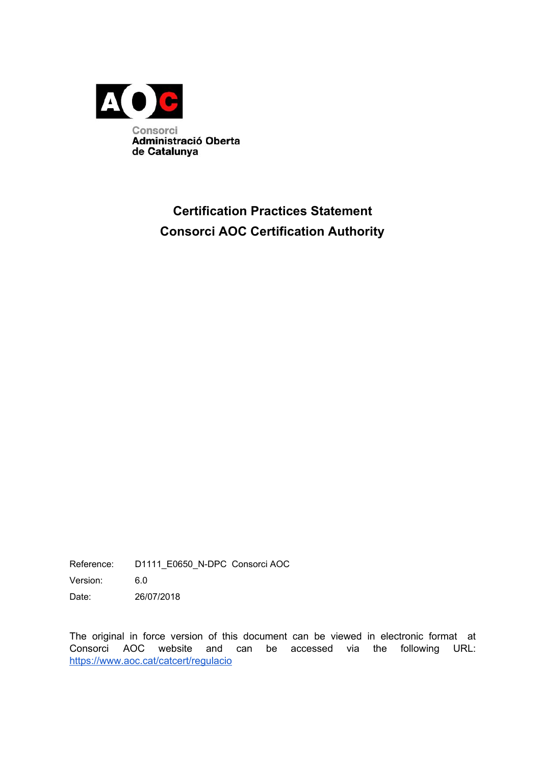

## **Certification Practices Statement Consorci AOC Certification Authority**

Reference: D1111\_E0650\_N-DPC Consorci AOC

Version: 6.0

Date: 26/07/2018

The original in force version of this document can be viewed in electronic format at Consorci AOC website and can be accessed via the following URL: <https://www.aoc.cat/catcert/regulacio>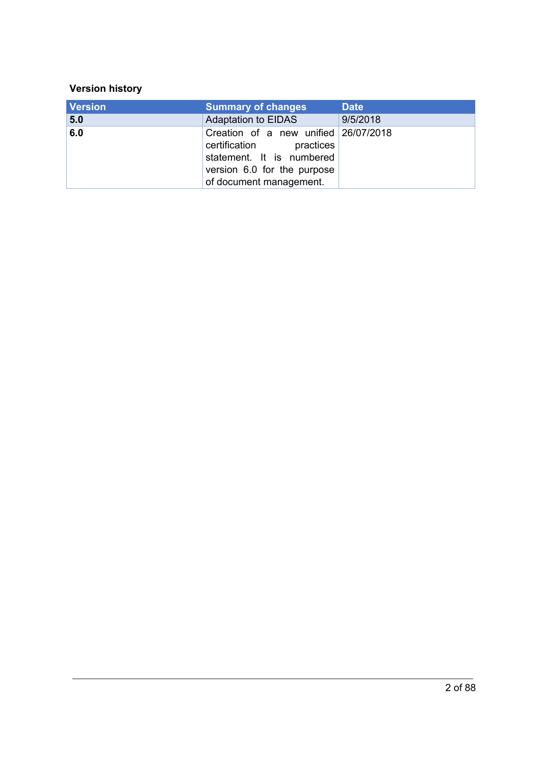#### **Version history**

| <b>Version</b> | <b>Summary of changes</b>                                                                                                                              | <b>Date</b> |
|----------------|--------------------------------------------------------------------------------------------------------------------------------------------------------|-------------|
| 5.0            | <b>Adaptation to EIDAS</b>                                                                                                                             | 9/5/2018    |
| 6.0            | Creation of a new unified 26/07/2018<br>certification practices<br>statement. It is numbered<br>version 6.0 for the purpose<br>of document management. |             |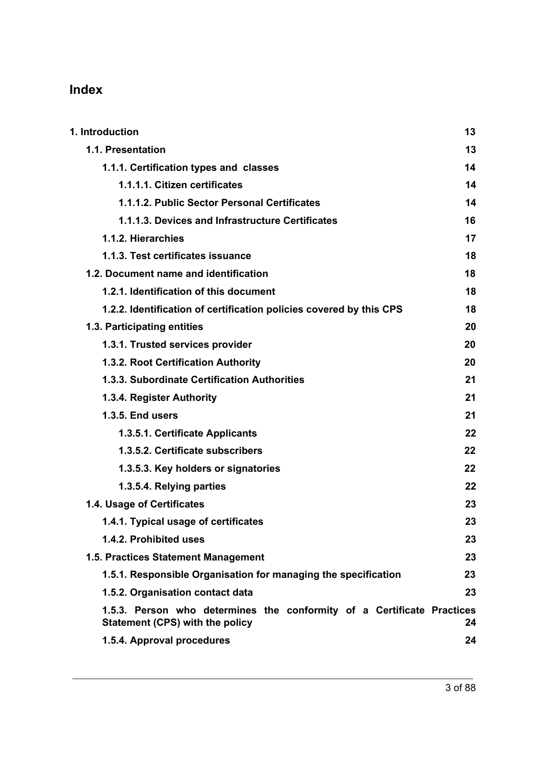## **Index**

| 1. Introduction                                                                                           | 13 |
|-----------------------------------------------------------------------------------------------------------|----|
| 1.1. Presentation                                                                                         | 13 |
| 1.1.1. Certification types and classes                                                                    | 14 |
| 1.1.1.1. Citizen certificates                                                                             | 14 |
| 1.1.1.2. Public Sector Personal Certificates                                                              | 14 |
| 1.1.1.3. Devices and Infrastructure Certificates                                                          | 16 |
| 1.1.2. Hierarchies                                                                                        | 17 |
| 1.1.3. Test certificates issuance                                                                         | 18 |
| 1.2. Document name and identification                                                                     | 18 |
| 1.2.1. Identification of this document                                                                    | 18 |
| 1.2.2. Identification of certification policies covered by this CPS                                       | 18 |
| 1.3. Participating entities                                                                               | 20 |
| 1.3.1. Trusted services provider                                                                          | 20 |
| 1.3.2. Root Certification Authority                                                                       | 20 |
| 1.3.3. Subordinate Certification Authorities                                                              | 21 |
| 1.3.4. Register Authority                                                                                 | 21 |
| <b>1.3.5. End users</b>                                                                                   | 21 |
| 1.3.5.1. Certificate Applicants                                                                           | 22 |
| 1.3.5.2. Certificate subscribers                                                                          | 22 |
| 1.3.5.3. Key holders or signatories                                                                       | 22 |
| 1.3.5.4. Relying parties                                                                                  | 22 |
| 1.4. Usage of Certificates                                                                                | 23 |
| 1.4.1. Typical usage of certificates                                                                      | 23 |
| 1.4.2. Prohibited uses                                                                                    | 23 |
| 1.5. Practices Statement Management                                                                       | 23 |
| 1.5.1. Responsible Organisation for managing the specification                                            | 23 |
| 1.5.2. Organisation contact data                                                                          | 23 |
| 1.5.3. Person who determines the conformity of a Certificate Practices<br>Statement (CPS) with the policy | 24 |
| 1.5.4. Approval procedures                                                                                | 24 |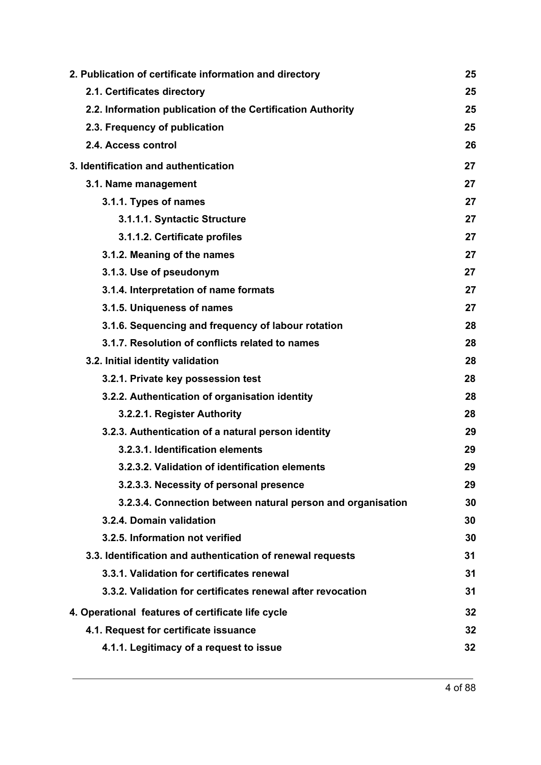| 2. Publication of certificate information and directory     | 25 |
|-------------------------------------------------------------|----|
| 2.1. Certificates directory                                 | 25 |
| 2.2. Information publication of the Certification Authority | 25 |
| 2.3. Frequency of publication                               | 25 |
| 2.4. Access control                                         | 26 |
| 3. Identification and authentication                        | 27 |
| 3.1. Name management                                        | 27 |
| 3.1.1. Types of names                                       | 27 |
| 3.1.1.1. Syntactic Structure                                | 27 |
| 3.1.1.2. Certificate profiles                               | 27 |
| 3.1.2. Meaning of the names                                 | 27 |
| 3.1.3. Use of pseudonym                                     | 27 |
| 3.1.4. Interpretation of name formats                       | 27 |
| 3.1.5. Uniqueness of names                                  | 27 |
| 3.1.6. Sequencing and frequency of labour rotation          | 28 |
| 3.1.7. Resolution of conflicts related to names             | 28 |
| 3.2. Initial identity validation                            | 28 |
| 3.2.1. Private key possession test                          | 28 |
| 3.2.2. Authentication of organisation identity              | 28 |
| 3.2.2.1. Register Authority                                 | 28 |
| 3.2.3. Authentication of a natural person identity          | 29 |
| 3.2.3.1. Identification elements                            | 29 |
| 3.2.3.2. Validation of identification elements              | 29 |
| 3.2.3.3. Necessity of personal presence                     | 29 |
| 3.2.3.4. Connection between natural person and organisation | 30 |
| 3.2.4. Domain validation                                    | 30 |
| 3.2.5. Information not verified                             | 30 |
| 3.3. Identification and authentication of renewal requests  | 31 |
| 3.3.1. Validation for certificates renewal                  | 31 |
| 3.3.2. Validation for certificates renewal after revocation | 31 |
| 4. Operational features of certificate life cycle           | 32 |
| 4.1. Request for certificate issuance                       | 32 |
| 4.1.1. Legitimacy of a request to issue                     | 32 |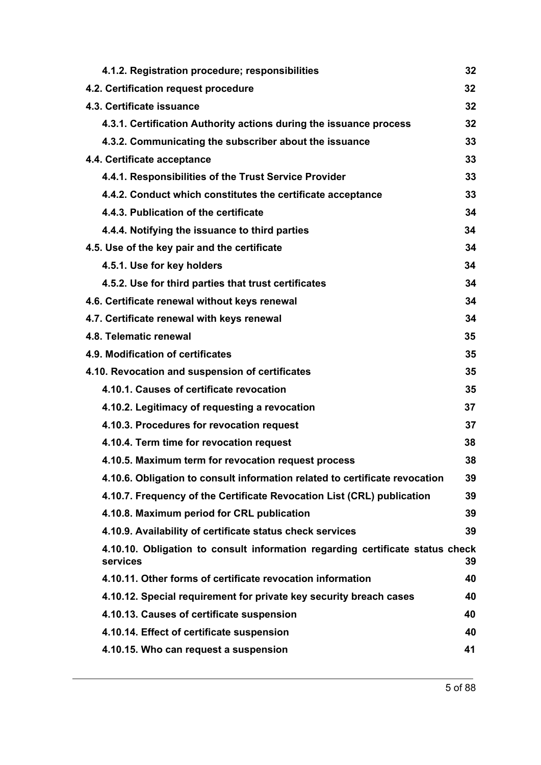| 4.1.2. Registration procedure; responsibilities                                           | 32 |
|-------------------------------------------------------------------------------------------|----|
| 4.2. Certification request procedure                                                      | 32 |
| 4.3. Certificate issuance                                                                 | 32 |
| 4.3.1. Certification Authority actions during the issuance process                        | 32 |
| 4.3.2. Communicating the subscriber about the issuance                                    | 33 |
| 4.4. Certificate acceptance                                                               | 33 |
| 4.4.1. Responsibilities of the Trust Service Provider                                     | 33 |
| 4.4.2. Conduct which constitutes the certificate acceptance                               | 33 |
| 4.4.3. Publication of the certificate                                                     | 34 |
| 4.4.4. Notifying the issuance to third parties                                            | 34 |
| 4.5. Use of the key pair and the certificate                                              | 34 |
| 4.5.1. Use for key holders                                                                | 34 |
| 4.5.2. Use for third parties that trust certificates                                      | 34 |
| 4.6. Certificate renewal without keys renewal                                             | 34 |
| 4.7. Certificate renewal with keys renewal                                                | 34 |
| 4.8. Telematic renewal                                                                    | 35 |
| 4.9. Modification of certificates                                                         | 35 |
| 4.10. Revocation and suspension of certificates                                           | 35 |
| 4.10.1. Causes of certificate revocation                                                  | 35 |
| 4.10.2. Legitimacy of requesting a revocation                                             | 37 |
| 4.10.3. Procedures for revocation request                                                 | 37 |
| 4.10.4. Term time for revocation request                                                  | 38 |
| 4.10.5. Maximum term for revocation request process                                       | 38 |
| 4.10.6. Obligation to consult information related to certificate revocation               | 39 |
| 4.10.7. Frequency of the Certificate Revocation List (CRL) publication                    | 39 |
| 4.10.8. Maximum period for CRL publication                                                | 39 |
| 4.10.9. Availability of certificate status check services                                 | 39 |
| 4.10.10. Obligation to consult information regarding certificate status check<br>services | 39 |
| 4.10.11. Other forms of certificate revocation information                                | 40 |
| 4.10.12. Special requirement for private key security breach cases                        | 40 |
| 4.10.13. Causes of certificate suspension                                                 | 40 |
| 4.10.14. Effect of certificate suspension                                                 | 40 |
| 4.10.15. Who can request a suspension                                                     | 41 |
|                                                                                           |    |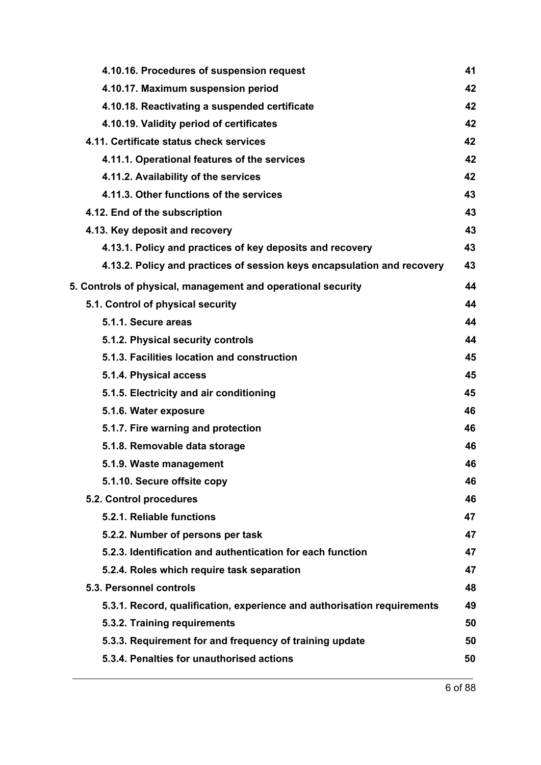| 4.10.16. Procedures of suspension request                               | 41 |
|-------------------------------------------------------------------------|----|
| 4.10.17. Maximum suspension period                                      | 42 |
| 4.10.18. Reactivating a suspended certificate                           | 42 |
| 4.10.19. Validity period of certificates                                | 42 |
| 4.11. Certificate status check services                                 | 42 |
| 4.11.1. Operational features of the services                            | 42 |
| 4.11.2. Availability of the services                                    | 42 |
| 4.11.3. Other functions of the services                                 | 43 |
| 4.12. End of the subscription                                           | 43 |
| 4.13. Key deposit and recovery                                          | 43 |
| 4.13.1. Policy and practices of key deposits and recovery               | 43 |
| 4.13.2. Policy and practices of session keys encapsulation and recovery | 43 |
| 5. Controls of physical, management and operational security            | 44 |
| 5.1. Control of physical security                                       | 44 |
| 5.1.1. Secure areas                                                     | 44 |
| 5.1.2. Physical security controls                                       | 44 |
| 5.1.3. Facilities location and construction                             | 45 |
| 5.1.4. Physical access                                                  | 45 |
| 5.1.5. Electricity and air conditioning                                 | 45 |
| 5.1.6. Water exposure                                                   | 46 |
| 5.1.7. Fire warning and protection                                      | 46 |
| 5.1.8. Removable data storage                                           | 46 |
| 5.1.9. Waste management                                                 | 46 |
| 5.1.10. Secure offsite copy                                             | 46 |
| 5.2. Control procedures                                                 | 46 |
| 5.2.1. Reliable functions                                               | 47 |
| 5.2.2. Number of persons per task                                       | 47 |
| 5.2.3. Identification and authentication for each function              | 47 |
| 5.2.4. Roles which require task separation                              | 47 |
| 5.3. Personnel controls                                                 | 48 |
| 5.3.1. Record, qualification, experience and authorisation requirements | 49 |
| 5.3.2. Training requirements                                            | 50 |
| 5.3.3. Requirement for and frequency of training update                 | 50 |
| 5.3.4. Penalties for unauthorised actions                               | 50 |
|                                                                         |    |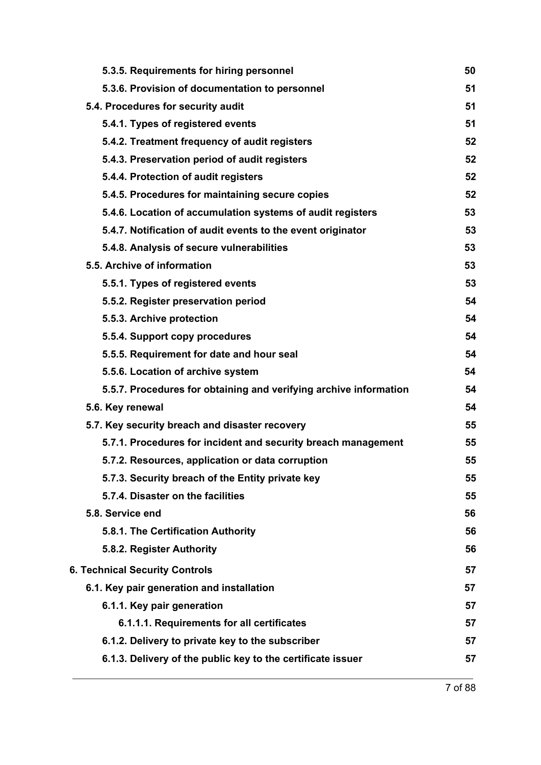| 5.3.5. Requirements for hiring personnel                          | 50 |
|-------------------------------------------------------------------|----|
| 5.3.6. Provision of documentation to personnel                    | 51 |
| 5.4. Procedures for security audit                                | 51 |
| 5.4.1. Types of registered events                                 | 51 |
| 5.4.2. Treatment frequency of audit registers                     | 52 |
| 5.4.3. Preservation period of audit registers                     | 52 |
| 5.4.4. Protection of audit registers                              | 52 |
| 5.4.5. Procedures for maintaining secure copies                   | 52 |
| 5.4.6. Location of accumulation systems of audit registers        | 53 |
| 5.4.7. Notification of audit events to the event originator       | 53 |
| 5.4.8. Analysis of secure vulnerabilities                         | 53 |
| 5.5. Archive of information                                       | 53 |
| 5.5.1. Types of registered events                                 | 53 |
| 5.5.2. Register preservation period                               | 54 |
| 5.5.3. Archive protection                                         | 54 |
| 5.5.4. Support copy procedures                                    | 54 |
| 5.5.5. Requirement for date and hour seal                         | 54 |
| 5.5.6. Location of archive system                                 | 54 |
| 5.5.7. Procedures for obtaining and verifying archive information | 54 |
| 5.6. Key renewal                                                  | 54 |
| 5.7. Key security breach and disaster recovery                    | 55 |
| 5.7.1. Procedures for incident and security breach management     | 55 |
| 5.7.2. Resources, application or data corruption                  | 55 |
| 5.7.3. Security breach of the Entity private key                  | 55 |
| 5.7.4. Disaster on the facilities                                 | 55 |
| 5.8. Service end                                                  | 56 |
| 5.8.1. The Certification Authority                                | 56 |
| 5.8.2. Register Authority                                         | 56 |
| <b>6. Technical Security Controls</b>                             | 57 |
| 6.1. Key pair generation and installation                         | 57 |
| 6.1.1. Key pair generation                                        | 57 |
| 6.1.1.1. Requirements for all certificates                        | 57 |
| 6.1.2. Delivery to private key to the subscriber                  | 57 |
| 6.1.3. Delivery of the public key to the certificate issuer       | 57 |
|                                                                   |    |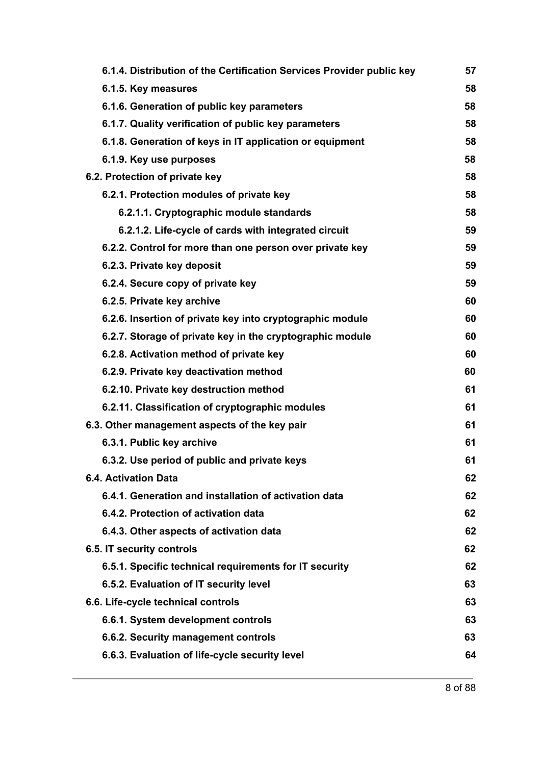|                                                                       | 57 |
|-----------------------------------------------------------------------|----|
| 6.1.4. Distribution of the Certification Services Provider public key | 58 |
| 6.1.5. Key measures<br>6.1.6. Generation of public key parameters     | 58 |
|                                                                       | 58 |
| 6.1.7. Quality verification of public key parameters                  |    |
| 6.1.8. Generation of keys in IT application or equipment              | 58 |
| 6.1.9. Key use purposes                                               | 58 |
| 6.2. Protection of private key                                        | 58 |
| 6.2.1. Protection modules of private key                              | 58 |
| 6.2.1.1. Cryptographic module standards                               | 58 |
| 6.2.1.2. Life-cycle of cards with integrated circuit                  | 59 |
| 6.2.2. Control for more than one person over private key              | 59 |
| 6.2.3. Private key deposit                                            | 59 |
| 6.2.4. Secure copy of private key                                     | 59 |
| 6.2.5. Private key archive                                            | 60 |
| 6.2.6. Insertion of private key into cryptographic module             | 60 |
| 6.2.7. Storage of private key in the cryptographic module             | 60 |
| 6.2.8. Activation method of private key                               | 60 |
| 6.2.9. Private key deactivation method                                | 60 |
| 6.2.10. Private key destruction method                                | 61 |
| 6.2.11. Classification of cryptographic modules                       | 61 |
| 6.3. Other management aspects of the key pair                         | 61 |
| 6.3.1. Public key archive                                             | 61 |
| 6.3.2. Use period of public and private keys                          | 61 |
| <b>6.4. Activation Data</b>                                           | 62 |
| 6.4.1. Generation and installation of activation data                 | 62 |
| 6.4.2. Protection of activation data                                  | 62 |
| 6.4.3. Other aspects of activation data                               | 62 |
| 6.5. IT security controls                                             | 62 |
| 6.5.1. Specific technical requirements for IT security                | 62 |
| 6.5.2. Evaluation of IT security level                                | 63 |
| 6.6. Life-cycle technical controls                                    | 63 |
| 6.6.1. System development controls                                    | 63 |
| 6.6.2. Security management controls                                   | 63 |
| 6.6.3. Evaluation of life-cycle security level                        | 64 |
|                                                                       |    |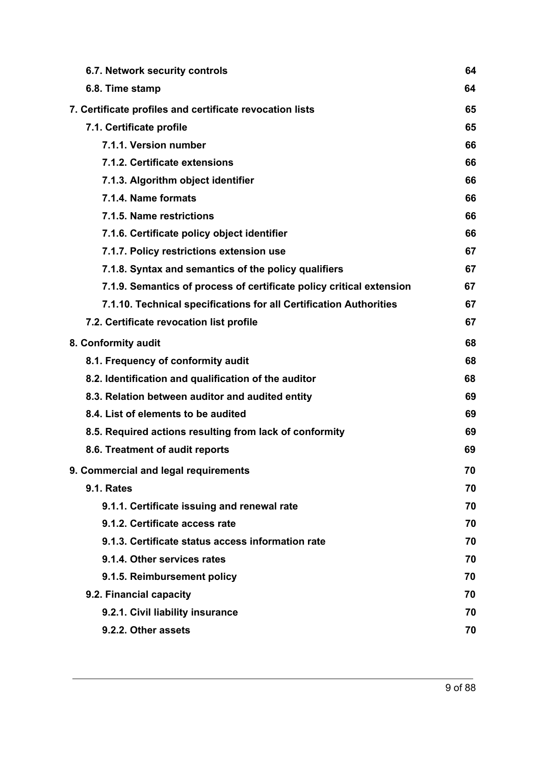| 6.7. Network security controls                                       | 64 |
|----------------------------------------------------------------------|----|
| 6.8. Time stamp                                                      | 64 |
| 7. Certificate profiles and certificate revocation lists             | 65 |
| 7.1. Certificate profile                                             | 65 |
| 7.1.1. Version number                                                | 66 |
| 7.1.2. Certificate extensions                                        | 66 |
| 7.1.3. Algorithm object identifier                                   | 66 |
| 7.1.4. Name formats                                                  | 66 |
| 7.1.5. Name restrictions                                             | 66 |
| 7.1.6. Certificate policy object identifier                          | 66 |
| 7.1.7. Policy restrictions extension use                             | 67 |
| 7.1.8. Syntax and semantics of the policy qualifiers                 | 67 |
| 7.1.9. Semantics of process of certificate policy critical extension | 67 |
| 7.1.10. Technical specifications for all Certification Authorities   | 67 |
| 7.2. Certificate revocation list profile                             | 67 |
| 8. Conformity audit                                                  | 68 |
| 8.1. Frequency of conformity audit                                   | 68 |
| 8.2. Identification and qualification of the auditor                 | 68 |
| 8.3. Relation between auditor and audited entity                     | 69 |
| 8.4. List of elements to be audited                                  | 69 |
| 8.5. Required actions resulting from lack of conformity              | 69 |
| 8.6. Treatment of audit reports                                      | 69 |
| 9. Commercial and legal requirements                                 | 70 |
| <b>9.1. Rates</b>                                                    | 70 |
| 9.1.1. Certificate issuing and renewal rate                          | 70 |
| 9.1.2. Certificate access rate                                       | 70 |
| 9.1.3. Certificate status access information rate                    | 70 |
| 9.1.4. Other services rates                                          | 70 |
| 9.1.5. Reimbursement policy                                          | 70 |
| 9.2. Financial capacity                                              | 70 |
| 9.2.1. Civil liability insurance                                     | 70 |
| 9.2.2. Other assets                                                  | 70 |
|                                                                      |    |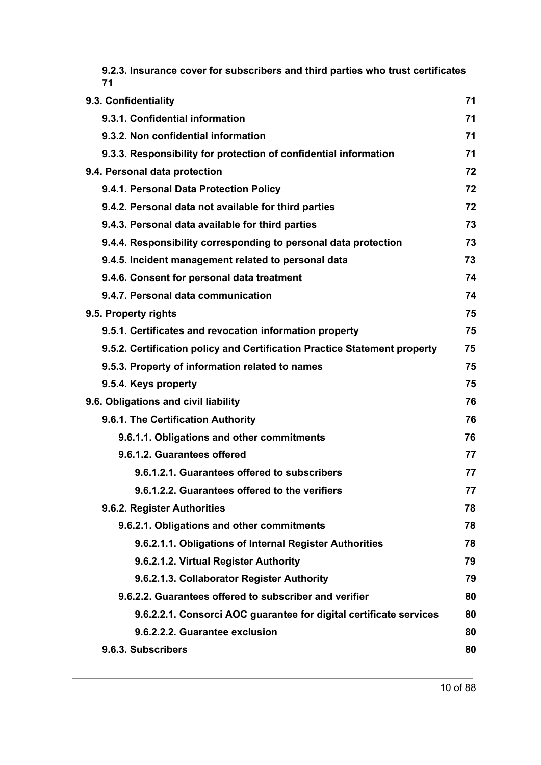| 9.2.3. Insurance cover for subscribers and third parties who trust certificates<br>71 |    |
|---------------------------------------------------------------------------------------|----|
| 9.3. Confidentiality                                                                  | 71 |
| 9.3.1. Confidential information                                                       | 71 |
| 9.3.2. Non confidential information                                                   | 71 |
| 9.3.3. Responsibility for protection of confidential information                      | 71 |
| 9.4. Personal data protection                                                         | 72 |
| 9.4.1. Personal Data Protection Policy                                                | 72 |
| 9.4.2. Personal data not available for third parties                                  | 72 |
| 9.4.3. Personal data available for third parties                                      | 73 |
| 9.4.4. Responsibility corresponding to personal data protection                       | 73 |
| 9.4.5. Incident management related to personal data                                   | 73 |
| 9.4.6. Consent for personal data treatment                                            | 74 |
| 9.4.7. Personal data communication                                                    | 74 |
| 9.5. Property rights                                                                  | 75 |
| 9.5.1. Certificates and revocation information property                               | 75 |
| 9.5.2. Certification policy and Certification Practice Statement property             | 75 |
| 9.5.3. Property of information related to names                                       | 75 |
| 9.5.4. Keys property                                                                  | 75 |
| 9.6. Obligations and civil liability                                                  | 76 |
| 9.6.1. The Certification Authority                                                    | 76 |
| 9.6.1.1. Obligations and other commitments                                            | 76 |
| 9.6.1.2. Guarantees offered                                                           | 77 |
| 9.6.1.2.1. Guarantees offered to subscribers                                          | 77 |
| 9.6.1.2.2. Guarantees offered to the verifiers                                        | 77 |
| 9.6.2. Register Authorities                                                           | 78 |
| 9.6.2.1. Obligations and other commitments                                            | 78 |
| 9.6.2.1.1. Obligations of Internal Register Authorities                               | 78 |
| 9.6.2.1.2. Virtual Register Authority                                                 | 79 |
| 9.6.2.1.3. Collaborator Register Authority                                            | 79 |
| 9.6.2.2. Guarantees offered to subscriber and verifier                                | 80 |
| 9.6.2.2.1. Consorci AOC guarantee for digital certificate services                    | 80 |
| 9.6.2.2.2. Guarantee exclusion                                                        | 80 |
| 9.6.3. Subscribers                                                                    | 80 |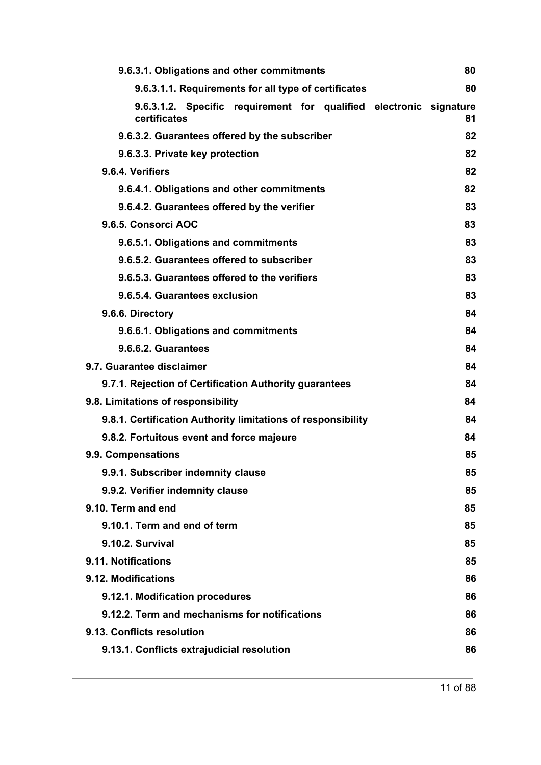| 9.6.3.1. Obligations and other commitments                                         | 80 |
|------------------------------------------------------------------------------------|----|
| 9.6.3.1.1. Requirements for all type of certificates                               | 80 |
| 9.6.3.1.2. Specific requirement for qualified electronic signature<br>certificates | 81 |
| 9.6.3.2. Guarantees offered by the subscriber                                      | 82 |
| 9.6.3.3. Private key protection                                                    | 82 |
| 9.6.4. Verifiers                                                                   | 82 |
| 9.6.4.1. Obligations and other commitments                                         | 82 |
| 9.6.4.2. Guarantees offered by the verifier                                        | 83 |
| 9.6.5. Consorci AOC                                                                | 83 |
| 9.6.5.1. Obligations and commitments                                               | 83 |
| 9.6.5.2. Guarantees offered to subscriber                                          | 83 |
| 9.6.5.3. Guarantees offered to the verifiers                                       | 83 |
| 9.6.5.4. Guarantees exclusion                                                      | 83 |
| 9.6.6. Directory                                                                   | 84 |
| 9.6.6.1. Obligations and commitments                                               | 84 |
| 9.6.6.2. Guarantees                                                                | 84 |
| 9.7. Guarantee disclaimer                                                          | 84 |
| 9.7.1. Rejection of Certification Authority guarantees                             | 84 |
| 9.8. Limitations of responsibility                                                 | 84 |
| 9.8.1. Certification Authority limitations of responsibility                       | 84 |
| 9.8.2. Fortuitous event and force majeure                                          | 84 |
| 9.9. Compensations                                                                 | 85 |
| 9.9.1. Subscriber indemnity clause                                                 | 85 |
| 9.9.2. Verifier indemnity clause                                                   | 85 |
| 9.10. Term and end                                                                 | 85 |
| 9.10.1. Term and end of term                                                       | 85 |
| 9.10.2. Survival                                                                   | 85 |
| 9.11. Notifications                                                                | 85 |
| 9.12. Modifications                                                                | 86 |
| 9.12.1. Modification procedures                                                    | 86 |
| 9.12.2. Term and mechanisms for notifications                                      | 86 |
| 9.13. Conflicts resolution                                                         | 86 |
| 9.13.1. Conflicts extrajudicial resolution                                         | 86 |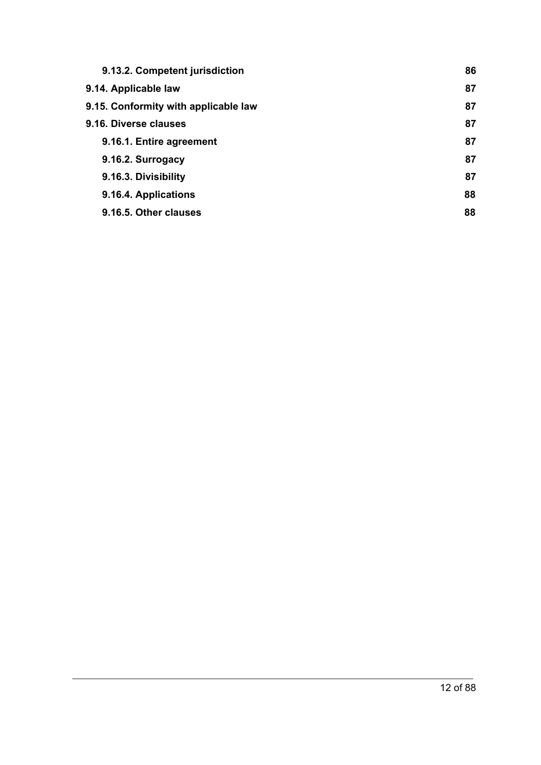| 9.13.2. Competent jurisdiction       | 86 |
|--------------------------------------|----|
| 9.14. Applicable law                 | 87 |
| 9.15. Conformity with applicable law | 87 |
| 9.16. Diverse clauses                | 87 |
| 9.16.1. Entire agreement             | 87 |
| 9.16.2. Surrogacy                    | 87 |
| 9.16.3. Divisibility                 | 87 |
| 9.16.4. Applications                 | 88 |
| 9.16.5. Other clauses                | 88 |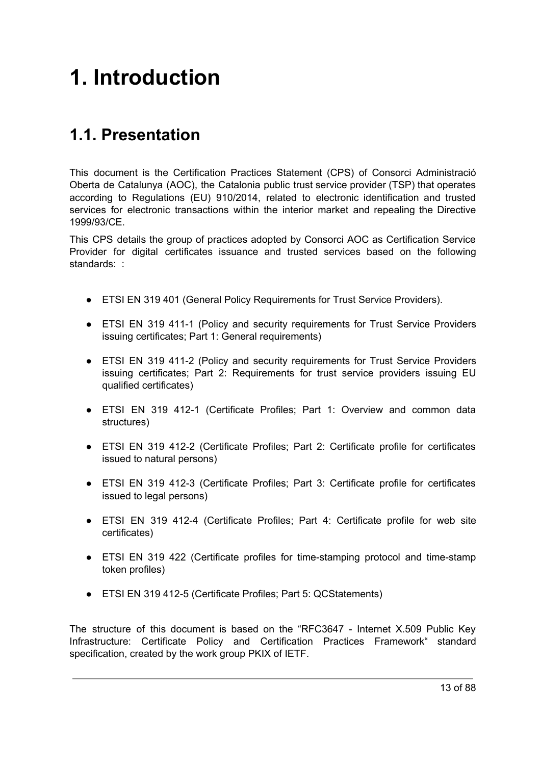# <span id="page-12-0"></span>**1. Introduction**

# <span id="page-12-1"></span>**1.1. Presentation**

This document is the Certification Practices Statement (CPS) of Consorci Administració Oberta de Catalunya (AOC), the Catalonia public trust service provider (TSP) that operates according to Regulations (EU) 910/2014, related to electronic identification and trusted services for electronic transactions within the interior market and repealing the Directive 1999/93/CE.

This CPS details the group of practices adopted by Consorci AOC as Certification Service Provider for digital certificates issuance and trusted services based on the following standards: :

- ETSI EN 319 401 (General Policy Requirements for Trust Service Providers).
- ETSI EN 319 411-1 (Policy and security requirements for Trust Service Providers issuing certificates; Part 1: General requirements)
- ETSI EN 319 411-2 (Policy and security requirements for Trust Service Providers issuing certificates; Part 2: Requirements for trust service providers issuing EU qualified certificates)
- ETSI EN 319 412-1 (Certificate Profiles; Part 1: Overview and common data structures)
- ETSI EN 319 412-2 (Certificate Profiles; Part 2: Certificate profile for certificates issued to natural persons)
- ETSI EN 319 412-3 (Certificate Profiles; Part 3: Certificate profile for certificates issued to legal persons)
- ETSI EN 319 412-4 (Certificate Profiles; Part 4: Certificate profile for web site certificates)
- ETSI EN 319 422 (Certificate profiles for time-stamping protocol and time-stamp token profiles)
- ETSI EN 319 412-5 (Certificate Profiles; Part 5: QCStatements)

The structure of this document is based on the "RFC3647 - Internet X.509 Public Key Infrastructure: Certificate Policy and Certification Practices Framework" standard specification, created by the work group PKIX of IETF.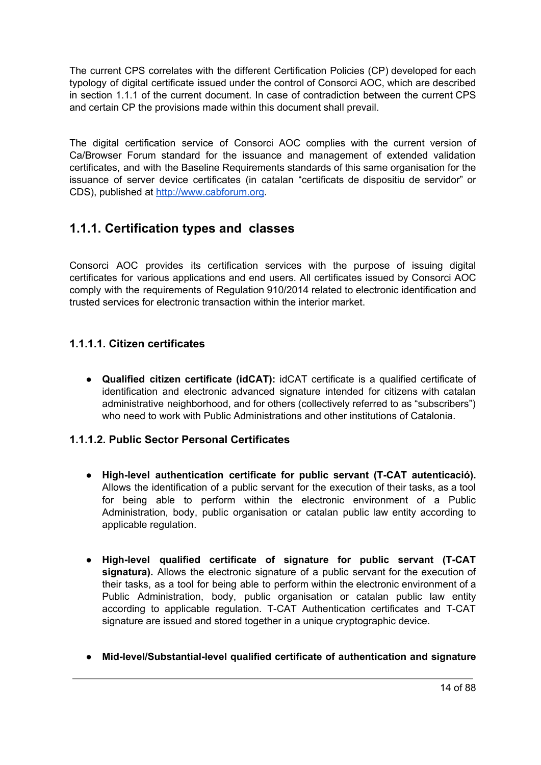The current CPS correlates with the different Certification Policies (CP) developed for each typology of digital certificate issued under the control of Consorci AOC, which are described in section 1.1.1 of the current document. In case of contradiction between the current CPS and certain CP the provisions made within this document shall prevail.

The digital certification service of Consorci AOC complies with the current version of Ca/Browser Forum standard for the issuance and management of extended validation certificates, and with the Baseline Requirements standards of this same organisation for the issuance of server device certificates (in catalan "certificats de dispositiu de servidor" or CDS), published at [http://www.cabforum.org](http://www.cabforum.org/).

## <span id="page-13-0"></span>**1.1.1. Certification types and classes**

Consorci AOC provides its certification services with the purpose of issuing digital certificates for various applications and end users. All certificates issued by Consorci AOC comply with the requirements of Regulation 910/2014 related to electronic identification and trusted services for electronic transaction within the interior market.

#### <span id="page-13-1"></span>**1.1.1.1. Citizen certificates**

● **Qualified citizen certificate (idCAT):** idCAT certificate is a qualified certificate of identification and electronic advanced signature intended for citizens with catalan administrative neighborhood, and for others (collectively referred to as "subscribers") who need to work with Public Administrations and other institutions of Catalonia.

#### <span id="page-13-2"></span>**1.1.1.2. Public Sector Personal Certificates**

- **High-level authentication certificate for public servant (T-CAT autenticació).** Allows the identification of a public servant for the execution of their tasks, as a tool for being able to perform within the electronic environment of a Public Administration, body, public organisation or catalan public law entity according to applicable regulation.
- **● High-level qualified certificate of signature for public servant (T-CAT signatura).** Allows the electronic signature of a public servant for the execution of their tasks, as a tool for being able to perform within the electronic environment of a Public Administration, body, public organisation or catalan public law entity according to applicable regulation. T-CAT Authentication certificates and T-CAT signature are issued and stored together in a unique cryptographic device.
- **● Mid-level/Substantial-level qualified certificate of authentication and signature**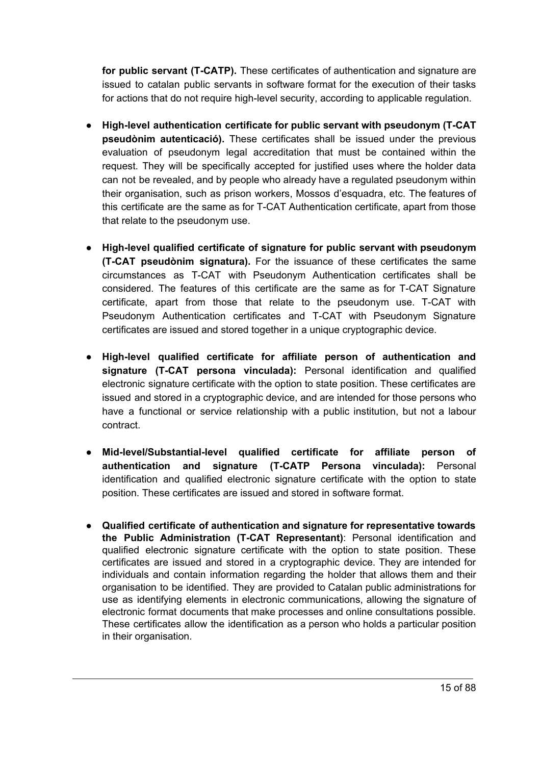**for public servant (T-CATP).** These certificates of authentication and signature are issued to catalan public servants in software format for the execution of their tasks for actions that do not require high-level security, according to applicable regulation.

- **High-level authentication certificate for public servant with pseudonym (T-CAT pseudònim autenticació).** These certificates shall be issued under the previous evaluation of pseudonym legal accreditation that must be contained within the request. They will be specifically accepted for justified uses where the holder data can not be revealed, and by people who already have a regulated pseudonym within their organisation, such as prison workers, Mossos d'esquadra, etc. The features of this certificate are the same as for T-CAT Authentication certificate, apart from those that relate to the pseudonym use.
- **High-level qualified certificate of signature for public servant with pseudonym (T-CAT pseudònim signatura).** For the issuance of these certificates the same circumstances as T-CAT with Pseudonym Authentication certificates shall be considered. The features of this certificate are the same as for T-CAT Signature certificate, apart from those that relate to the pseudonym use. T-CAT with Pseudonym Authentication certificates and T-CAT with Pseudonym Signature certificates are issued and stored together in a unique cryptographic device.
- **● High-level qualified certificate for affiliate person of authentication and signature (T-CAT persona vinculada):** Personal identification and qualified electronic signature certificate with the option to state position. These certificates are issued and stored in a cryptographic device, and are intended for those persons who have a functional or service relationship with a public institution, but not a labour contract.
- **● Mid-level/Substantial-level qualified certificate for affiliate person of authentication and signature (T-CATP Persona vinculada):** Personal identification and qualified electronic signature certificate with the option to state position. These certificates are issued and stored in software format.
- **Qualified certificate of authentication and signature for representative towards the Public Administration (T-CAT Representant)**: Personal identification and qualified electronic signature certificate with the option to state position. These certificates are issued and stored in a cryptographic device. They are intended for individuals and contain information regarding the holder that allows them and their organisation to be identified. They are provided to Catalan public administrations for use as identifying elements in electronic communications, allowing the signature of electronic format documents that make processes and online consultations possible. These certificates allow the identification as a person who holds a particular position in their organisation.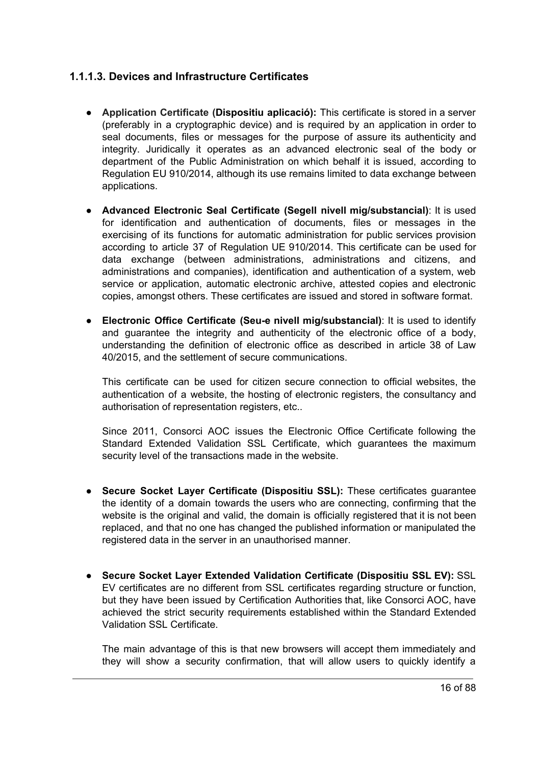#### <span id="page-15-0"></span>**1.1.1.3. Devices and Infrastructure Certificates**

- **Application Certificate (Dispositiu aplicació):** This certificate is stored in a server (preferably in a cryptographic device) and is required by an application in order to seal documents, files or messages for the purpose of assure its authenticity and integrity. Juridically it operates as an advanced electronic seal of the body or department of the Public Administration on which behalf it is issued, according to Regulation EU 910/2014, although its use remains limited to data exchange between applications.
- **Advanced Electronic Seal Certificate (Segell nivell mig/substancial)**: It is used for identification and authentication of documents, files or messages in the exercising of its functions for automatic administration for public services provision according to article 37 of Regulation UE 910/2014. This certificate can be used for data exchange (between administrations, administrations and citizens, and administrations and companies), identification and authentication of a system, web service or application, automatic electronic archive, attested copies and electronic copies, amongst others. These certificates are issued and stored in software format.
- **Electronic Office Certificate (Seu-e nivell mig/substancial)**: It is used to identify and guarantee the integrity and authenticity of the electronic office of a body, understanding the definition of electronic office as described in article 38 of Law 40/2015, and the settlement of secure communications.

This certificate can be used for citizen secure connection to official websites, the authentication of a website, the hosting of electronic registers, the consultancy and authorisation of representation registers, etc..

Since 2011, Consorci AOC issues the Electronic Office Certificate following the Standard Extended Validation SSL Certificate, which guarantees the maximum security level of the transactions made in the website.

- **Secure Socket Layer Certificate (Dispositiu SSL):** These certificates guarantee the identity of a domain towards the users who are connecting, confirming that the website is the original and valid, the domain is officially registered that it is not been replaced, and that no one has changed the published information or manipulated the registered data in the server in an unauthorised manner.
- **Secure Socket Layer Extended Validation Certificate (Dispositiu SSL EV):** SSL EV certificates are no different from SSL certificates regarding structure or function, but they have been issued by Certification Authorities that, like Consorci AOC, have achieved the strict security requirements established within the Standard Extended Validation SSL Certificate.

The main advantage of this is that new browsers will accept them immediately and they will show a security confirmation, that will allow users to quickly identify a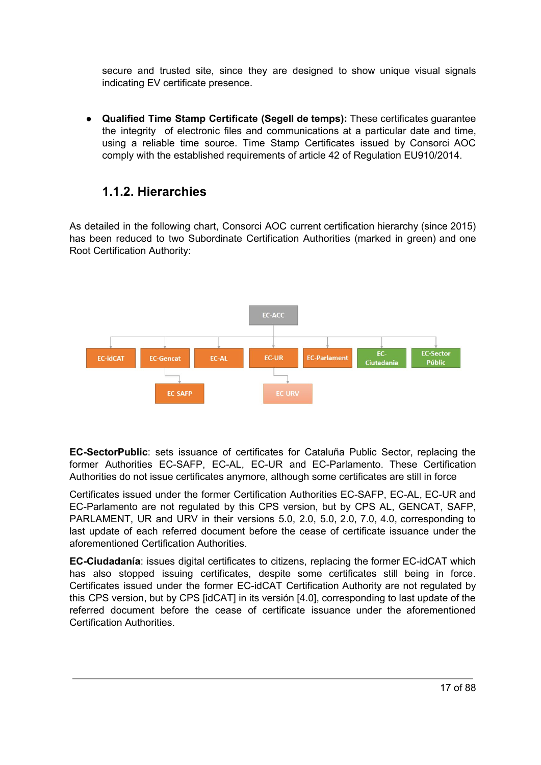secure and trusted site, since they are designed to show unique visual signals indicating EV certificate presence.

● **Qualified Time Stamp Certificate (Segell de temps):** These certificates guarantee the integrity of electronic files and communications at a particular date and time, using a reliable time source. Time Stamp Certificates issued by Consorci AOC comply with the established requirements of article 42 of Regulation EU910/2014.

## <span id="page-16-0"></span>**1.1.2. Hierarchies**

As detailed in the following chart, Consorci AOC current certification hierarchy (since 2015) has been reduced to two Subordinate Certification Authorities (marked in green) and one Root Certification Authority:



**EC-SectorPublic**: sets issuance of certificates for Cataluña Public Sector, replacing the former Authorities EC-SAFP, EC-AL, EC-UR and EC-Parlamento. These Certification Authorities do not issue certificates anymore, although some certificates are still in force

Certificates issued under the former Certification Authorities EC-SAFP, EC-AL, EC-UR and EC-Parlamento are not regulated by this CPS version, but by CPS AL, GENCAT, SAFP, PARLAMENT, UR and URV in their versions 5.0, 2.0, 5.0, 2.0, 7.0, 4.0, corresponding to last update of each referred document before the cease of certificate issuance under the aforementioned Certification Authorities.

**EC-Ciudadanía**: issues digital certificates to citizens, replacing the former EC-idCAT which has also stopped issuing certificates, despite some certificates still being in force. Certificates issued under the former EC-idCAT Certification Authority are not regulated by this CPS version, but by CPS [idCAT] in its versión [4.0], corresponding to last update of the referred document before the cease of certificate issuance under the aforementioned Certification Authorities.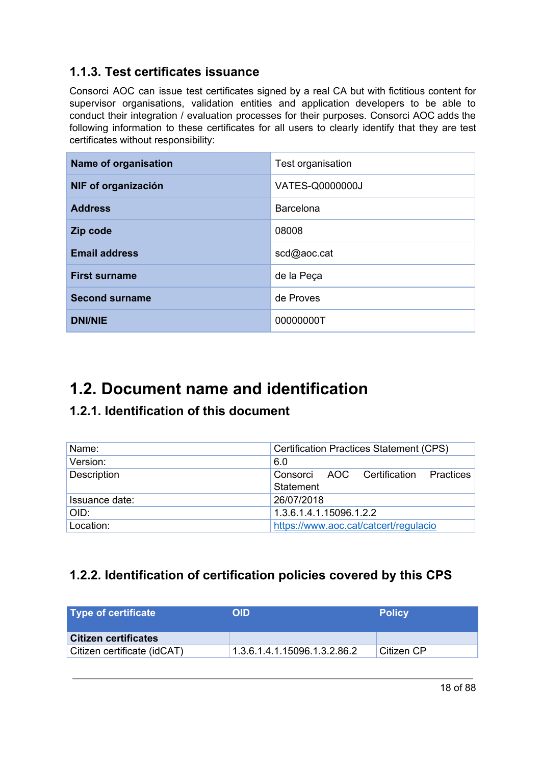## <span id="page-17-0"></span>**1.1.3. Test certificates issuance**

Consorci AOC can issue test certificates signed by a real CA but with fictitious content for supervisor organisations, validation entities and application developers to be able to conduct their integration / evaluation processes for their purposes. Consorci AOC adds the following information to these certificates for all users to clearly identify that they are test certificates without responsibility:

| Name of organisation  | Test organisation |
|-----------------------|-------------------|
| NIF of organización   | VATES-Q0000000J   |
| <b>Address</b>        | Barcelona         |
| Zip code              | 08008             |
| <b>Email address</b>  | scd@aoc.cat       |
| <b>First surname</b>  | de la Peça        |
| <b>Second surname</b> | de Proves         |
| <b>DNI/NIE</b>        | 00000000T         |

# <span id="page-17-1"></span>**1.2. Document name and identification**

## <span id="page-17-2"></span>**1.2.1. Identification of this document**

| Name:          | <b>Certification Practices Statement (CPS)</b>    |
|----------------|---------------------------------------------------|
| Version:       | 6.0                                               |
| Description    | Consorci AOC Certification Practices<br>Statement |
| Issuance date: | 26/07/2018                                        |
| OID:           | 1.3.6.1.4.1.15096.1.2.2                           |
| Location:      | https://www.aoc.cat/catcert/regulacio             |

## <span id="page-17-3"></span>**1.2.2. Identification of certification policies covered by this CPS**

| Type of certificate         | <b>OID</b>                   | <b>Policy</b> |
|-----------------------------|------------------------------|---------------|
| Citizen certificates        |                              |               |
| Citizen certificate (idCAT) | 1.3.6.1.4.1.15096.1.3.2.86.2 | Citizen CP    |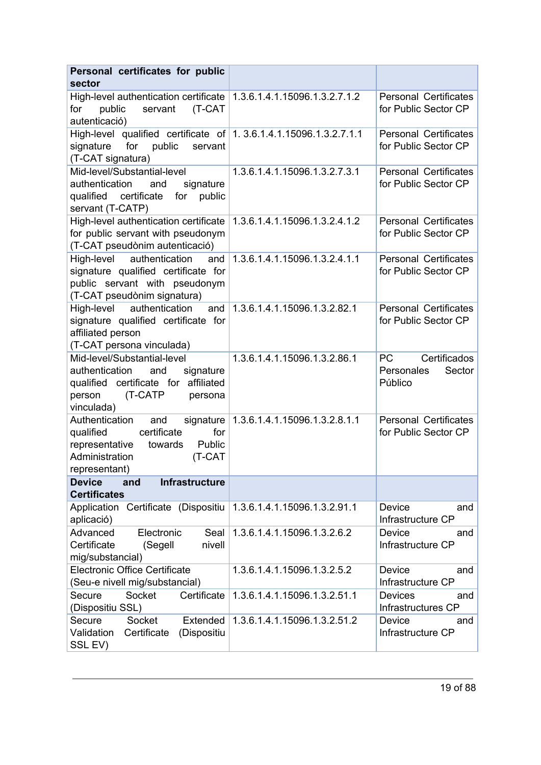| Personal certificates for public<br>sector                                                                                                              |                                         |                                                                                                                                                                                                                                                                                   |
|---------------------------------------------------------------------------------------------------------------------------------------------------------|-----------------------------------------|-----------------------------------------------------------------------------------------------------------------------------------------------------------------------------------------------------------------------------------------------------------------------------------|
| High-level authentication certificate 1.3.6.1.4.1.15096.1.3.2.7.1.2<br>(T-CAT<br>for<br>public<br>servant<br>autenticació)                              |                                         | <b>Personal Certificates</b><br>for Public Sector CP                                                                                                                                                                                                                              |
| High-level qualified certificate of 1.3.6.1.4.1.15096.1.3.2.7.1.1<br>for<br>public<br>signature<br>servant<br>(T-CAT signatura)                         |                                         | <b>Personal Certificates</b><br>for Public Sector CP                                                                                                                                                                                                                              |
| Mid-level/Substantial-level<br>authentication<br>signature<br>and<br>qualified<br>certificate<br>for<br>public<br>servant (T-CATP)                      | 1.3.6.1.4.1.15096.1.3.2.7.3.1           | <b>Personal Certificates</b><br>for Public Sector CP                                                                                                                                                                                                                              |
| High-level authentication certificate<br>for public servant with pseudonym<br>(T-CAT pseudònim autenticació)                                            | 1.3.6.1.4.1.15096.1.3.2.4.1.2           | <b>Personal Certificates</b><br>for Public Sector CP                                                                                                                                                                                                                              |
| authentication<br>High-level<br>and<br>signature qualified certificate for<br>public servant with pseudonym<br>(T-CAT pseudònim signatura)              | 1.3.6.1.4.1.15096.1.3.2.4.1.1           | <b>Personal Certificates</b><br>for Public Sector CP                                                                                                                                                                                                                              |
| authentication<br>High-level<br>and<br>signature qualified certificate for<br>affiliated person<br>(T-CAT persona vinculada)                            | 1.3.6.1.4.1.15096.1.3.2.82.1            | <b>Personal Certificates</b><br>for Public Sector CP                                                                                                                                                                                                                              |
| Mid-level/Substantial-level<br>authentication<br>signature<br>and<br>qualified certificate for affiliated<br>(T-CATP<br>person<br>persona<br>vinculada) | 1.3.6.1.4.1.15096.1.3.2.86.1            | Certificados<br>PC and the post of the set of the set of the set of the set of the set of the set of the set of the set of the set of the set of the set of the set of the set of the set of the set of the set of the set of the set of the s<br>Personales<br>Sector<br>Público |
| Authentication<br>and<br>certificate<br>qualified<br>for<br>representative<br>Public<br>towards<br>Administration<br>(T-CAT<br>representant)            | signature 1.3.6.1.4.1.15096.1.3.2.8.1.1 | <b>Personal Certificates</b><br>for Public Sector CP                                                                                                                                                                                                                              |
| and<br><b>Infrastructure</b><br><b>Device</b><br><b>Certificates</b>                                                                                    |                                         |                                                                                                                                                                                                                                                                                   |
| Application Certificate (Dispositiu<br>aplicació)                                                                                                       | 1.3.6.1.4.1.15096.1.3.2.91.1            | Device<br>and<br>Infrastructure CP                                                                                                                                                                                                                                                |
| Advanced<br>Electronic<br>Seal<br>Certificate<br>(Segell<br>nivell<br>mig/substancial)                                                                  | 1.3.6.1.4.1.15096.1.3.2.6.2             | Device<br>and<br>Infrastructure CP                                                                                                                                                                                                                                                |
| <b>Electronic Office Certificate</b><br>(Seu-e nivell mig/substancial)                                                                                  | 1.3.6.1.4.1.15096.1.3.2.5.2             | Device<br>and<br>Infrastructure CP                                                                                                                                                                                                                                                |
| Certificate<br>Secure<br>Socket<br>(Dispositiu SSL)                                                                                                     | 1.3.6.1.4.1.15096.1.3.2.51.1            | <b>Devices</b><br>and<br>Infrastructures CP                                                                                                                                                                                                                                       |
| Secure<br>Socket<br>Extended<br>Validation<br>Certificate<br>(Dispositiu<br>SSL EV)                                                                     | 1.3.6.1.4.1.15096.1.3.2.51.2            | Device<br>and<br>Infrastructure CP                                                                                                                                                                                                                                                |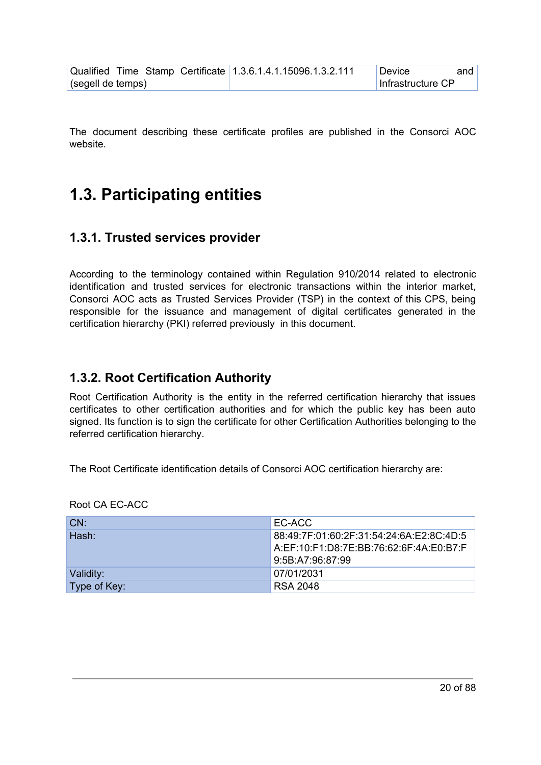|                   |  | Qualified Time Stamp Certificate 1.3.6.1.4.1.15096.1.3.2.111 | Device            | and I |
|-------------------|--|--------------------------------------------------------------|-------------------|-------|
| (segell de temps) |  |                                                              | Infrastructure CP |       |

The document describing these certificate profiles are published in the Consorci AOC website.

## <span id="page-19-0"></span>**1.3. Participating entities**

#### <span id="page-19-1"></span>**1.3.1. Trusted services provider**

According to the terminology contained within Regulation 910/2014 related to electronic identification and trusted services for electronic transactions within the interior market, Consorci AOC acts as Trusted Services Provider (TSP) in the context of this CPS, being responsible for the issuance and management of digital certificates generated in the certification hierarchy (PKI) referred previously in this document.

#### <span id="page-19-2"></span>**1.3.2. Root Certification Authority**

Root Certification Authority is the entity in the referred certification hierarchy that issues certificates to other certification authorities and for which the public key has been auto signed. Its function is to sign the certificate for other Certification Authorities belonging to the referred certification hierarchy.

The Root Certificate identification details of Consorci AOC certification hierarchy are:

| LCN:         | EC-ACC                                                                                |
|--------------|---------------------------------------------------------------------------------------|
| Hash:        | 88:49:7F:01:60:2F:31:54:24:6A:E2:8C:4D:5  <br>A EF:10 F1:D8:7E:BB:76:62:6F:4A:E0:B7:F |
|              | 9:5B:A7:96:87:99                                                                      |
| Validity:    | 07/01/2031                                                                            |
| Type of Key: | RSA 2048                                                                              |

Root CA EC-ACC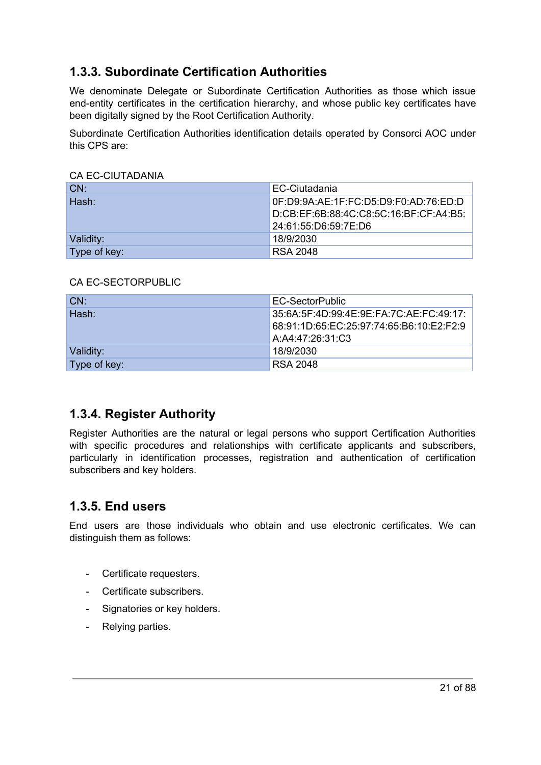## <span id="page-20-0"></span>**1.3.3. Subordinate Certification Authorities**

We denominate Delegate or Subordinate Certification Authorities as those which issue end-entity certificates in the certification hierarchy, and whose public key certificates have been digitally signed by the Root Certification Authority.

Subordinate Certification Authorities identification details operated by Consorci AOC under this CPS are:

#### CA EC-CIUTADANIA

| LCN:         | EC-Ciutadania                          |
|--------------|----------------------------------------|
| ∣Hash:       | 0F:D9:9A:AE:1F:FC:D5:D9:F0:AD:76:ED:D  |
|              | D:CB:EF:6B:88:4C:C8:5C:16:BF:CF:A4:B5: |
|              | 24:61:55:D6:59:7E:D6                   |
| Validity:    | 18/9/2030                              |
| Type of key: | <b>RSA 2048</b>                        |

#### CA EC-SECTORPUBLIC

| CN:          | EC-SectorPublic                                                                                           |
|--------------|-----------------------------------------------------------------------------------------------------------|
| Hash:        | 35:6A:5F:4D:99:4E:9E:FA:7C:AE:FC:49:17:  <br>68:91:1D:65:EC:25:97:74:65:B6:10:E2:F2:9<br>A:A4:47:26:31:C3 |
| Validity:    | 18/9/2030                                                                                                 |
| Type of key: | <b>RSA 2048</b>                                                                                           |

#### <span id="page-20-1"></span>**1.3.4. Register Authority**

Register Authorities are the natural or legal persons who support Certification Authorities with specific procedures and relationships with certificate applicants and subscribers, particularly in identification processes, registration and authentication of certification subscribers and key holders.

#### <span id="page-20-2"></span>**1.3.5. End users**

End users are those individuals who obtain and use electronic certificates. We can distinguish them as follows:

- Certificate requesters.
- Certificate subscribers.
- Signatories or key holders.
- Relying parties.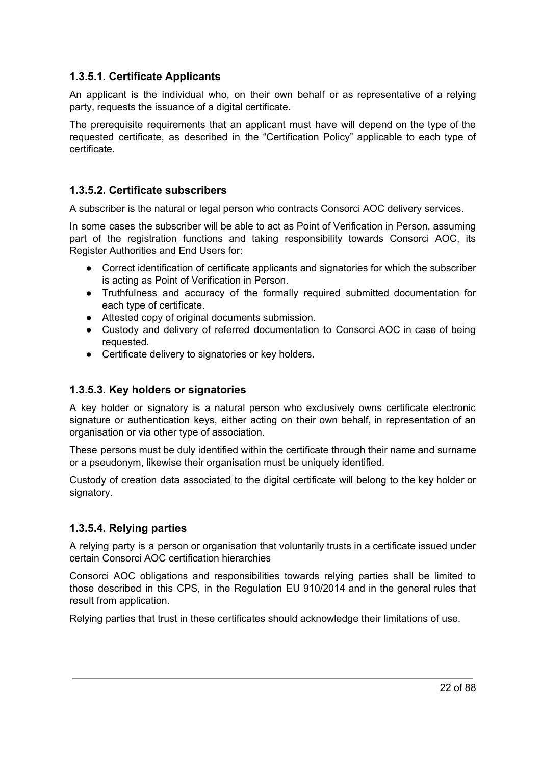#### <span id="page-21-0"></span>**1.3.5.1. Certificate Applicants**

An applicant is the individual who, on their own behalf or as representative of a relying party, requests the issuance of a digital certificate.

The prerequisite requirements that an applicant must have will depend on the type of the requested certificate, as described in the "Certification Policy" applicable to each type of certificate.

#### <span id="page-21-1"></span>**1.3.5.2. Certificate subscribers**

A subscriber is the natural or legal person who contracts Consorci AOC delivery services.

In some cases the subscriber will be able to act as Point of Verification in Person, assuming part of the registration functions and taking responsibility towards Consorci AOC, its Register Authorities and End Users for:

- Correct identification of certificate applicants and signatories for which the subscriber is acting as Point of Verification in Person.
- Truthfulness and accuracy of the formally required submitted documentation for each type of certificate.
- Attested copy of original documents submission.
- Custody and delivery of referred documentation to Consorci AOC in case of being requested.
- Certificate delivery to signatories or key holders.

#### <span id="page-21-2"></span>**1.3.5.3. Key holders or signatories**

A key holder or signatory is a natural person who exclusively owns certificate electronic signature or authentication keys, either acting on their own behalf, in representation of an organisation or via other type of association.

These persons must be duly identified within the certificate through their name and surname or a pseudonym, likewise their organisation must be uniquely identified.

Custody of creation data associated to the digital certificate will belong to the key holder or signatory.

#### <span id="page-21-3"></span>**1.3.5.4. Relying parties**

A relying party is a person or organisation that voluntarily trusts in a certificate issued under certain Consorci AOC certification hierarchies

Consorci AOC obligations and responsibilities towards relying parties shall be limited to those described in this CPS, in the Regulation EU 910/2014 and in the general rules that result from application.

Relying parties that trust in these certificates should acknowledge their limitations of use.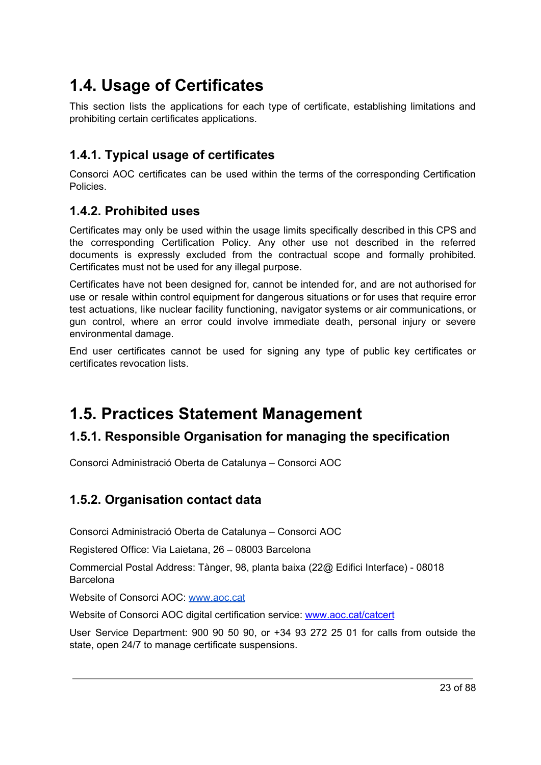# <span id="page-22-0"></span>**1.4. Usage of Certificates**

This section lists the applications for each type of certificate, establishing limitations and prohibiting certain certificates applications.

## <span id="page-22-1"></span>**1.4.1. Typical usage of certificates**

Consorci AOC certificates can be used within the terms of the corresponding Certification Policies.

#### <span id="page-22-2"></span>**1.4.2. Prohibited uses**

Certificates may only be used within the usage limits specifically described in this CPS and the corresponding Certification Policy. Any other use not described in the referred documents is expressly excluded from the contractual scope and formally prohibited. Certificates must not be used for any illegal purpose.

Certificates have not been designed for, cannot be intended for, and are not authorised for use or resale within control equipment for dangerous situations or for uses that require error test actuations, like nuclear facility functioning, navigator systems or air communications, or gun control, where an error could involve immediate death, personal injury or severe environmental damage.

End user certificates cannot be used for signing any type of public key certificates or certificates revocation lists.

## <span id="page-22-3"></span>**1.5. Practices Statement Management**

#### <span id="page-22-4"></span>**1.5.1. Responsible Organisation for managing the specification**

Consorci Administració Oberta de Catalunya – Consorci AOC

#### <span id="page-22-5"></span>**1.5.2. Organisation contact data**

Consorci Administració Oberta de Catalunya – Consorci AOC

Registered Office: Via Laietana, 26 – 08003 Barcelona

Commercial Postal Address: Tànger, 98, planta baixa (22@ Edifici Interface) - 08018 Barcelona

Website of Consorci AOC: [www.aoc.cat](http://www.aoc.cat/)

Website of Consorci AOC digital certification service: [www.aoc.cat/catcert](http://www.aoc.cat/catcert)

User Service Department: 900 90 50 90, or +34 93 272 25 01 for calls from outside the state, open 24/7 to manage certificate suspensions.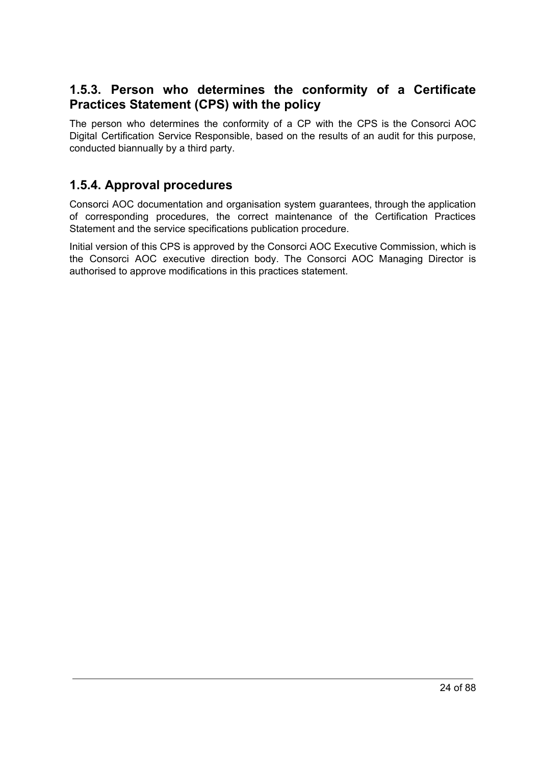#### <span id="page-23-0"></span>**1.5.3. Person who determines the conformity of a Certificate Practices Statement (CPS) with the policy**

The person who determines the conformity of a CP with the CPS is the Consorci AOC Digital Certification Service Responsible, based on the results of an audit for this purpose, conducted biannually by a third party.

#### <span id="page-23-1"></span>**1.5.4. Approval procedures**

Consorci AOC documentation and organisation system guarantees, through the application of corresponding procedures, the correct maintenance of the Certification Practices Statement and the service specifications publication procedure.

<span id="page-23-2"></span>Initial version of this CPS is approved by the Consorci AOC Executive Commission, which is the Consorci AOC executive direction body. The Consorci AOC Managing Director is authorised to approve modifications in this practices statement.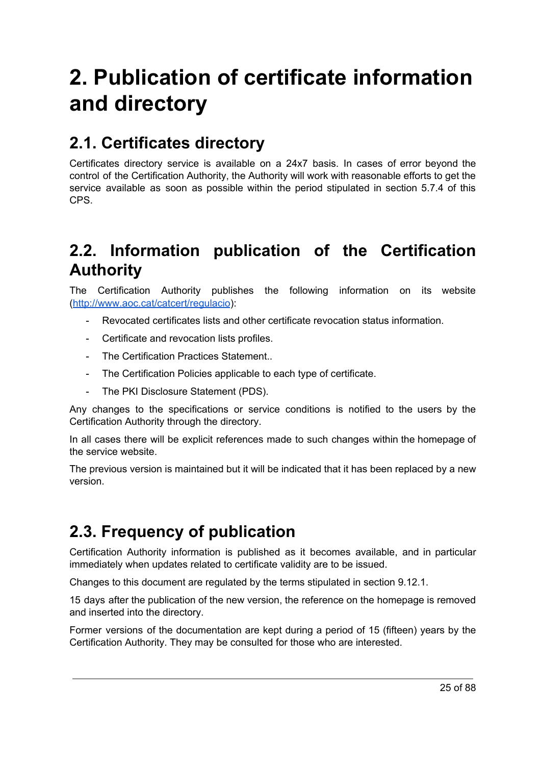# **2. Publication of certificate information and directory**

# <span id="page-24-0"></span>**2.1. Certificates directory**

Certificates directory service is available on a 24x7 basis. In cases of error beyond the control of the Certification Authority, the Authority will work with reasonable efforts to get the service available as soon as possible within the period stipulated in section 5.7.4 of this CPS.

# <span id="page-24-1"></span>**2.2. Information publication of the Certification Authority**

The Certification Authority publishes the following information on its website [\(http://www.aoc.cat/catcert/regulacio\)](http://www.aoc.cat/catcert/regulacio):

- Revocated certificates lists and other certificate revocation status information.
- Certificate and revocation lists profiles.
- The Certification Practices Statement..
- The Certification Policies applicable to each type of certificate.
- The PKI Disclosure Statement (PDS).

Any changes to the specifications or service conditions is notified to the users by the Certification Authority through the directory.

In all cases there will be explicit references made to such changes within the homepage of the service website.

The previous version is maintained but it will be indicated that it has been replaced by a new version.

# <span id="page-24-2"></span>**2.3. Frequency of publication**

Certification Authority information is published as it becomes available, and in particular immediately when updates related to certificate validity are to be issued.

Changes to this document are regulated by the terms stipulated in section 9.12.1.

15 days after the publication of the new version, the reference on the homepage is removed and inserted into the directory.

Former versions of the documentation are kept during a period of 15 (fifteen) years by the Certification Authority. They may be consulted for those who are interested.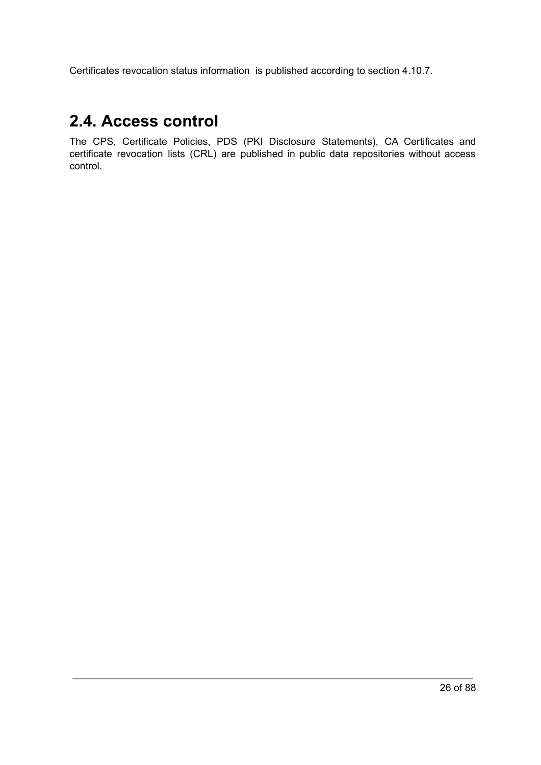Certificates revocation status information is published according to section 4.10.7.

## <span id="page-25-0"></span>**2.4. Access control**

<span id="page-25-1"></span>The CPS, Certificate Policies, PDS (PKI Disclosure Statements), CA Certificates and certificate revocation lists (CRL) are published in public data repositories without access control.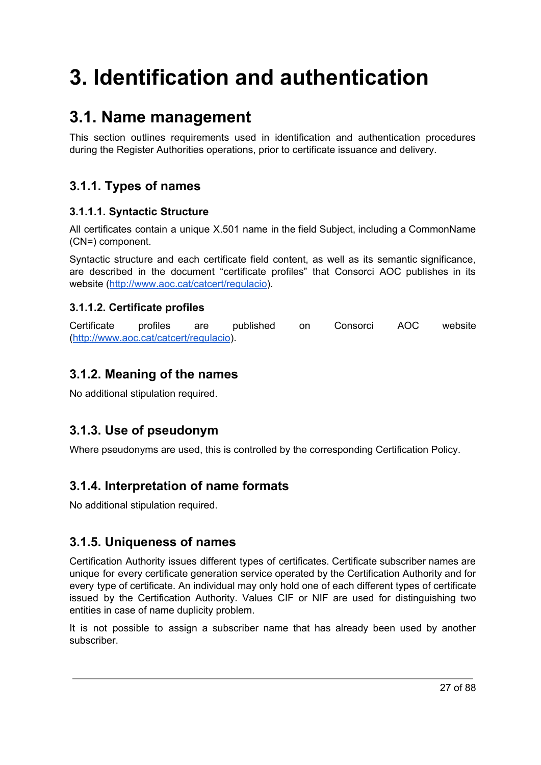# **3. Identification and authentication**

# <span id="page-26-0"></span>**3.1. Name management**

This section outlines requirements used in identification and authentication procedures during the Register Authorities operations, prior to certificate issuance and delivery.

## <span id="page-26-1"></span>**3.1.1. Types of names**

#### <span id="page-26-2"></span>**3.1.1.1. Syntactic Structure**

All certificates contain a unique X.501 name in the field Subject, including a CommonName (CN=) component.

Syntactic structure and each certificate field content, as well as its semantic significance, are described in the document "certificate profiles" that Consorci AOC publishes in its website (<http://www.aoc.cat/catcert/regulacio>).

#### <span id="page-26-3"></span>**3.1.1.2. Certificate profiles**

Certificate profiles are published on Consorci AOC website [\(http://www.aoc.cat/catcert/regulacio\)](http://www.aoc.cat/catcert/regulacio).

## <span id="page-26-4"></span>**3.1.2. Meaning of the names**

No additional stipulation required.

## <span id="page-26-5"></span>**3.1.3. Use of pseudonym**

Where pseudonyms are used, this is controlled by the corresponding Certification Policy.

## <span id="page-26-6"></span>**3.1.4. Interpretation of name formats**

No additional stipulation required.

## <span id="page-26-7"></span>**3.1.5. Uniqueness of names**

Certification Authority issues different types of certificates. Certificate subscriber names are unique for every certificate generation service operated by the Certification Authority and for every type of certificate. An individual may only hold one of each different types of certificate issued by the Certification Authority. Values CIF or NIF are used for distinguishing two entities in case of name duplicity problem.

It is not possible to assign a subscriber name that has already been used by another subscriber.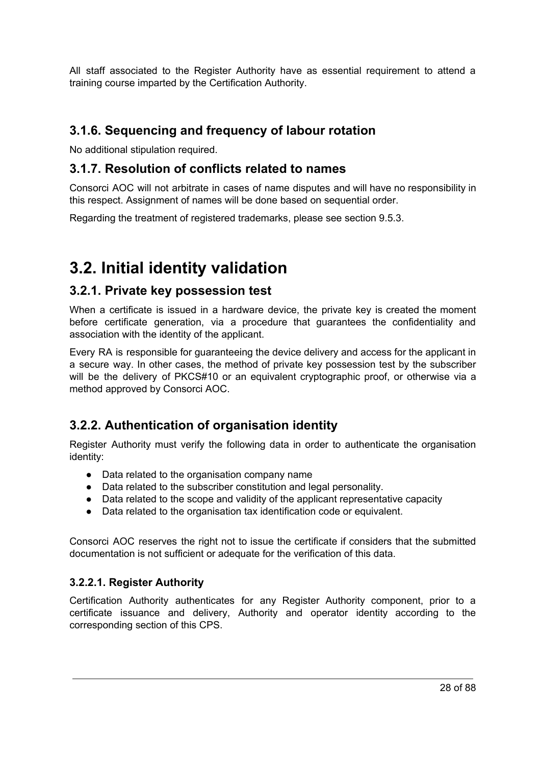All staff associated to the Register Authority have as essential requirement to attend a training course imparted by the Certification Authority.

#### <span id="page-27-0"></span>**3.1.6. Sequencing and frequency of labour rotation**

No additional stipulation required.

#### <span id="page-27-1"></span>**3.1.7. Resolution of conflicts related to names**

Consorci AOC will not arbitrate in cases of name disputes and will have no responsibility in this respect. Assignment of names will be done based on sequential order.

Regarding the treatment of registered trademarks, please see section 9.5.3.

# <span id="page-27-2"></span>**3.2. Initial identity validation**

#### <span id="page-27-3"></span>**3.2.1. Private key possession test**

When a certificate is issued in a hardware device, the private key is created the moment before certificate generation, via a procedure that guarantees the confidentiality and association with the identity of the applicant.

Every RA is responsible for guaranteeing the device delivery and access for the applicant in a secure way. In other cases, the method of private key possession test by the subscriber will be the delivery of PKCS#10 or an equivalent cryptographic proof, or otherwise via a method approved by Consorci AOC.

## <span id="page-27-4"></span>**3.2.2. Authentication of organisation identity**

Register Authority must verify the following data in order to authenticate the organisation identity:

- Data related to the organisation company name
- Data related to the subscriber constitution and legal personality.
- Data related to the scope and validity of the applicant representative capacity
- Data related to the organisation tax identification code or equivalent.

Consorci AOC reserves the right not to issue the certificate if considers that the submitted documentation is not sufficient or adequate for the verification of this data.

#### <span id="page-27-5"></span>**3.2.2.1. Register Authority**

Certification Authority authenticates for any Register Authority component, prior to a certificate issuance and delivery, Authority and operator identity according to the corresponding section of this CPS.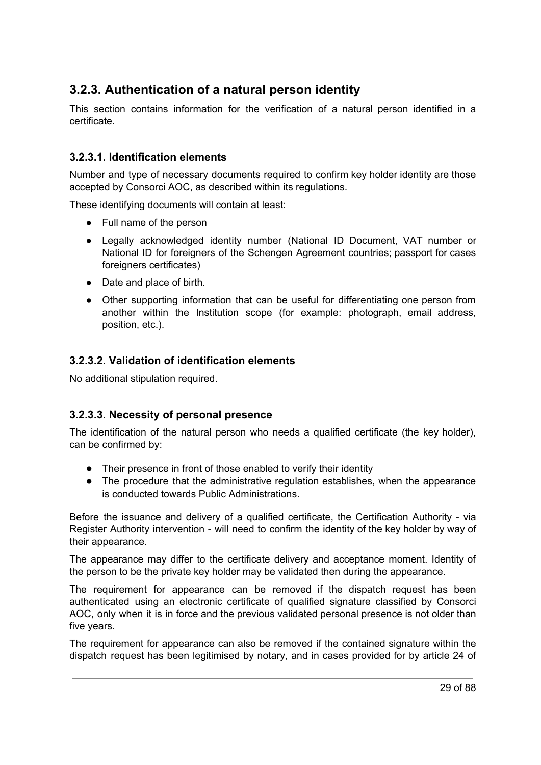## <span id="page-28-0"></span>**3.2.3. Authentication of a natural person identity**

This section contains information for the verification of a natural person identified in a certificate.

#### <span id="page-28-1"></span>**3.2.3.1. Identification elements**

Number and type of necessary documents required to confirm key holder identity are those accepted by Consorci AOC, as described within its regulations.

These identifying documents will contain at least:

- Full name of the person
- Legally acknowledged identity number (National ID Document, VAT number or National ID for foreigners of the Schengen Agreement countries; passport for cases foreigners certificates)
- Date and place of birth.
- Other supporting information that can be useful for differentiating one person from another within the Institution scope (for example: photograph, email address, position, etc.).

#### <span id="page-28-2"></span>**3.2.3.2. Validation of identification elements**

No additional stipulation required.

#### <span id="page-28-3"></span>**3.2.3.3. Necessity of personal presence**

The identification of the natural person who needs a qualified certificate (the key holder), can be confirmed by:

- Their presence in front of those enabled to verify their identity
- The procedure that the administrative regulation establishes, when the appearance is conducted towards Public Administrations.

Before the issuance and delivery of a qualified certificate, the Certification Authority - via Register Authority intervention - will need to confirm the identity of the key holder by way of their appearance.

The appearance may differ to the certificate delivery and acceptance moment. Identity of the person to be the private key holder may be validated then during the appearance.

The requirement for appearance can be removed if the dispatch request has been authenticated using an electronic certificate of qualified signature classified by Consorci AOC, only when it is in force and the previous validated personal presence is not older than five years.

The requirement for appearance can also be removed if the contained signature within the dispatch request has been legitimised by notary, and in cases provided for by article 24 of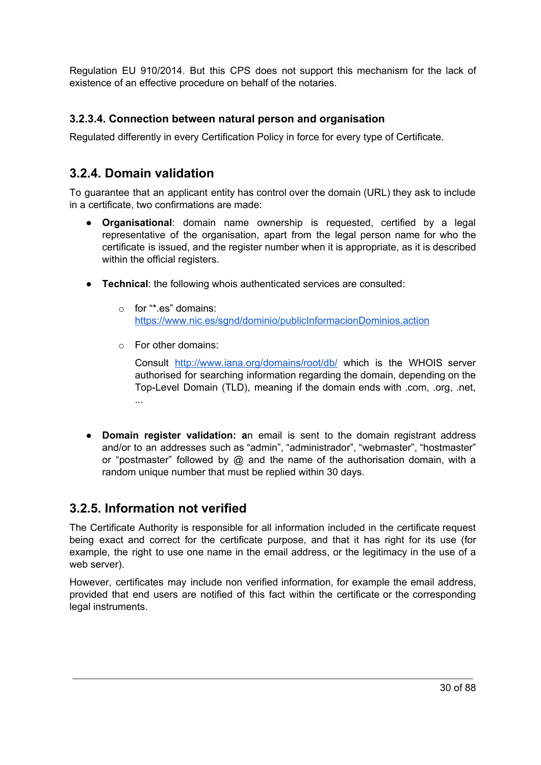Regulation EU 910/2014. But this CPS does not support this mechanism for the lack of existence of an effective procedure on behalf of the notaries.

#### <span id="page-29-0"></span>**3.2.3.4. Connection between natural person and organisation**

Regulated differently in every Certification Policy in force for every type of Certificate.

#### <span id="page-29-1"></span>**3.2.4. Domain validation**

To guarantee that an applicant entity has control over the domain (URL) they ask to include in a certificate, two confirmations are made:

- **Organisational**: domain name ownership is requested, certified by a legal representative of the organisation, apart from the legal person name for who the certificate is issued, and the register number when it is appropriate, as it is described within the official registers.
- **Technical**: the following whois authenticated services are consulted:
	- o for "\*.es" domains: <https://www.nic.es/sgnd/dominio/publicInformacionDominios.action>
	- o For other domains:

Consult <http://www.iana.org/domains/root/db/> which is the WHOIS server authorised for searching information regarding the domain, depending on the Top-Level Domain (TLD), meaning if the domain ends with .com, .org, .net, ...

● **Domain register validation: a**n email is sent to the domain registrant address and/or to an addresses such as "admin", "administrador", "webmaster", "hostmaster" or "postmaster" followed by @ and the name of the authorisation domain, with a random unique number that must be replied within 30 days.

#### <span id="page-29-2"></span>**3.2.5. Information not verified**

The Certificate Authority is responsible for all information included in the certificate request being exact and correct for the certificate purpose, and that it has right for its use (for example, the right to use one name in the email address, or the legitimacy in the use of a web server).

However, certificates may include non verified information, for example the email address, provided that end users are notified of this fact within the certificate or the corresponding legal instruments.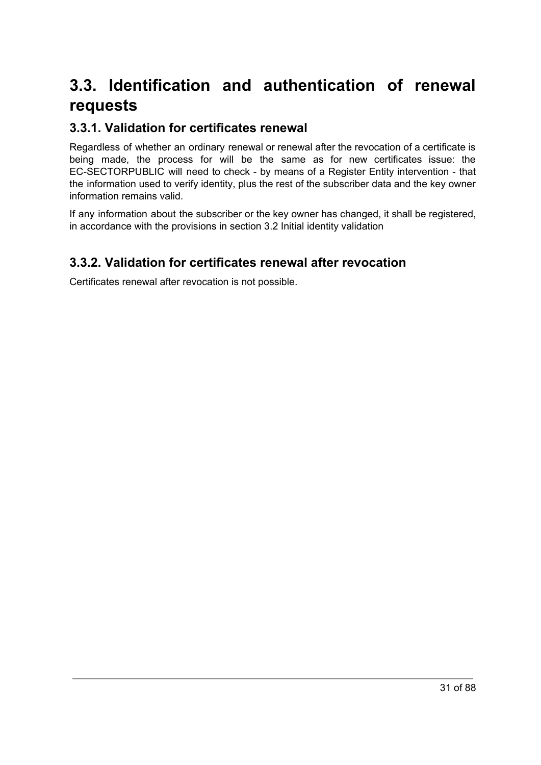# <span id="page-30-0"></span>**3.3. Identification and authentication of renewal requests**

#### <span id="page-30-1"></span>**3.3.1. Validation for certificates renewal**

Regardless of whether an ordinary renewal or renewal after the revocation of a certificate is being made, the process for will be the same as for new certificates issue: the EC-SECTORPUBLIC will need to check - by means of a Register Entity intervention - that the information used to verify identity, plus the rest of the subscriber data and the key owner information remains valid.

If any information about the subscriber or the key owner has changed, it shall be registered, in accordance with the provisions in section 3.2 Initial identity validation

## <span id="page-30-2"></span>**3.3.2. Validation for certificates renewal after revocation**

<span id="page-30-3"></span>Certificates renewal after revocation is not possible.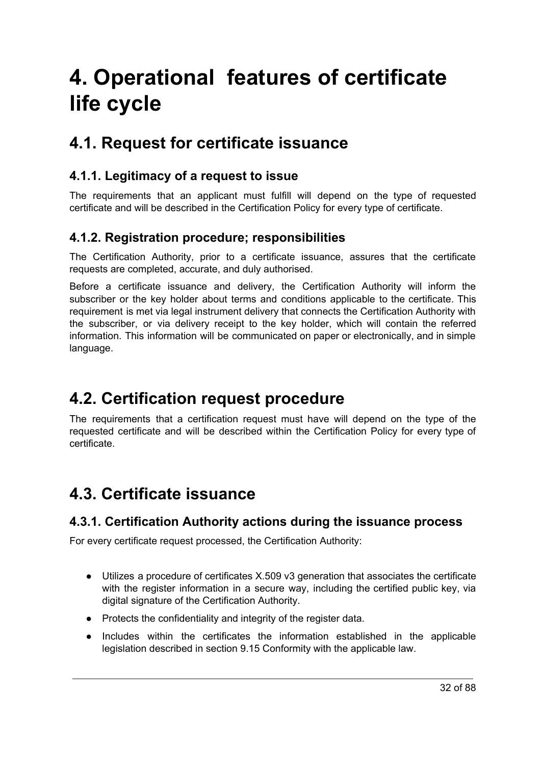# **4. Operational features of certificate life cycle**

# <span id="page-31-0"></span>**4.1. Request for certificate issuance**

#### <span id="page-31-1"></span>**4.1.1. Legitimacy of a request to issue**

The requirements that an applicant must fulfill will depend on the type of requested certificate and will be described in the Certification Policy for every type of certificate.

#### <span id="page-31-2"></span>**4.1.2. Registration procedure; responsibilities**

The Certification Authority, prior to a certificate issuance, assures that the certificate requests are completed, accurate, and duly authorised.

Before a certificate issuance and delivery, the Certification Authority will inform the subscriber or the key holder about terms and conditions applicable to the certificate. This requirement is met via legal instrument delivery that connects the Certification Authority with the subscriber, or via delivery receipt to the key holder, which will contain the referred information. This information will be communicated on paper or electronically, and in simple language.

# <span id="page-31-3"></span>**4.2. Certification request procedure**

The requirements that a certification request must have will depend on the type of the requested certificate and will be described within the Certification Policy for every type of certificate.

# <span id="page-31-4"></span>**4.3. Certificate issuance**

#### <span id="page-31-5"></span>**4.3.1. Certification Authority actions during the issuance process**

For every certificate request processed, the Certification Authority:

- Utilizes a procedure of certificates X.509 v3 generation that associates the certificate with the register information in a secure way, including the certified public key, via digital signature of the Certification Authority.
- Protects the confidentiality and integrity of the register data.
- Includes within the certificates the information established in the applicable legislation described in section 9.15 Conformity with the applicable law.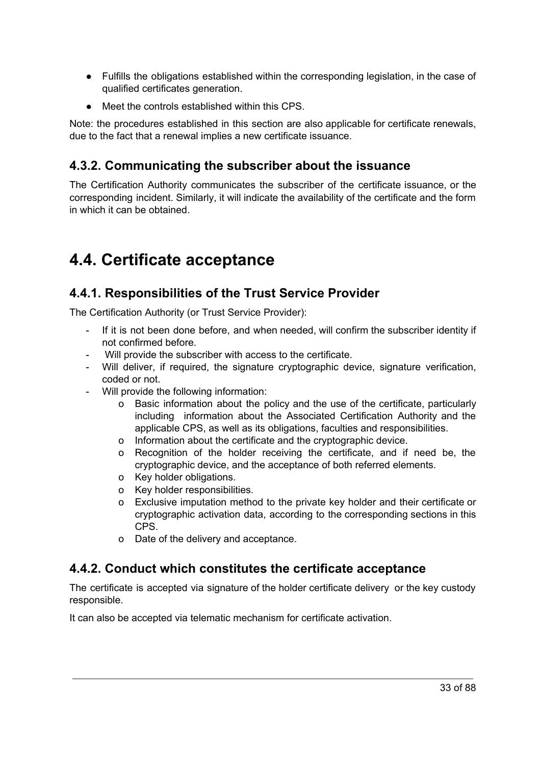- Fulfills the obligations established within the corresponding legislation, in the case of qualified certificates generation.
- Meet the controls established within this CPS.

Note: the procedures established in this section are also applicable for certificate renewals, due to the fact that a renewal implies a new certificate issuance.

## <span id="page-32-0"></span>**4.3.2. Communicating the subscriber about the issuance**

The Certification Authority communicates the subscriber of the certificate issuance, or the corresponding incident. Similarly, it will indicate the availability of the certificate and the form in which it can be obtained.

# <span id="page-32-1"></span>**4.4. Certificate acceptance**

## <span id="page-32-2"></span>**4.4.1. Responsibilities of the Trust Service Provider**

The Certification Authority (or Trust Service Provider):

- If it is not been done before, and when needed, will confirm the subscriber identity if not confirmed before.
- Will provide the subscriber with access to the certificate.
- Will deliver, if required, the signature cryptographic device, signature verification, coded or not.
- Will provide the following information:
	- o Basic information about the policy and the use of the certificate, particularly including information about the Associated Certification Authority and the applicable CPS, as well as its obligations, faculties and responsibilities.
	- o Information about the certificate and the cryptographic device.
	- o Recognition of the holder receiving the certificate, and if need be, the cryptographic device, and the acceptance of both referred elements.
	- o Key holder obligations.
	- o Key holder responsibilities.
	- o Exclusive imputation method to the private key holder and their certificate or cryptographic activation data, according to the corresponding sections in this CPS.
	- o Date of the delivery and acceptance.

#### <span id="page-32-3"></span>**4.4.2. Conduct which constitutes the certificate acceptance**

The certificate is accepted via signature of the holder certificate delivery or the key custody responsible.

It can also be accepted via telematic mechanism for certificate activation.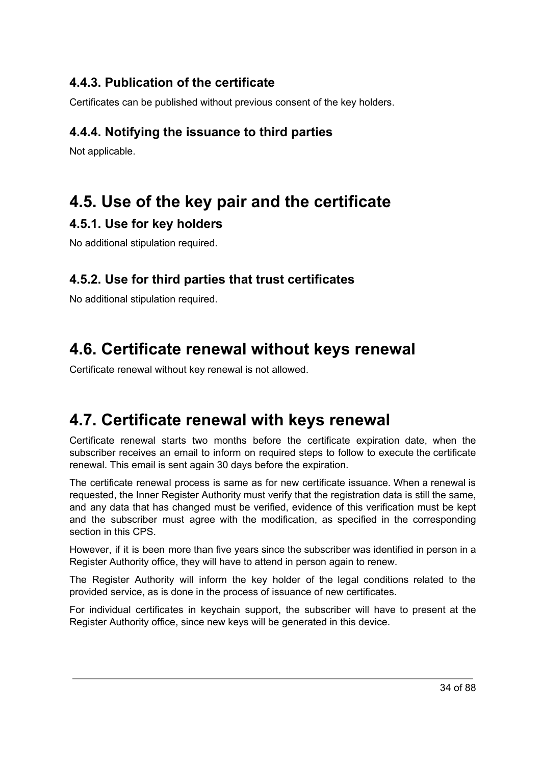### <span id="page-33-0"></span>**4.4.3. Publication of the certificate**

Certificates can be published without previous consent of the key holders.

### <span id="page-33-1"></span>**4.4.4. Notifying the issuance to third parties**

Not applicable.

# <span id="page-33-2"></span>**4.5. Use of the key pair and the certificate**

#### <span id="page-33-3"></span>**4.5.1. Use for key holders**

No additional stipulation required.

#### <span id="page-33-4"></span>**4.5.2. Use for third parties that trust certificates**

No additional stipulation required.

# <span id="page-33-5"></span>**4.6. Certificate renewal without keys renewal**

Certificate renewal without key renewal is not allowed.

# <span id="page-33-6"></span>**4.7. Certificate renewal with keys renewal**

Certificate renewal starts two months before the certificate expiration date, when the subscriber receives an email to inform on required steps to follow to execute the certificate renewal. This email is sent again 30 days before the expiration.

The certificate renewal process is same as for new certificate issuance. When a renewal is requested, the Inner Register Authority must verify that the registration data is still the same, and any data that has changed must be verified, evidence of this verification must be kept and the subscriber must agree with the modification, as specified in the corresponding section in this CPS.

However, if it is been more than five years since the subscriber was identified in person in a Register Authority office, they will have to attend in person again to renew.

The Register Authority will inform the key holder of the legal conditions related to the provided service, as is done in the process of issuance of new certificates.

For individual certificates in keychain support, the subscriber will have to present at the Register Authority office, since new keys will be generated in this device.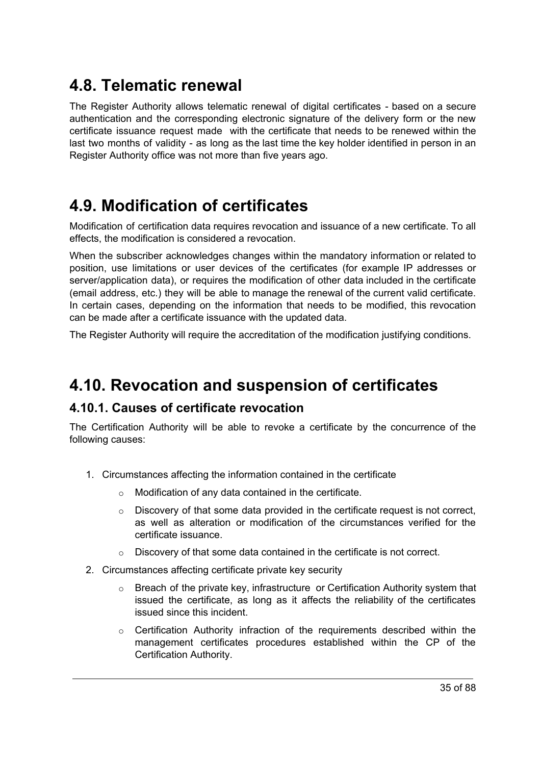# <span id="page-34-0"></span>**4.8. Telematic renewal**

The Register Authority allows telematic renewal of digital certificates - based on a secure authentication and the corresponding electronic signature of the delivery form or the new certificate issuance request made with the certificate that needs to be renewed within the last two months of validity - as long as the last time the key holder identified in person in an Register Authority office was not more than five years ago.

# <span id="page-34-1"></span>**4.9. Modification of certificates**

Modification of certification data requires revocation and issuance of a new certificate. To all effects, the modification is considered a revocation.

When the subscriber acknowledges changes within the mandatory information or related to position, use limitations or user devices of the certificates (for example IP addresses or server/application data), or requires the modification of other data included in the certificate (email address, etc.) they will be able to manage the renewal of the current valid certificate. In certain cases, depending on the information that needs to be modified, this revocation can be made after a certificate issuance with the updated data.

The Register Authority will require the accreditation of the modification justifying conditions.

## <span id="page-34-2"></span>**4.10. Revocation and suspension of certificates**

#### <span id="page-34-3"></span>**4.10.1. Causes of certificate revocation**

The Certification Authority will be able to revoke a certificate by the concurrence of the following causes:

- 1. Circumstances affecting the information contained in the certificate
	- o Modification of any data contained in the certificate.
	- $\circ$  Discovery of that some data provided in the certificate request is not correct, as well as alteration or modification of the circumstances verified for the certificate issuance.
	- o Discovery of that some data contained in the certificate is not correct.
- 2. Circumstances affecting certificate private key security
	- $\circ$  Breach of the private key, infrastructure or Certification Authority system that issued the certificate, as long as it affects the reliability of the certificates issued since this incident.
	- $\circ$  Certification Authority infraction of the requirements described within the management certificates procedures established within the CP of the Certification Authority.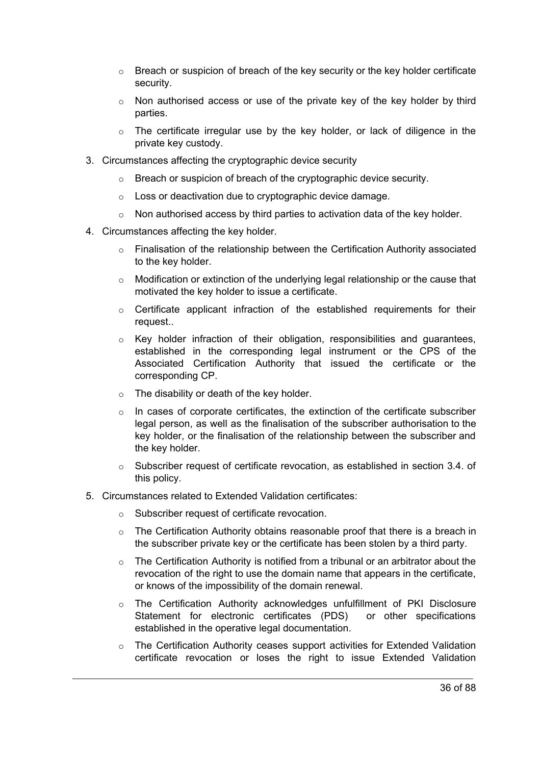- $\circ$  Breach or suspicion of breach of the key security or the key holder certificate security.
- $\circ$  Non authorised access or use of the private key of the key holder by third parties.
- $\circ$  The certificate irregular use by the key holder, or lack of diligence in the private key custody.
- 3. Circumstances affecting the cryptographic device security
	- o Breach or suspicion of breach of the cryptographic device security.
	- o Loss or deactivation due to cryptographic device damage.
	- $\circ$  Non authorised access by third parties to activation data of the key holder.
- 4. Circumstances affecting the key holder.
	- $\circ$  Finalisation of the relationship between the Certification Authority associated to the key holder.
	- o Modification or extinction of the underlying legal relationship or the cause that motivated the key holder to issue a certificate.
	- $\circ$  Certificate applicant infraction of the established requirements for their request..
	- $\circ$  Key holder infraction of their obligation, responsibilities and quarantees, established in the corresponding legal instrument or the CPS of the Associated Certification Authority that issued the certificate or the corresponding CP.
	- o The disability or death of the key holder.
	- $\circ$  In cases of corporate certificates, the extinction of the certificate subscriber legal person, as well as the finalisation of the subscriber authorisation to the key holder, or the finalisation of the relationship between the subscriber and the key holder.
	- $\circ$  Subscriber request of certificate revocation, as established in section 3.4. of this policy.
- 5. Circumstances related to Extended Validation certificates:
	- o Subscriber request of certificate revocation.
	- $\circ$  The Certification Authority obtains reasonable proof that there is a breach in the subscriber private key or the certificate has been stolen by a third party.
	- $\circ$  The Certification Authority is notified from a tribunal or an arbitrator about the revocation of the right to use the domain name that appears in the certificate, or knows of the impossibility of the domain renewal.
	- The Certification Authority acknowledges unfulfillment of PKI Disclosure Statement for electronic certificates (PDS) or other specifications established in the operative legal documentation.
	- o The Certification Authority ceases support activities for Extended Validation certificate revocation or loses the right to issue Extended Validation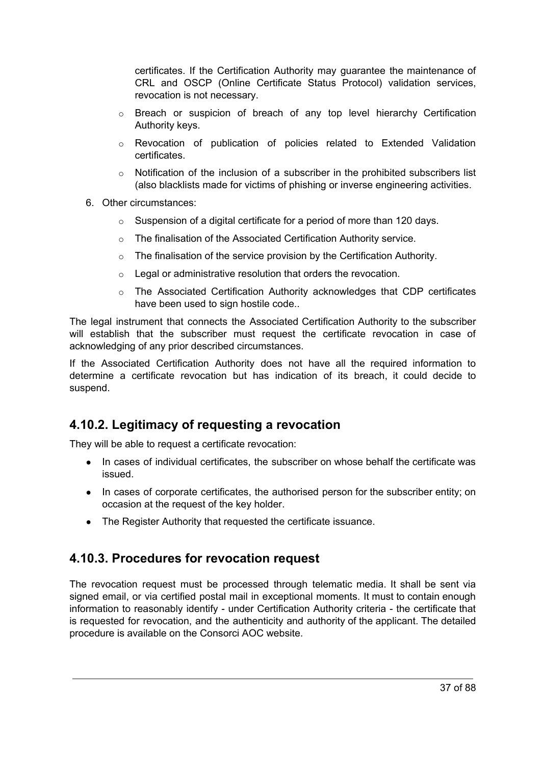certificates. If the Certification Authority may guarantee the maintenance of CRL and OSCP (Online Certificate Status Protocol) validation services, revocation is not necessary.

- o Breach or suspicion of breach of any top level hierarchy Certification Authority keys.
- o Revocation of publication of policies related to Extended Validation certificates.
- Notification of the inclusion of a subscriber in the prohibited subscribers list (also blacklists made for victims of phishing or inverse engineering activities.
- 6. Other circumstances:
	- $\circ$  Suspension of a digital certificate for a period of more than 120 days.
	- o The finalisation of the Associated Certification Authority service.
	- $\circ$  The finalisation of the service provision by the Certification Authority.
	- $\circ$  Legal or administrative resolution that orders the revocation.
	- o The Associated Certification Authority acknowledges that CDP certificates have been used to sign hostile code..

The legal instrument that connects the Associated Certification Authority to the subscriber will establish that the subscriber must request the certificate revocation in case of acknowledging of any prior described circumstances.

If the Associated Certification Authority does not have all the required information to determine a certificate revocation but has indication of its breach, it could decide to suspend.

#### **4.10.2. Legitimacy of requesting a revocation**

They will be able to request a certificate revocation:

- In cases of individual certificates, the subscriber on whose behalf the certificate was issued.
- In cases of corporate certificates, the authorised person for the subscriber entity; on occasion at the request of the key holder.
- The Register Authority that requested the certificate issuance.

#### **4.10.3. Procedures for revocation request**

The revocation request must be processed through telematic media. It shall be sent via signed email, or via certified postal mail in exceptional moments. It must to contain enough information to reasonably identify - under Certification Authority criteria - the certificate that is requested for revocation, and the authenticity and authority of the applicant. The detailed procedure is available on the Consorci AOC website.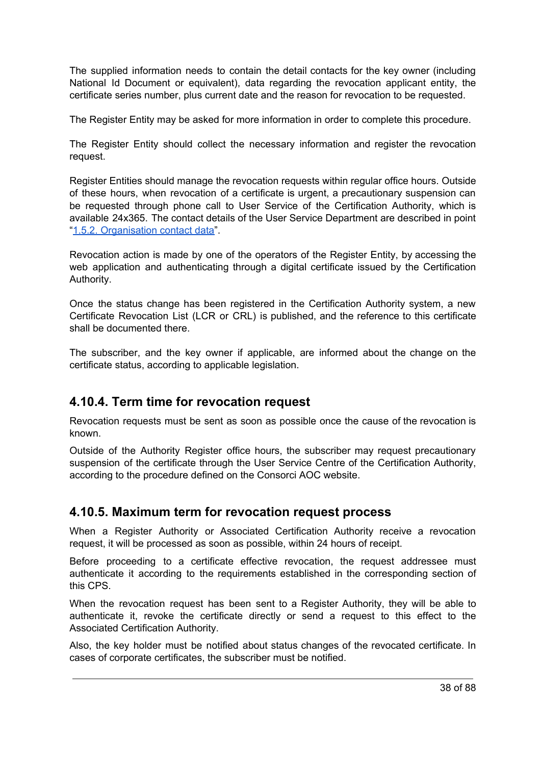The supplied information needs to contain the detail contacts for the key owner (including National Id Document or equivalent), data regarding the revocation applicant entity, the certificate series number, plus current date and the reason for revocation to be requested.

The Register Entity may be asked for more information in order to complete this procedure.

The Register Entity should collect the necessary information and register the revocation request.

Register Entities should manage the revocation requests within regular office hours. Outside of these hours, when revocation of a certificate is urgent, a precautionary suspension can be requested through phone call to User Service of the Certification Authority, which is available 24x365. The contact details of the User Service Department are described in point "1.5.2. [Organisation](#page-22-0) contact data".

Revocation action is made by one of the operators of the Register Entity, by accessing the web application and authenticating through a digital certificate issued by the Certification Authority.

Once the status change has been registered in the Certification Authority system, a new Certificate Revocation List (LCR or CRL) is published, and the reference to this certificate shall be documented there.

The subscriber, and the key owner if applicable, are informed about the change on the certificate status, according to applicable legislation.

#### **4.10.4. Term time for revocation request**

Revocation requests must be sent as soon as possible once the cause of the revocation is known.

Outside of the Authority Register office hours, the subscriber may request precautionary suspension of the certificate through the User Service Centre of the Certification Authority, according to the procedure defined on the Consorci AOC website.

#### **4.10.5. Maximum term for revocation request process**

When a Register Authority or Associated Certification Authority receive a revocation request, it will be processed as soon as possible, within 24 hours of receipt.

Before proceeding to a certificate effective revocation, the request addressee must authenticate it according to the requirements established in the corresponding section of this CPS.

When the revocation request has been sent to a Register Authority, they will be able to authenticate it, revoke the certificate directly or send a request to this effect to the Associated Certification Authority.

Also, the key holder must be notified about status changes of the revocated certificate. In cases of corporate certificates, the subscriber must be notified.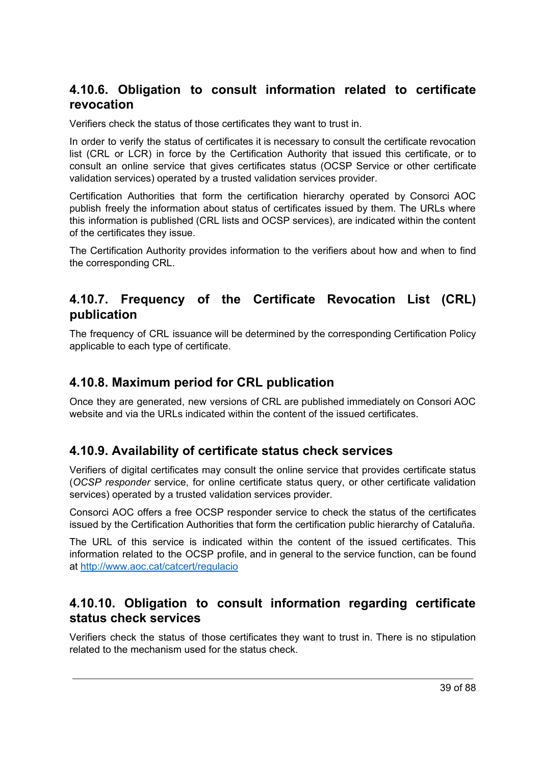#### **4.10.6. Obligation to consult information related to certificate revocation**

Verifiers check the status of those certificates they want to trust in.

In order to verify the status of certificates it is necessary to consult the certificate revocation list (CRL or LCR) in force by the Certification Authority that issued this certificate, or to consult an online service that gives certificates status (OCSP Service or other certificate validation services) operated by a trusted validation services provider.

Certification Authorities that form the certification hierarchy operated by Consorci AOC publish freely the information about status of certificates issued by them. The URLs where this information is published (CRL lists and OCSP services), are indicated within the content of the certificates they issue.

The Certification Authority provides information to the verifiers about how and when to find the corresponding CRL.

#### **4.10.7. Frequency of the Certificate Revocation List (CRL) publication**

The frequency of CRL issuance will be determined by the corresponding Certification Policy applicable to each type of certificate.

#### **4.10.8. Maximum period for CRL publication**

Once they are generated, new versions of CRL are published immediately on Consori AOC website and via the URLs indicated within the content of the issued certificates.

#### **4.10.9. Availability of certificate status check services**

Verifiers of digital certificates may consult the online service that provides certificate status (*OCSP responder* service, for online certificate status query, or other certificate validation services) operated by a trusted validation services provider.

Consorci AOC offers a free OCSP responder service to check the status of the certificates issued by the Certification Authorities that form the certification public hierarchy of Cataluña.

The URL of this service is indicated within the content of the issued certificates. This information related to the OCSP profile, and in general to the service function, can be found at <http://www.aoc.cat/catcert/regulacio>

#### **4.10.10. Obligation to consult information regarding certificate status check services**

Verifiers check the status of those certificates they want to trust in. There is no stipulation related to the mechanism used for the status check.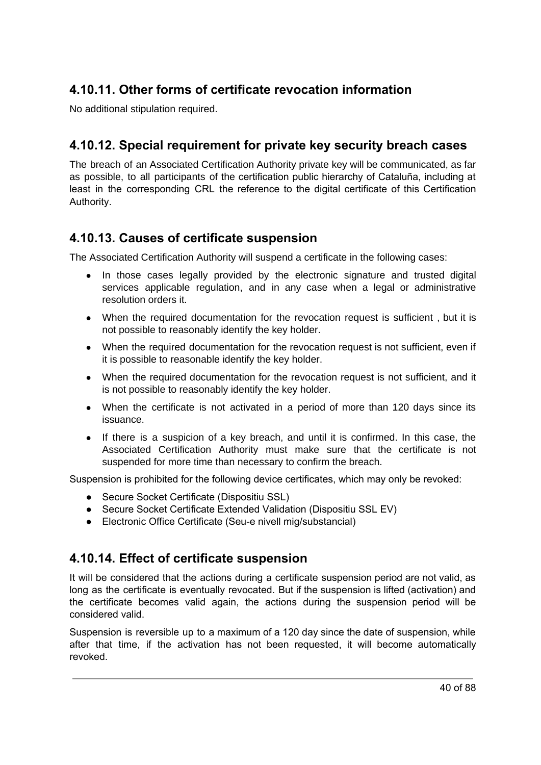#### **4.10.11. Other forms of certificate revocation information**

No additional stipulation required.

#### **4.10.12. Special requirement for private key security breach cases**

The breach of an Associated Certification Authority private key will be communicated, as far as possible, to all participants of the certification public hierarchy of Cataluña, including at least in the corresponding CRL the reference to the digital certificate of this Certification Authority.

#### **4.10.13. Causes of certificate suspension**

The Associated Certification Authority will suspend a certificate in the following cases:

- In those cases legally provided by the electronic signature and trusted digital services applicable regulation, and in any case when a legal or administrative resolution orders it.
- When the required documentation for the revocation request is sufficient, but it is not possible to reasonably identify the key holder.
- When the required documentation for the revocation request is not sufficient, even if it is possible to reasonable identify the key holder.
- When the required documentation for the revocation request is not sufficient, and it is not possible to reasonably identify the key holder.
- When the certificate is not activated in a period of more than 120 days since its issuance.
- If there is a suspicion of a key breach, and until it is confirmed. In this case, the Associated Certification Authority must make sure that the certificate is not suspended for more time than necessary to confirm the breach.

Suspension is prohibited for the following device certificates, which may only be revoked:

- Secure Socket Certificate (Dispositiu SSL)
- Secure Socket Certificate Extended Validation (Dispositiu SSL EV)
- Electronic Office Certificate (Seu-e nivell mig/substancial)

#### **4.10.14. Effect of certificate suspension**

It will be considered that the actions during a certificate suspension period are not valid, as long as the certificate is eventually revocated. But if the suspension is lifted (activation) and the certificate becomes valid again, the actions during the suspension period will be considered valid.

Suspension is reversible up to a maximum of a 120 day since the date of suspension, while after that time, if the activation has not been requested, it will become automatically revoked.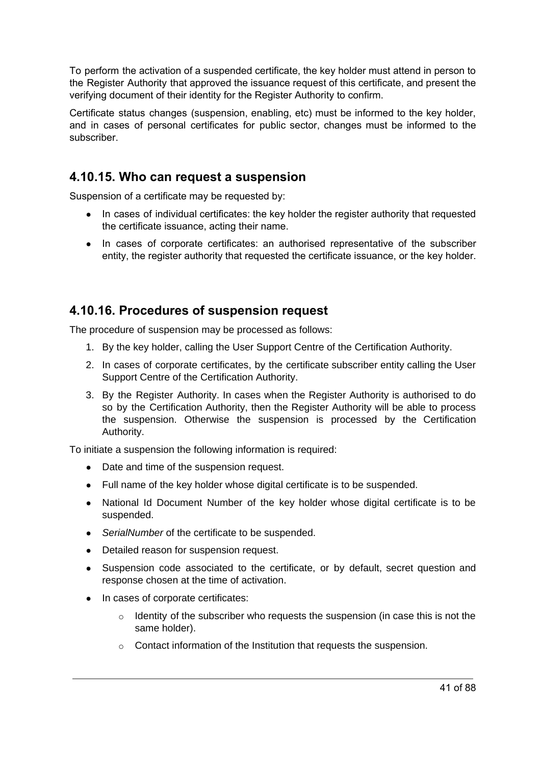To perform the activation of a suspended certificate, the key holder must attend in person to the Register Authority that approved the issuance request of this certificate, and present the verifying document of their identity for the Register Authority to confirm.

Certificate status changes (suspension, enabling, etc) must be informed to the key holder, and in cases of personal certificates for public sector, changes must be informed to the subscriber.

#### **4.10.15. Who can request a suspension**

Suspension of a certificate may be requested by:

- In cases of individual certificates: the key holder the register authority that requested the certificate issuance, acting their name.
- In cases of corporate certificates: an authorised representative of the subscriber entity, the register authority that requested the certificate issuance, or the key holder.

#### **4.10.16. Procedures of suspension request**

The procedure of suspension may be processed as follows:

- 1. By the key holder, calling the User Support Centre of the Certification Authority.
- 2. In cases of corporate certificates, by the certificate subscriber entity calling the User Support Centre of the Certification Authority.
- 3. By the Register Authority. In cases when the Register Authority is authorised to do so by the Certification Authority, then the Register Authority will be able to process the suspension. Otherwise the suspension is processed by the Certification Authority.

To initiate a suspension the following information is required:

- Date and time of the suspension request.
- Full name of the key holder whose digital certificate is to be suspended.
- National Id Document Number of the key holder whose digital certificate is to be suspended.
- *SerialNumber* of the certificate to be suspended.
- Detailed reason for suspension request.
- Suspension code associated to the certificate, or by default, secret question and response chosen at the time of activation.
- In cases of corporate certificates:
	- o Identity of the subscriber who requests the suspension (in case this is not the same holder).
	- o Contact information of the Institution that requests the suspension.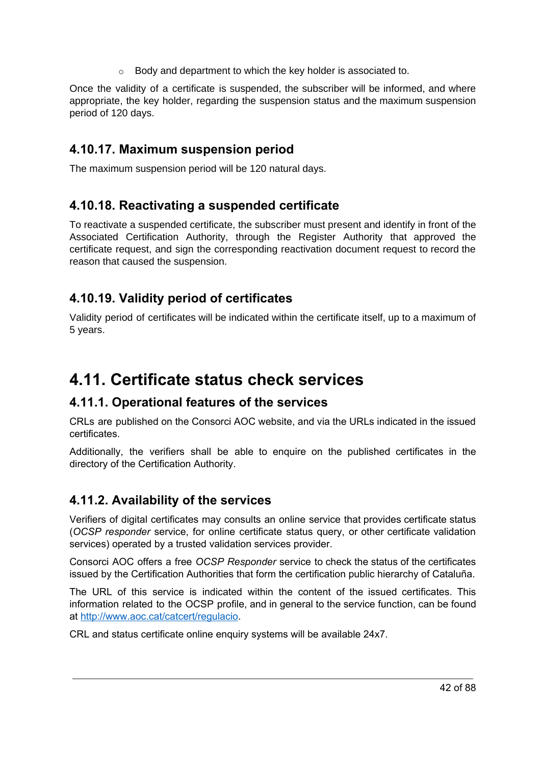$\circ$  Body and department to which the key holder is associated to.

Once the validity of a certificate is suspended, the subscriber will be informed, and where appropriate, the key holder, regarding the suspension status and the maximum suspension period of 120 days.

#### **4.10.17. Maximum suspension period**

The maximum suspension period will be 120 natural days.

#### **4.10.18. Reactivating a suspended certificate**

To reactivate a suspended certificate, the subscriber must present and identify in front of the Associated Certification Authority, through the Register Authority that approved the certificate request, and sign the corresponding reactivation document request to record the reason that caused the suspension.

#### **4.10.19. Validity period of certificates**

Validity period of certificates will be indicated within the certificate itself, up to a maximum of 5 years.

### **4.11. Certificate status check services**

#### **4.11.1. Operational features of the services**

CRLs are published on the Consorci AOC website, and via the URLs indicated in the issued certificates.

Additionally, the verifiers shall be able to enquire on the published certificates in the directory of the Certification Authority.

#### **4.11.2. Availability of the services**

Verifiers of digital certificates may consults an online service that provides certificate status (*OCSP responder* service, for online certificate status query, or other certificate validation services) operated by a trusted validation services provider.

Consorci AOC offers a free *OCSP Responder* service to check the status of the certificates issued by the Certification Authorities that form the certification public hierarchy of Cataluña.

The URL of this service is indicated within the content of the issued certificates. This information related to the OCSP profile, and in general to the service function, can be found at [http://www.aoc.cat/catcert/regulacio.](http://www.aoc.cat/catcert/regulacio)

CRL and status certificate online enquiry systems will be available 24x7.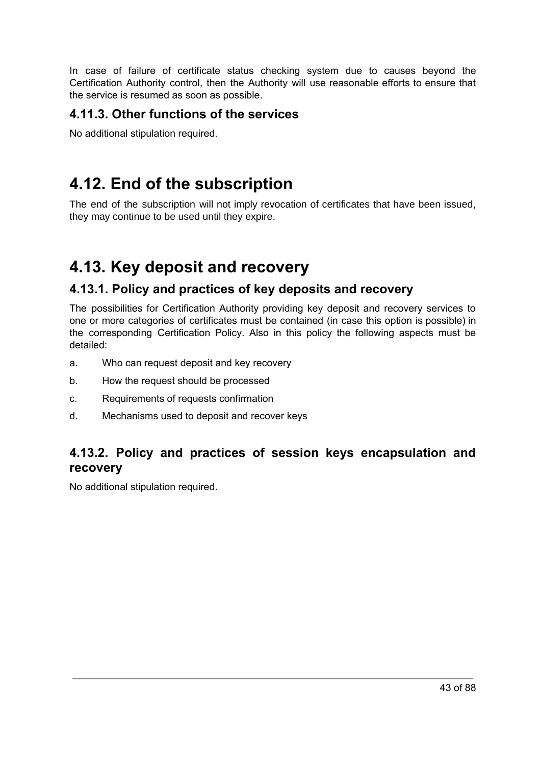In case of failure of certificate status checking system due to causes beyond the Certification Authority control, then the Authority will use reasonable efforts to ensure that the service is resumed as soon as possible.

#### **4.11.3. Other functions of the services**

No additional stipulation required.

### **4.12. End of the subscription**

The end of the subscription will not imply revocation of certificates that have been issued, they may continue to be used until they expire.

# **4.13. Key deposit and recovery**

#### **4.13.1. Policy and practices of key deposits and recovery**

The possibilities for Certification Authority providing key deposit and recovery services to one or more categories of certificates must be contained (in case this option is possible) in the corresponding Certification Policy. Also in this policy the following aspects must be detailed:

- a. Who can request deposit and key recovery
- b. How the request should be processed
- c. Requirements of requests confirmation
- d. Mechanisms used to deposit and recover keys

#### **4.13.2. Policy and practices of session keys encapsulation and recovery**

No additional stipulation required.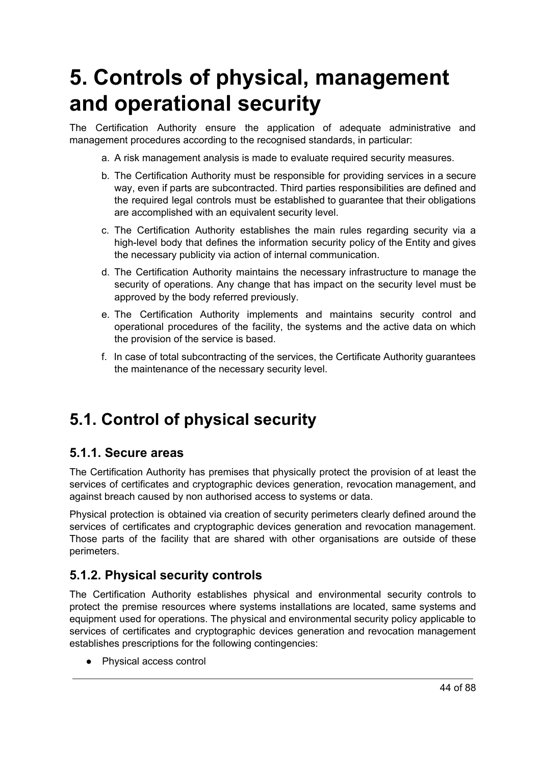# **5. Controls of physical, management and operational security**

The Certification Authority ensure the application of adequate administrative and management procedures according to the recognised standards, in particular:

- a. A risk management analysis is made to evaluate required security measures.
- b. The Certification Authority must be responsible for providing services in a secure way, even if parts are subcontracted. Third parties responsibilities are defined and the required legal controls must be established to guarantee that their obligations are accomplished with an equivalent security level.
- c. The Certification Authority establishes the main rules regarding security via a high-level body that defines the information security policy of the Entity and gives the necessary publicity via action of internal communication.
- d. The Certification Authority maintains the necessary infrastructure to manage the security of operations. Any change that has impact on the security level must be approved by the body referred previously.
- e. The Certification Authority implements and maintains security control and operational procedures of the facility, the systems and the active data on which the provision of the service is based.
- f. In case of total subcontracting of the services, the Certificate Authority guarantees the maintenance of the necessary security level.

### **5.1. Control of physical security**

#### **5.1.1. Secure areas**

The Certification Authority has premises that physically protect the provision of at least the services of certificates and cryptographic devices generation, revocation management, and against breach caused by non authorised access to systems or data.

Physical protection is obtained via creation of security perimeters clearly defined around the services of certificates and cryptographic devices generation and revocation management. Those parts of the facility that are shared with other organisations are outside of these perimeters.

#### **5.1.2. Physical security controls**

The Certification Authority establishes physical and environmental security controls to protect the premise resources where systems installations are located, same systems and equipment used for operations. The physical and environmental security policy applicable to services of certificates and cryptographic devices generation and revocation management establishes prescriptions for the following contingencies:

● Physical access control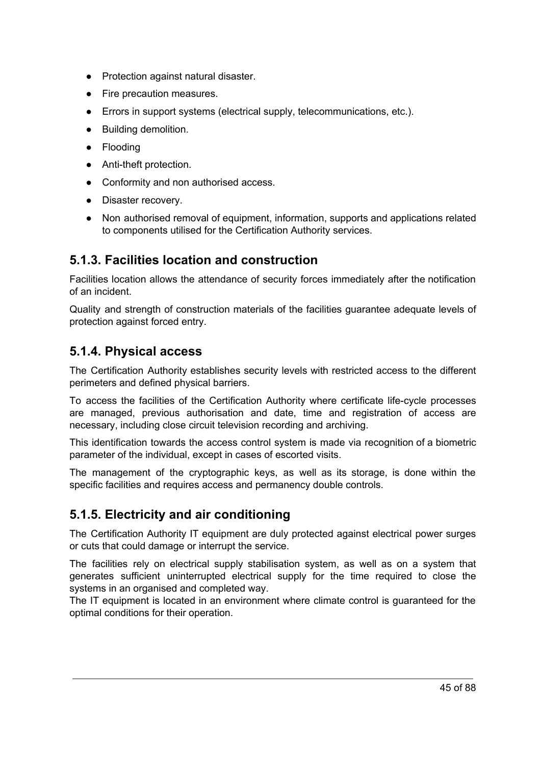- Protection against natural disaster.
- Fire precaution measures.
- Errors in support systems (electrical supply, telecommunications, etc.).
- Building demolition.
- Flooding
- Anti-theft protection.
- Conformity and non authorised access.
- Disaster recovery.
- Non authorised removal of equipment, information, supports and applications related to components utilised for the Certification Authority services.

#### **5.1.3. Facilities location and construction**

Facilities location allows the attendance of security forces immediately after the notification of an incident.

Quality and strength of construction materials of the facilities guarantee adequate levels of protection against forced entry.

#### **5.1.4. Physical access**

The Certification Authority establishes security levels with restricted access to the different perimeters and defined physical barriers.

To access the facilities of the Certification Authority where certificate life-cycle processes are managed, previous authorisation and date, time and registration of access are necessary, including close circuit television recording and archiving.

This identification towards the access control system is made via recognition of a biometric parameter of the individual, except in cases of escorted visits.

The management of the cryptographic keys, as well as its storage, is done within the specific facilities and requires access and permanency double controls.

#### **5.1.5. Electricity and air conditioning**

The Certification Authority IT equipment are duly protected against electrical power surges or cuts that could damage or interrupt the service.

The facilities rely on electrical supply stabilisation system, as well as on a system that generates sufficient uninterrupted electrical supply for the time required to close the systems in an organised and completed way.

The IT equipment is located in an environment where climate control is guaranteed for the optimal conditions for their operation.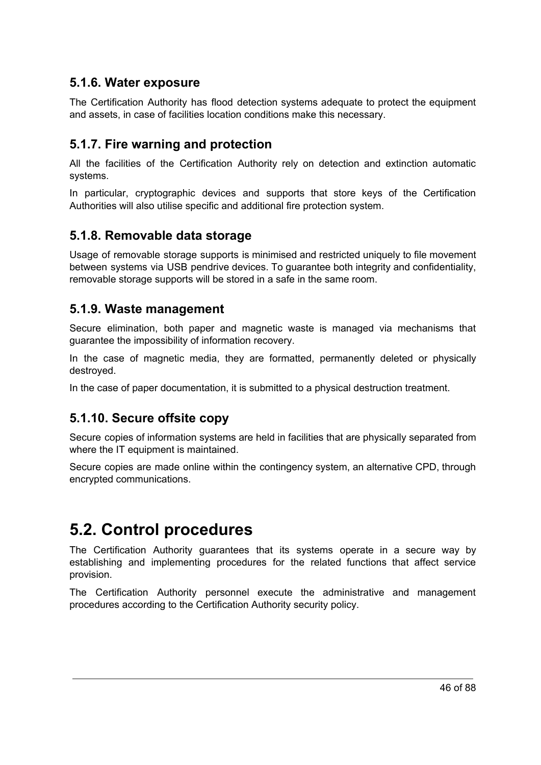#### **5.1.6. Water exposure**

The Certification Authority has flood detection systems adequate to protect the equipment and assets, in case of facilities location conditions make this necessary.

#### **5.1.7. Fire warning and protection**

All the facilities of the Certification Authority rely on detection and extinction automatic systems.

In particular, cryptographic devices and supports that store keys of the Certification Authorities will also utilise specific and additional fire protection system.

#### **5.1.8. Removable data storage**

Usage of removable storage supports is minimised and restricted uniquely to file movement between systems via USB pendrive devices. To guarantee both integrity and confidentiality, removable storage supports will be stored in a safe in the same room.

#### **5.1.9. Waste management**

Secure elimination, both paper and magnetic waste is managed via mechanisms that guarantee the impossibility of information recovery.

In the case of magnetic media, they are formatted, permanently deleted or physically destroyed.

In the case of paper documentation, it is submitted to a physical destruction treatment.

#### **5.1.10. Secure offsite copy**

Secure copies of information systems are held in facilities that are physically separated from where the IT equipment is maintained.

Secure copies are made online within the contingency system, an alternative CPD, through encrypted communications.

### **5.2. Control procedures**

The Certification Authority guarantees that its systems operate in a secure way by establishing and implementing procedures for the related functions that affect service provision.

The Certification Authority personnel execute the administrative and management procedures according to the Certification Authority security policy.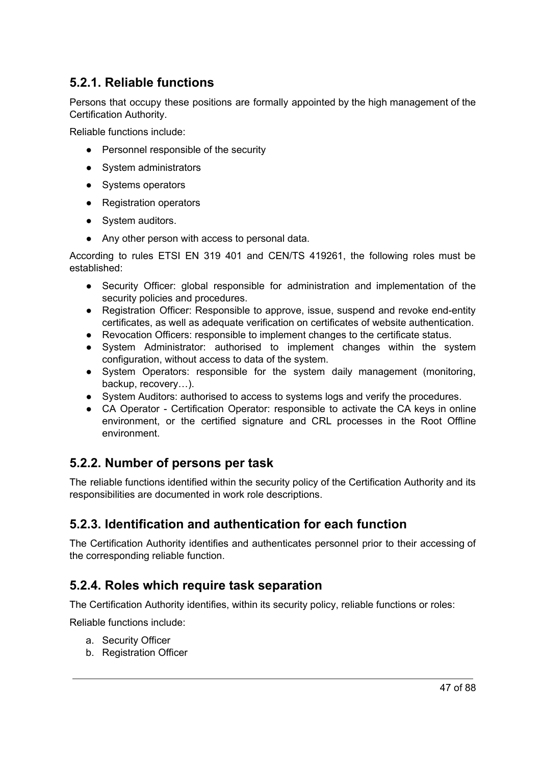#### **5.2.1. Reliable functions**

Persons that occupy these positions are formally appointed by the high management of the Certification Authority.

Reliable functions include:

- Personnel responsible of the security
- System administrators
- Systems operators
- Registration operators
- System auditors.
- Any other person with access to personal data.

According to rules ETSI EN 319 401 and CEN/TS 419261, the following roles must be established:

- Security Officer: global responsible for administration and implementation of the security policies and procedures.
- Registration Officer: Responsible to approve, issue, suspend and revoke end-entity certificates, as well as adequate verification on certificates of website authentication.
- Revocation Officers: responsible to implement changes to the certificate status.
- System Administrator: authorised to implement changes within the system configuration, without access to data of the system.
- System Operators: responsible for the system daily management (monitoring, backup, recovery…).
- System Auditors: authorised to access to systems logs and verify the procedures.
- CA Operator Certification Operator: responsible to activate the CA keys in online environment, or the certified signature and CRL processes in the Root Offline environment.

#### **5.2.2. Number of persons per task**

The reliable functions identified within the security policy of the Certification Authority and its responsibilities are documented in work role descriptions.

#### **5.2.3. Identification and authentication for each function**

The Certification Authority identifies and authenticates personnel prior to their accessing of the corresponding reliable function.

#### **5.2.4. Roles which require task separation**

The Certification Authority identifies, within its security policy, reliable functions or roles:

Reliable functions include:

- a. Security Officer
- b. Registration Officer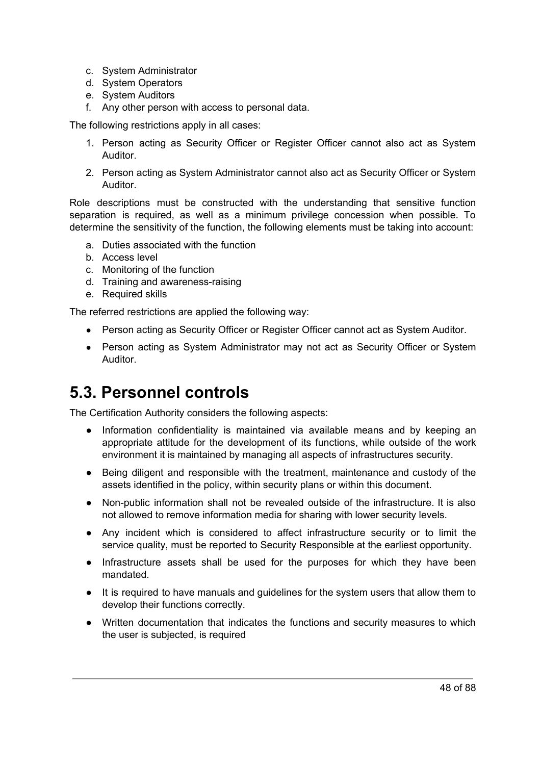- c. System Administrator
- d. System Operators
- e. System Auditors
- f. Any other person with access to personal data.

The following restrictions apply in all cases:

- 1. Person acting as Security Officer or Register Officer cannot also act as System Auditor.
- 2. Person acting as System Administrator cannot also act as Security Officer or System Auditor.

Role descriptions must be constructed with the understanding that sensitive function separation is required, as well as a minimum privilege concession when possible. To determine the sensitivity of the function, the following elements must be taking into account:

- a. Duties associated with the function
- b. Access level
- c. Monitoring of the function
- d. Training and awareness-raising
- e. Required skills

The referred restrictions are applied the following way:

- Person acting as Security Officer or Register Officer cannot act as System Auditor.
- Person acting as System Administrator may not act as Security Officer or System Auditor.

### **5.3. Personnel controls**

The Certification Authority considers the following aspects:

- Information confidentiality is maintained via available means and by keeping an appropriate attitude for the development of its functions, while outside of the work environment it is maintained by managing all aspects of infrastructures security.
- Being diligent and responsible with the treatment, maintenance and custody of the assets identified in the policy, within security plans or within this document.
- Non-public information shall not be revealed outside of the infrastructure. It is also not allowed to remove information media for sharing with lower security levels.
- Any incident which is considered to affect infrastructure security or to limit the service quality, must be reported to Security Responsible at the earliest opportunity.
- Infrastructure assets shall be used for the purposes for which they have been mandated.
- It is required to have manuals and guidelines for the system users that allow them to develop their functions correctly.
- Written documentation that indicates the functions and security measures to which the user is subjected, is required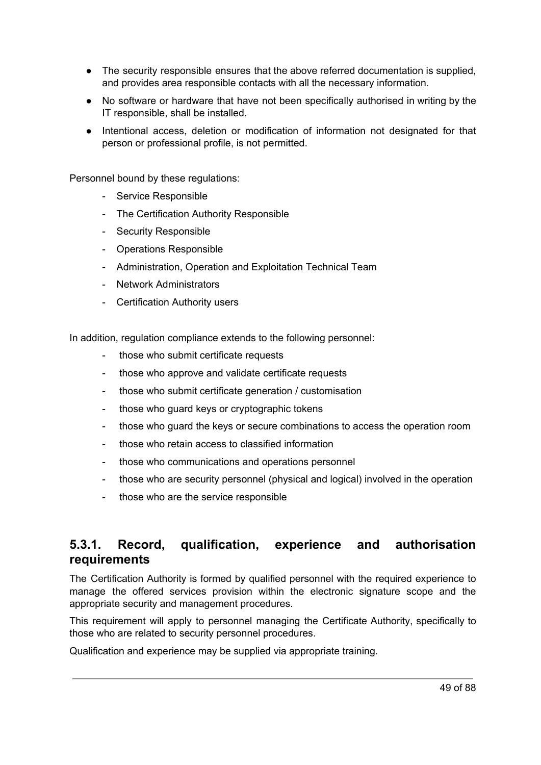- The security responsible ensures that the above referred documentation is supplied, and provides area responsible contacts with all the necessary information.
- No software or hardware that have not been specifically authorised in writing by the IT responsible, shall be installed.
- Intentional access, deletion or modification of information not designated for that person or professional profile, is not permitted.

Personnel bound by these regulations:

- Service Responsible
- The Certification Authority Responsible
- Security Responsible
- Operations Responsible
- Administration, Operation and Exploitation Technical Team
- Network Administrators
- Certification Authority users

In addition, regulation compliance extends to the following personnel:

- those who submit certificate requests
- those who approve and validate certificate requests
- those who submit certificate generation / customisation
- those who guard keys or cryptographic tokens
- those who guard the keys or secure combinations to access the operation room
- those who retain access to classified information
- those who communications and operations personnel
- those who are security personnel (physical and logical) involved in the operation
- those who are the service responsible

#### **5.3.1. Record, qualification, experience and authorisation requirements**

The Certification Authority is formed by qualified personnel with the required experience to manage the offered services provision within the electronic signature scope and the appropriate security and management procedures.

This requirement will apply to personnel managing the Certificate Authority, specifically to those who are related to security personnel procedures.

Qualification and experience may be supplied via appropriate training.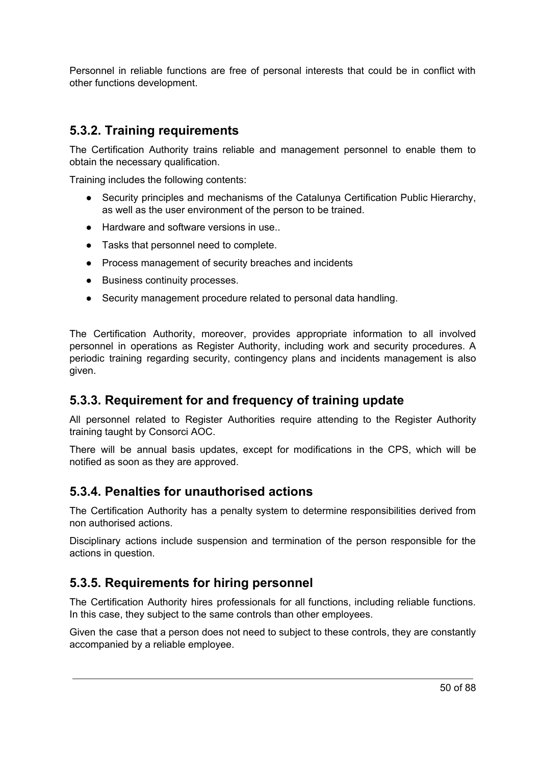Personnel in reliable functions are free of personal interests that could be in conflict with other functions development.

#### **5.3.2. Training requirements**

The Certification Authority trains reliable and management personnel to enable them to obtain the necessary qualification.

Training includes the following contents:

- Security principles and mechanisms of the Catalunya Certification Public Hierarchy, as well as the user environment of the person to be trained.
- Hardware and software versions in use...
- Tasks that personnel need to complete.
- Process management of security breaches and incidents
- Business continuity processes.
- Security management procedure related to personal data handling.

The Certification Authority, moreover, provides appropriate information to all involved personnel in operations as Register Authority, including work and security procedures. A periodic training regarding security, contingency plans and incidents management is also given.

#### **5.3.3. Requirement for and frequency of training update**

All personnel related to Register Authorities require attending to the Register Authority training taught by Consorci AOC.

There will be annual basis updates, except for modifications in the CPS, which will be notified as soon as they are approved.

#### **5.3.4. Penalties for unauthorised actions**

The Certification Authority has a penalty system to determine responsibilities derived from non authorised actions.

Disciplinary actions include suspension and termination of the person responsible for the actions in question.

#### **5.3.5. Requirements for hiring personnel**

The Certification Authority hires professionals for all functions, including reliable functions. In this case, they subject to the same controls than other employees.

Given the case that a person does not need to subject to these controls, they are constantly accompanied by a reliable employee.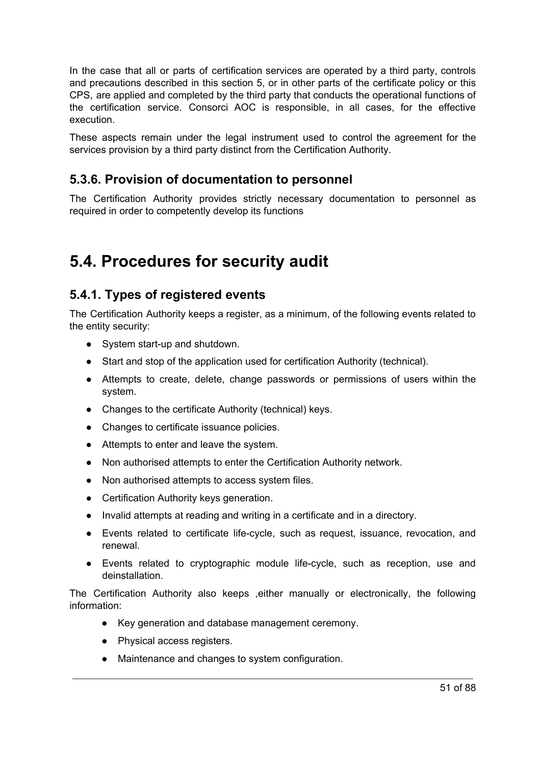In the case that all or parts of certification services are operated by a third party, controls and precautions described in this section 5, or in other parts of the certificate policy or this CPS, are applied and completed by the third party that conducts the operational functions of the certification service. Consorci AOC is responsible, in all cases, for the effective execution.

These aspects remain under the legal instrument used to control the agreement for the services provision by a third party distinct from the Certification Authority.

#### **5.3.6. Provision of documentation to personnel**

The Certification Authority provides strictly necessary documentation to personnel as required in order to competently develop its functions

### **5.4. Procedures for security audit**

#### **5.4.1. Types of registered events**

The Certification Authority keeps a register, as a minimum, of the following events related to the entity security:

- System start-up and shutdown.
- Start and stop of the application used for certification Authority (technical).
- Attempts to create, delete, change passwords or permissions of users within the system.
- Changes to the certificate Authority (technical) keys.
- Changes to certificate issuance policies.
- Attempts to enter and leave the system.
- Non authorised attempts to enter the Certification Authority network.
- Non authorised attempts to access system files.
- Certification Authority keys generation.
- Invalid attempts at reading and writing in a certificate and in a directory.
- Events related to certificate life-cycle, such as request, issuance, revocation, and renewal.
- Events related to cryptographic module life-cycle, such as reception, use and deinstallation.

The Certification Authority also keeps ,either manually or electronically, the following information:

- Key generation and database management ceremony.
- Physical access registers.
- Maintenance and changes to system configuration.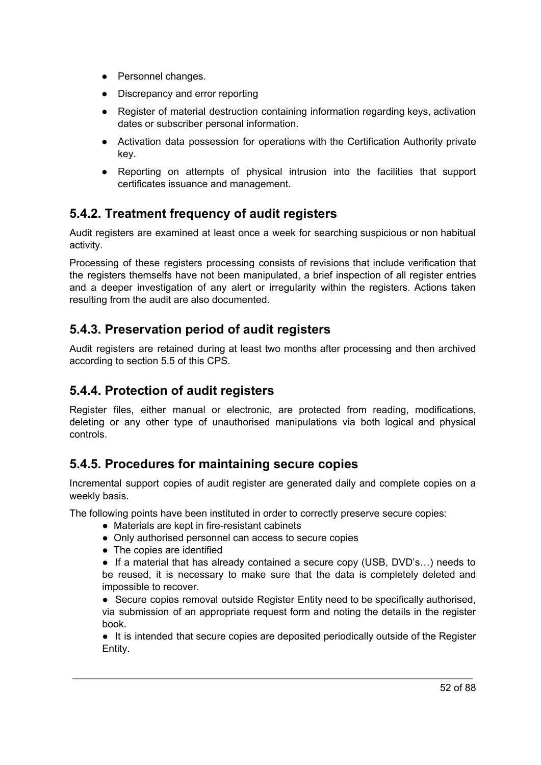- Personnel changes.
- Discrepancy and error reporting
- Register of material destruction containing information regarding keys, activation dates or subscriber personal information.
- Activation data possession for operations with the Certification Authority private key.
- Reporting on attempts of physical intrusion into the facilities that support certificates issuance and management.

#### **5.4.2. Treatment frequency of audit registers**

Audit registers are examined at least once a week for searching suspicious or non habitual activity.

Processing of these registers processing consists of revisions that include verification that the registers themselfs have not been manipulated, a brief inspection of all register entries and a deeper investigation of any alert or irregularity within the registers. Actions taken resulting from the audit are also documented.

#### **5.4.3. Preservation period of audit registers**

Audit registers are retained during at least two months after processing and then archived according to section 5.5 of this CPS.

#### **5.4.4. Protection of audit registers**

Register files, either manual or electronic, are protected from reading, modifications, deleting or any other type of unauthorised manipulations via both logical and physical controls.

#### **5.4.5. Procedures for maintaining secure copies**

Incremental support copies of audit register are generated daily and complete copies on a weekly basis.

The following points have been instituted in order to correctly preserve secure copies:

- Materials are kept in fire-resistant cabinets
- Only authorised personnel can access to secure copies
- The copies are identified

• If a material that has already contained a secure copy (USB, DVD's...) needs to be reused, it is necessary to make sure that the data is completely deleted and impossible to recover.

● Secure copies removal outside Register Entity need to be specifically authorised, via submission of an appropriate request form and noting the details in the register book.

● It is intended that secure copies are deposited periodically outside of the Register Entity.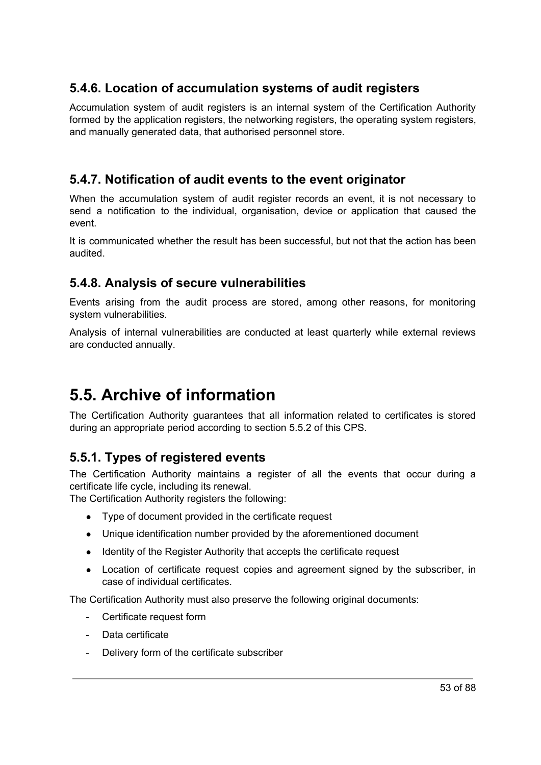#### **5.4.6. Location of accumulation systems of audit registers**

Accumulation system of audit registers is an internal system of the Certification Authority formed by the application registers, the networking registers, the operating system registers, and manually generated data, that authorised personnel store.

#### **5.4.7. Notification of audit events to the event originator**

When the accumulation system of audit register records an event, it is not necessary to send a notification to the individual, organisation, device or application that caused the event.

It is communicated whether the result has been successful, but not that the action has been audited.

#### **5.4.8. Analysis of secure vulnerabilities**

Events arising from the audit process are stored, among other reasons, for monitoring system vulnerabilities.

Analysis of internal vulnerabilities are conducted at least quarterly while external reviews are conducted annually.

# **5.5. Archive of information**

The Certification Authority guarantees that all information related to certificates is stored during an appropriate period according to section 5.5.2 of this CPS.

#### **5.5.1. Types of registered events**

The Certification Authority maintains a register of all the events that occur during a certificate life cycle, including its renewal.

The Certification Authority registers the following:

- Type of document provided in the certificate request
- Unique identification number provided by the aforementioned document
- Identity of the Register Authority that accepts the certificate request
- Location of certificate request copies and agreement signed by the subscriber, in case of individual certificates.

The Certification Authority must also preserve the following original documents:

- Certificate request form
- Data certificate
- Delivery form of the certificate subscriber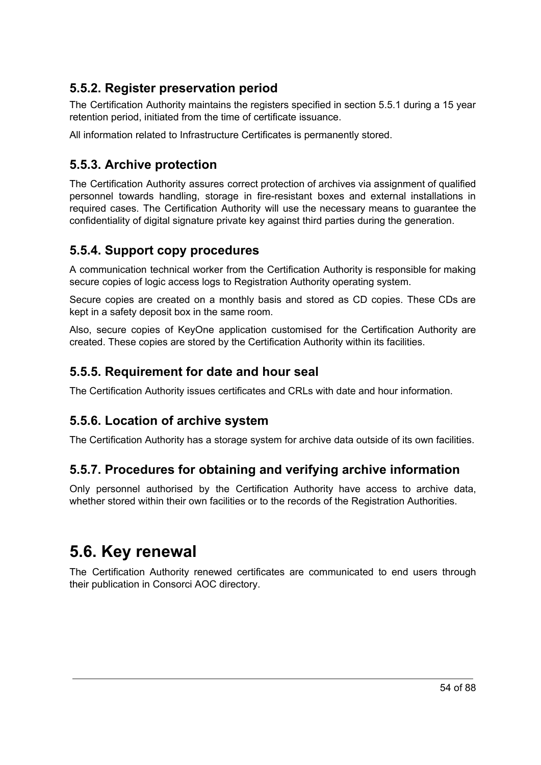#### **5.5.2. Register preservation period**

The Certification Authority maintains the registers specified in section 5.5.1 during a 15 year retention period, initiated from the time of certificate issuance.

All information related to Infrastructure Certificates is permanently stored.

#### **5.5.3. Archive protection**

The Certification Authority assures correct protection of archives via assignment of qualified personnel towards handling, storage in fire-resistant boxes and external installations in required cases. The Certification Authority will use the necessary means to guarantee the confidentiality of digital signature private key against third parties during the generation.

#### **5.5.4. Support copy procedures**

A communication technical worker from the Certification Authority is responsible for making secure copies of logic access logs to Registration Authority operating system.

Secure copies are created on a monthly basis and stored as CD copies. These CDs are kept in a safety deposit box in the same room.

Also, secure copies of KeyOne application customised for the Certification Authority are created. These copies are stored by the Certification Authority within its facilities.

#### **5.5.5. Requirement for date and hour seal**

The Certification Authority issues certificates and CRLs with date and hour information.

#### **5.5.6. Location of archive system**

The Certification Authority has a storage system for archive data outside of its own facilities.

#### **5.5.7. Procedures for obtaining and verifying archive information**

Only personnel authorised by the Certification Authority have access to archive data, whether stored within their own facilities or to the records of the Registration Authorities.

### **5.6. Key renewal**

The Certification Authority renewed certificates are communicated to end users through their publication in Consorci AOC directory.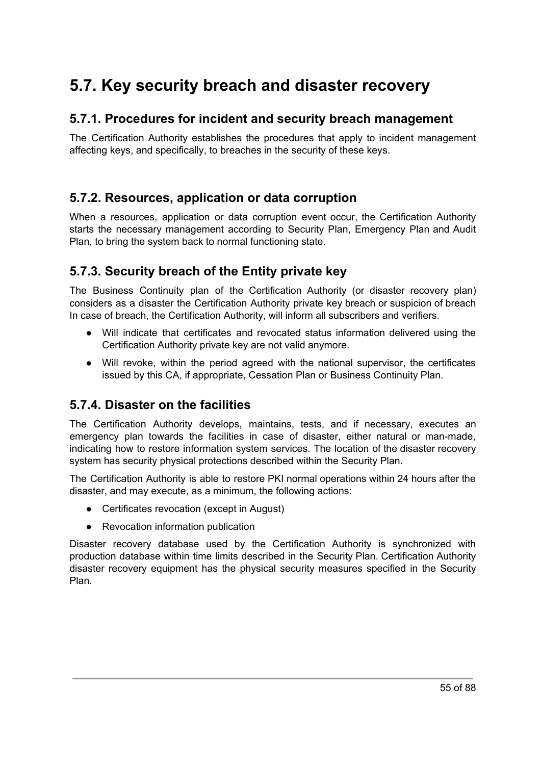# **5.7. Key security breach and disaster recovery**

#### **5.7.1. Procedures for incident and security breach management**

The Certification Authority establishes the procedures that apply to incident management affecting keys, and specifically, to breaches in the security of these keys.

#### **5.7.2. Resources, application or data corruption**

When a resources, application or data corruption event occur, the Certification Authority starts the necessary management according to Security Plan, Emergency Plan and Audit Plan, to bring the system back to normal functioning state.

#### **5.7.3. Security breach of the Entity private key**

The Business Continuity plan of the Certification Authority (or disaster recovery plan) considers as a disaster the Certification Authority private key breach or suspicion of breach In case of breach, the Certification Authority, will inform all subscribers and verifiers.

- Will indicate that certificates and revocated status information delivered using the Certification Authority private key are not valid anymore.
- Will revoke, within the period agreed with the national supervisor, the certificates issued by this CA, if appropriate, Cessation Plan or Business Continuity Plan.

#### **5.7.4. Disaster on the facilities**

The Certification Authority develops, maintains, tests, and if necessary, executes an emergency plan towards the facilities in case of disaster, either natural or man-made, indicating how to restore information system services. The location of the disaster recovery system has security physical protections described within the Security Plan.

The Certification Authority is able to restore PKI normal operations within 24 hours after the disaster, and may execute, as a minimum, the following actions:

- Certificates revocation (except in August)
- Revocation information publication

Disaster recovery database used by the Certification Authority is synchronized with production database within time limits described in the Security Plan. Certification Authority disaster recovery equipment has the physical security measures specified in the Security Plan.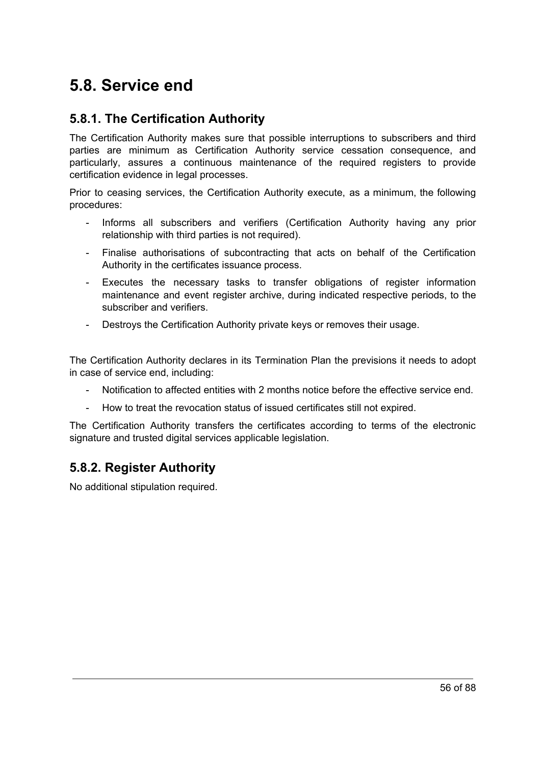### **5.8. Service end**

#### **5.8.1. The Certification Authority**

The Certification Authority makes sure that possible interruptions to subscribers and third parties are minimum as Certification Authority service cessation consequence, and particularly, assures a continuous maintenance of the required registers to provide certification evidence in legal processes.

Prior to ceasing services, the Certification Authority execute, as a minimum, the following procedures:

- Informs all subscribers and verifiers (Certification Authority having any prior relationship with third parties is not required).
- Finalise authorisations of subcontracting that acts on behalf of the Certification Authority in the certificates issuance process.
- Executes the necessary tasks to transfer obligations of register information maintenance and event register archive, during indicated respective periods, to the subscriber and verifiers.
- Destroys the Certification Authority private keys or removes their usage.

The Certification Authority declares in its Termination Plan the previsions it needs to adopt in case of service end, including:

- Notification to affected entities with 2 months notice before the effective service end.
- How to treat the revocation status of issued certificates still not expired.

The Certification Authority transfers the certificates according to terms of the electronic signature and trusted digital services applicable legislation.

#### **5.8.2. Register Authority**

No additional stipulation required.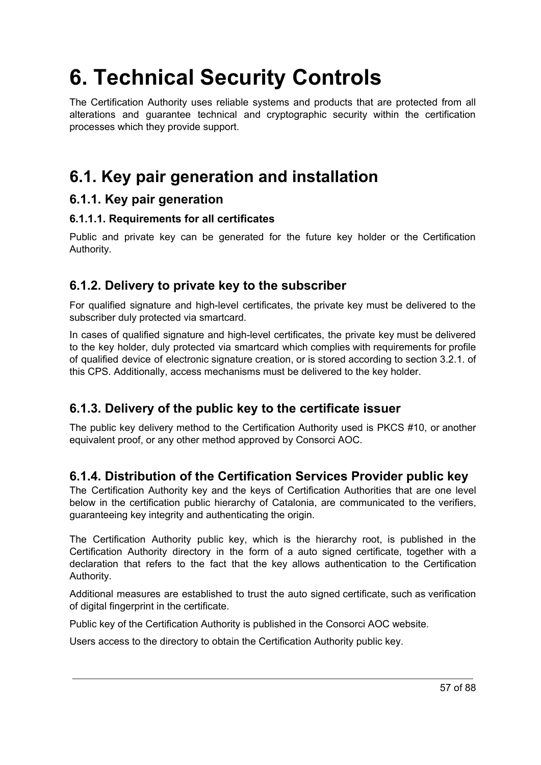# **6. Technical Security Controls**

The Certification Authority uses reliable systems and products that are protected from all alterations and guarantee technical and cryptographic security within the certification processes which they provide support.

# **6.1. Key pair generation and installation**

#### **6.1.1. Key pair generation**

#### **6.1.1.1. Requirements for all certificates**

Public and private key can be generated for the future key holder or the Certification Authority.

#### **6.1.2. Delivery to private key to the subscriber**

For qualified signature and high-level certificates, the private key must be delivered to the subscriber duly protected via smartcard.

In cases of qualified signature and high-level certificates, the private key must be delivered to the key holder, duly protected via smartcard which complies with requirements for profile of qualified device of electronic signature creation, or is stored according to section 3.2.1. of this CPS. Additionally, access mechanisms must be delivered to the key holder.

#### **6.1.3. Delivery of the public key to the certificate issuer**

The public key delivery method to the Certification Authority used is PKCS #10, or another equivalent proof, or any other method approved by Consorci AOC.

#### **6.1.4. Distribution of the Certification Services Provider public key**

The Certification Authority key and the keys of Certification Authorities that are one level below in the certification public hierarchy of Catalonia, are communicated to the verifiers, guaranteeing key integrity and authenticating the origin.

The Certification Authority public key, which is the hierarchy root, is published in the Certification Authority directory in the form of a auto signed certificate, together with a declaration that refers to the fact that the key allows authentication to the Certification Authority.

Additional measures are established to trust the auto signed certificate, such as verification of digital fingerprint in the certificate.

Public key of the Certification Authority is published in the Consorci AOC website.

Users access to the directory to obtain the Certification Authority public key.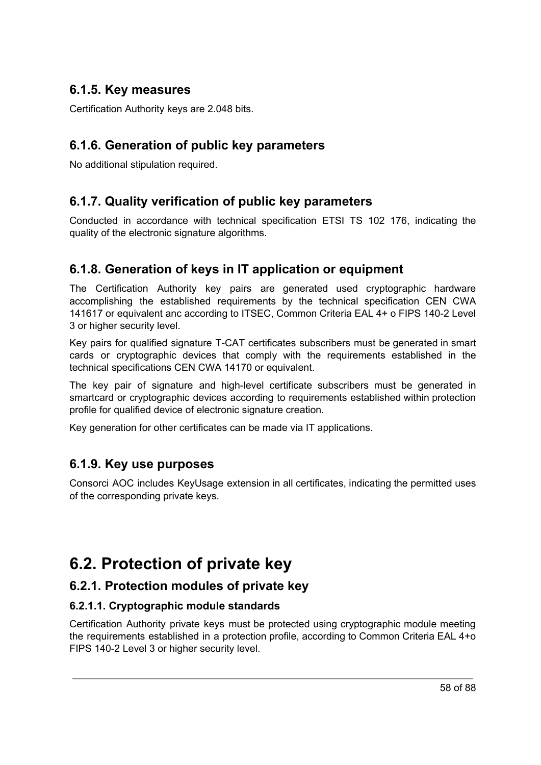#### **6.1.5. Key measures**

Certification Authority keys are 2.048 bits.

#### **6.1.6. Generation of public key parameters**

No additional stipulation required.

#### **6.1.7. Quality verification of public key parameters**

Conducted in accordance with technical specification ETSI TS 102 176, indicating the quality of the electronic signature algorithms.

#### **6.1.8. Generation of keys in IT application or equipment**

The Certification Authority key pairs are generated used cryptographic hardware accomplishing the established requirements by the technical specification CEN CWA 141617 or equivalent anc according to ITSEC, Common Criteria EAL 4+ o FIPS 140-2 Level 3 or higher security level.

Key pairs for qualified signature T-CAT certificates subscribers must be generated in smart cards or cryptographic devices that comply with the requirements established in the technical specifications CEN CWA 14170 or equivalent.

The key pair of signature and high-level certificate subscribers must be generated in smartcard or cryptographic devices according to requirements established within protection profile for qualified device of electronic signature creation.

Key generation for other certificates can be made via IT applications.

#### **6.1.9. Key use purposes**

Consorci AOC includes KeyUsage extension in all certificates, indicating the permitted uses of the corresponding private keys.

# **6.2. Protection of private key**

#### **6.2.1. Protection modules of private key**

#### **6.2.1.1. Cryptographic module standards**

Certification Authority private keys must be protected using cryptographic module meeting the requirements established in a protection profile, according to Common Criteria EAL 4+o FIPS 140-2 Level 3 or higher security level.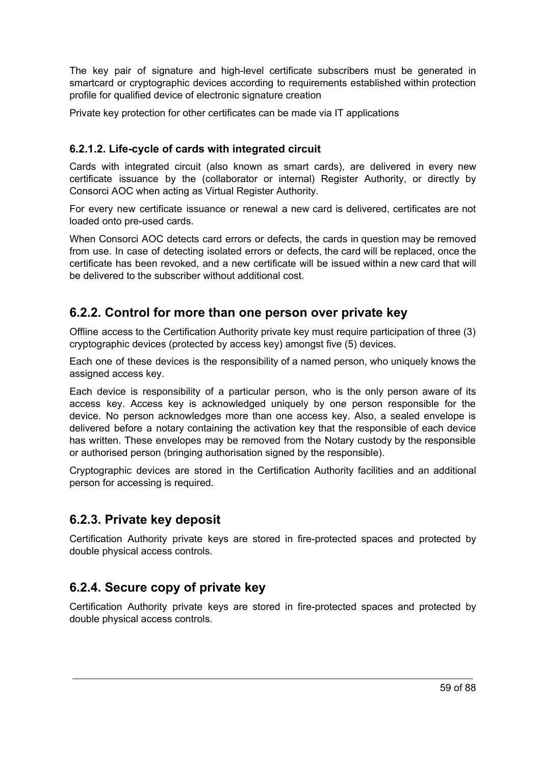The key pair of signature and high-level certificate subscribers must be generated in smartcard or cryptographic devices according to requirements established within protection profile for qualified device of electronic signature creation

Private key protection for other certificates can be made via IT applications

#### **6.2.1.2. Life-cycle of cards with integrated circuit**

Cards with integrated circuit (also known as smart cards), are delivered in every new certificate issuance by the (collaborator or internal) Register Authority, or directly by Consorci AOC when acting as Virtual Register Authority.

For every new certificate issuance or renewal a new card is delivered, certificates are not loaded onto pre-used cards.

When Consorci AOC detects card errors or defects, the cards in question may be removed from use. In case of detecting isolated errors or defects, the card will be replaced, once the certificate has been revoked, and a new certificate will be issued within a new card that will be delivered to the subscriber without additional cost.

#### **6.2.2. Control for more than one person over private key**

Offline access to the Certification Authority private key must require participation of three (3) cryptographic devices (protected by access key) amongst five (5) devices.

Each one of these devices is the responsibility of a named person, who uniquely knows the assigned access key.

Each device is responsibility of a particular person, who is the only person aware of its access key. Access key is acknowledged uniquely by one person responsible for the device. No person acknowledges more than one access key. Also, a sealed envelope is delivered before a notary containing the activation key that the responsible of each device has written. These envelopes may be removed from the Notary custody by the responsible or authorised person (bringing authorisation signed by the responsible).

Cryptographic devices are stored in the Certification Authority facilities and an additional person for accessing is required.

#### **6.2.3. Private key deposit**

Certification Authority private keys are stored in fire-protected spaces and protected by double physical access controls.

#### **6.2.4. Secure copy of private key**

Certification Authority private keys are stored in fire-protected spaces and protected by double physical access controls.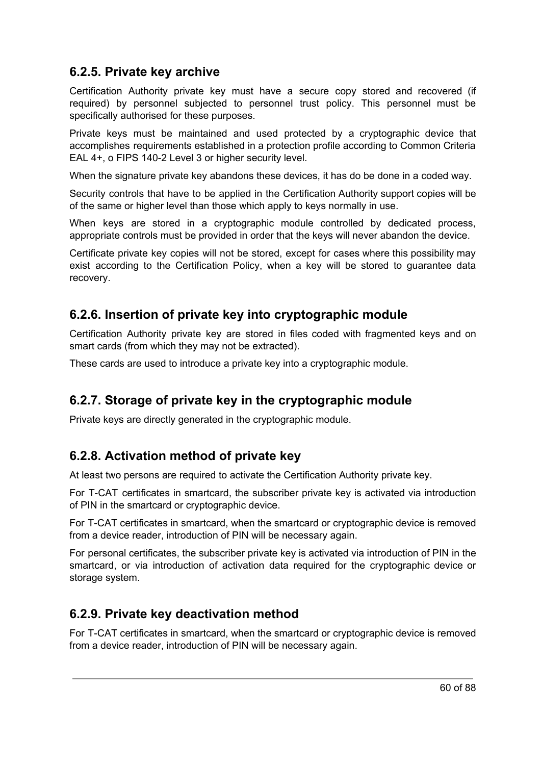#### **6.2.5. Private key archive**

Certification Authority private key must have a secure copy stored and recovered (if required) by personnel subjected to personnel trust policy. This personnel must be specifically authorised for these purposes.

Private keys must be maintained and used protected by a cryptographic device that accomplishes requirements established in a protection profile according to Common Criteria EAL 4+, o FIPS 140-2 Level 3 or higher security level.

When the signature private key abandons these devices, it has do be done in a coded way.

Security controls that have to be applied in the Certification Authority support copies will be of the same or higher level than those which apply to keys normally in use.

When keys are stored in a cryptographic module controlled by dedicated process, appropriate controls must be provided in order that the keys will never abandon the device.

Certificate private key copies will not be stored, except for cases where this possibility may exist according to the Certification Policy, when a key will be stored to guarantee data recovery.

#### **6.2.6. Insertion of private key into cryptographic module**

Certification Authority private key are stored in files coded with fragmented keys and on smart cards (from which they may not be extracted).

These cards are used to introduce a private key into a cryptographic module.

#### **6.2.7. Storage of private key in the cryptographic module**

Private keys are directly generated in the cryptographic module.

#### **6.2.8. Activation method of private key**

At least two persons are required to activate the Certification Authority private key.

For T-CAT certificates in smartcard, the subscriber private key is activated via introduction of PIN in the smartcard or cryptographic device.

For T-CAT certificates in smartcard, when the smartcard or cryptographic device is removed from a device reader, introduction of PIN will be necessary again.

For personal certificates, the subscriber private key is activated via introduction of PIN in the smartcard, or via introduction of activation data required for the cryptographic device or storage system.

#### **6.2.9. Private key deactivation method**

For T-CAT certificates in smartcard, when the smartcard or cryptographic device is removed from a device reader, introduction of PIN will be necessary again.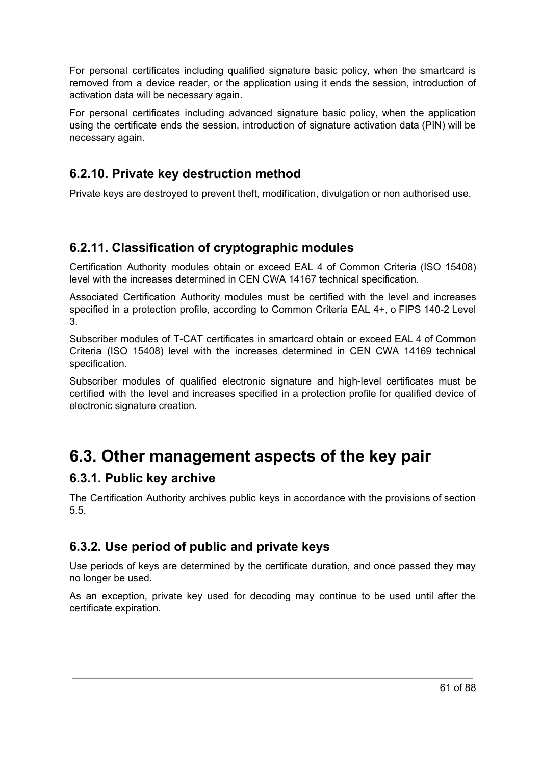For personal certificates including qualified signature basic policy, when the smartcard is removed from a device reader, or the application using it ends the session, introduction of activation data will be necessary again.

For personal certificates including advanced signature basic policy, when the application using the certificate ends the session, introduction of signature activation data (PIN) will be necessary again.

#### **6.2.10. Private key destruction method**

Private keys are destroyed to prevent theft, modification, divulgation or non authorised use.

#### **6.2.11. Classification of cryptographic modules**

Certification Authority modules obtain or exceed EAL 4 of Common Criteria (ISO 15408) level with the increases determined in CEN CWA 14167 technical specification.

Associated Certification Authority modules must be certified with the level and increases specified in a protection profile, according to Common Criteria EAL 4+, o FIPS 140-2 Level 3.

Subscriber modules of T-CAT certificates in smartcard obtain or exceed EAL 4 of Common Criteria (ISO 15408) level with the increases determined in CEN CWA 14169 technical specification.

Subscriber modules of qualified electronic signature and high-level certificates must be certified with the level and increases specified in a protection profile for qualified device of electronic signature creation.

### **6.3. Other management aspects of the key pair**

#### **6.3.1. Public key archive**

The Certification Authority archives public keys in accordance with the provisions of section 5.5.

#### **6.3.2. Use period of public and private keys**

Use periods of keys are determined by the certificate duration, and once passed they may no longer be used.

As an exception, private key used for decoding may continue to be used until after the certificate expiration.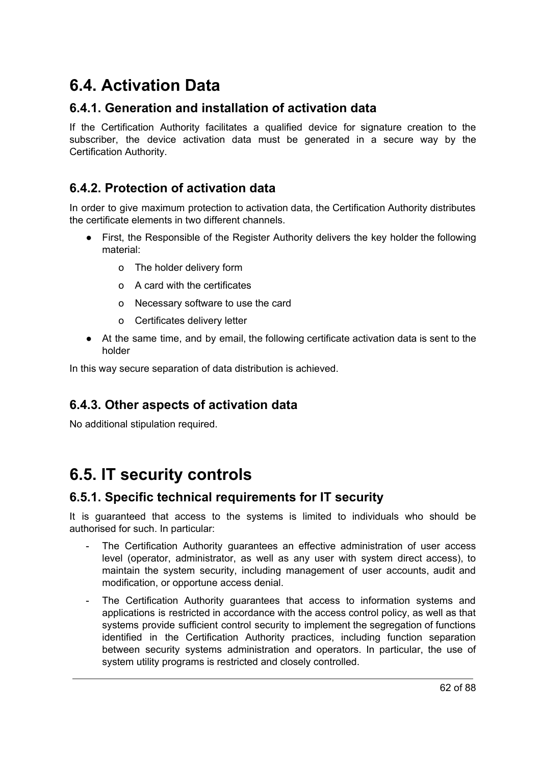# **6.4. Activation Data**

#### **6.4.1. Generation and installation of activation data**

If the Certification Authority facilitates a qualified device for signature creation to the subscriber, the device activation data must be generated in a secure way by the Certification Authority.

#### **6.4.2. Protection of activation data**

In order to give maximum protection to activation data, the Certification Authority distributes the certificate elements in two different channels.

- First, the Responsible of the Register Authority delivers the key holder the following material:
	- o The holder delivery form
	- o A card with the certificates
	- o Necessary software to use the card
	- o Certificates delivery letter
- At the same time, and by email, the following certificate activation data is sent to the holder

In this way secure separation of data distribution is achieved.

#### **6.4.3. Other aspects of activation data**

No additional stipulation required.

### **6.5. IT security controls**

#### **6.5.1. Specific technical requirements for IT security**

It is guaranteed that access to the systems is limited to individuals who should be authorised for such. In particular:

- The Certification Authority guarantees an effective administration of user access level (operator, administrator, as well as any user with system direct access), to maintain the system security, including management of user accounts, audit and modification, or opportune access denial.
- The Certification Authority guarantees that access to information systems and applications is restricted in accordance with the access control policy, as well as that systems provide sufficient control security to implement the segregation of functions identified in the Certification Authority practices, including function separation between security systems administration and operators. In particular, the use of system utility programs is restricted and closely controlled.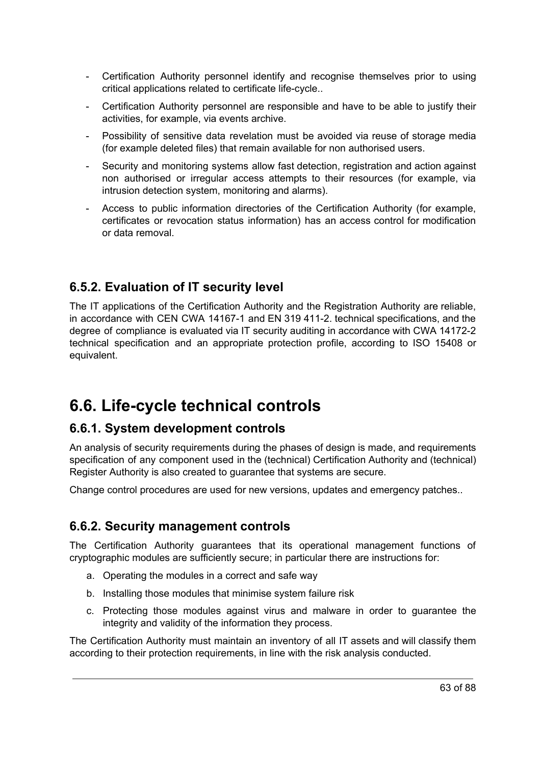- Certification Authority personnel identify and recognise themselves prior to using critical applications related to certificate life-cycle..
- Certification Authority personnel are responsible and have to be able to justify their activities, for example, via events archive.
- Possibility of sensitive data revelation must be avoided via reuse of storage media (for example deleted files) that remain available for non authorised users.
- Security and monitoring systems allow fast detection, registration and action against non authorised or irregular access attempts to their resources (for example, via intrusion detection system, monitoring and alarms).
- Access to public information directories of the Certification Authority (for example, certificates or revocation status information) has an access control for modification or data removal.

#### **6.5.2. Evaluation of IT security level**

The IT applications of the Certification Authority and the Registration Authority are reliable, in accordance with CEN CWA 14167-1 and EN 319 411-2. technical specifications, and the degree of compliance is evaluated via IT security auditing in accordance with CWA 14172-2 technical specification and an appropriate protection profile, according to ISO 15408 or equivalent.

# **6.6. Life-cycle technical controls**

#### **6.6.1. System development controls**

An analysis of security requirements during the phases of design is made, and requirements specification of any component used in the (technical) Certification Authority and (technical) Register Authority is also created to guarantee that systems are secure.

Change control procedures are used for new versions, updates and emergency patches..

#### **6.6.2. Security management controls**

The Certification Authority guarantees that its operational management functions of cryptographic modules are sufficiently secure; in particular there are instructions for:

- a. Operating the modules in a correct and safe way
- b. Installing those modules that minimise system failure risk
- c. Protecting those modules against virus and malware in order to guarantee the integrity and validity of the information they process.

The Certification Authority must maintain an inventory of all IT assets and will classify them according to their protection requirements, in line with the risk analysis conducted.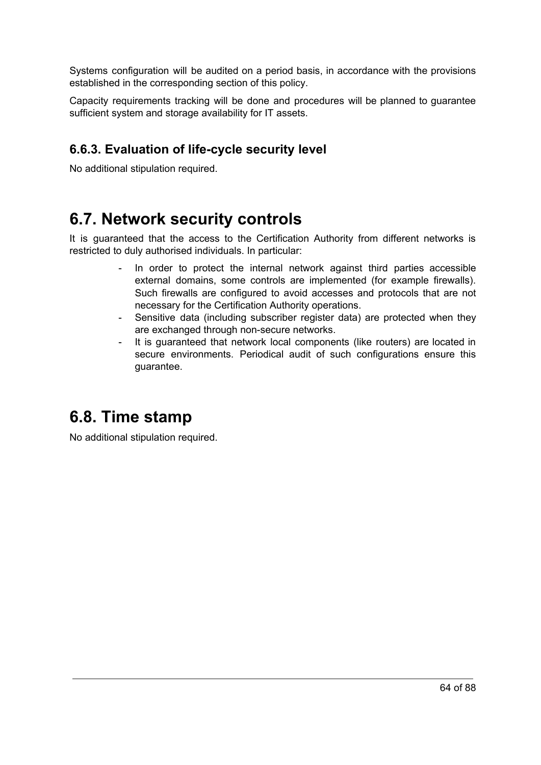Systems configuration will be audited on a period basis, in accordance with the provisions established in the corresponding section of this policy.

Capacity requirements tracking will be done and procedures will be planned to guarantee sufficient system and storage availability for IT assets.

#### **6.6.3. Evaluation of life-cycle security level**

No additional stipulation required.

### **6.7. Network security controls**

It is guaranteed that the access to the Certification Authority from different networks is restricted to duly authorised individuals. In particular:

- In order to protect the internal network against third parties accessible external domains, some controls are implemented (for example firewalls). Such firewalls are configured to avoid accesses and protocols that are not necessary for the Certification Authority operations.
- Sensitive data (including subscriber register data) are protected when they are exchanged through non-secure networks.
- It is quaranteed that network local components (like routers) are located in secure environments. Periodical audit of such configurations ensure this guarantee.

### **6.8. Time stamp**

No additional stipulation required.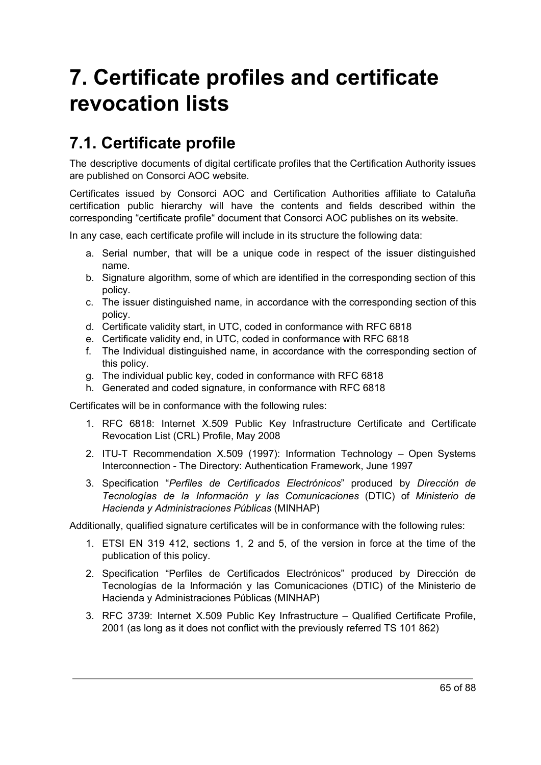# **7. Certificate profiles and certificate revocation lists**

# **7.1. Certificate profile**

The descriptive documents of digital certificate profiles that the Certification Authority issues are published on Consorci AOC website.

Certificates issued by Consorci AOC and Certification Authorities affiliate to Cataluña certification public hierarchy will have the contents and fields described within the corresponding "certificate profile" document that Consorci AOC publishes on its website.

In any case, each certificate profile will include in its structure the following data:

- a. Serial number, that will be a unique code in respect of the issuer distinguished name.
- b. Signature algorithm, some of which are identified in the corresponding section of this policy.
- c. The issuer distinguished name, in accordance with the corresponding section of this policy.
- d. Certificate validity start, in UTC, coded in conformance with RFC 6818
- e. Certificate validity end, in UTC, coded in conformance with RFC 6818
- f. The Individual distinguished name, in accordance with the corresponding section of this policy.
- g. The individual public key, coded in conformance with RFC 6818
- h. Generated and coded signature, in conformance with RFC 6818

Certificates will be in conformance with the following rules:

- 1. RFC 6818: Internet X.509 Public Key Infrastructure Certificate and Certificate Revocation List (CRL) Profile, May 2008
- 2. ITU-T Recommendation X.509 (1997): Information Technology Open Systems Interconnection - The Directory: Authentication Framework, June 1997
- 3. Specification "*Perfiles de Certificados Electrónicos*" produced by *Dirección de Tecnologías de la Información y las Comunicaciones* (DTIC) of *Ministerio de Hacienda y Administraciones Públicas* (MINHAP)

Additionally, qualified signature certificates will be in conformance with the following rules:

- 1. ETSI EN 319 412, sections 1, 2 and 5, of the version in force at the time of the publication of this policy.
- 2. Specification "Perfiles de Certificados Electrónicos" produced by Dirección de Tecnologías de la Información y las Comunicaciones (DTIC) of the Ministerio de Hacienda y Administraciones Públicas (MINHAP)
- 3. RFC 3739: Internet X.509 Public Key Infrastructure Qualified Certificate Profile, 2001 (as long as it does not conflict with the previously referred TS 101 862)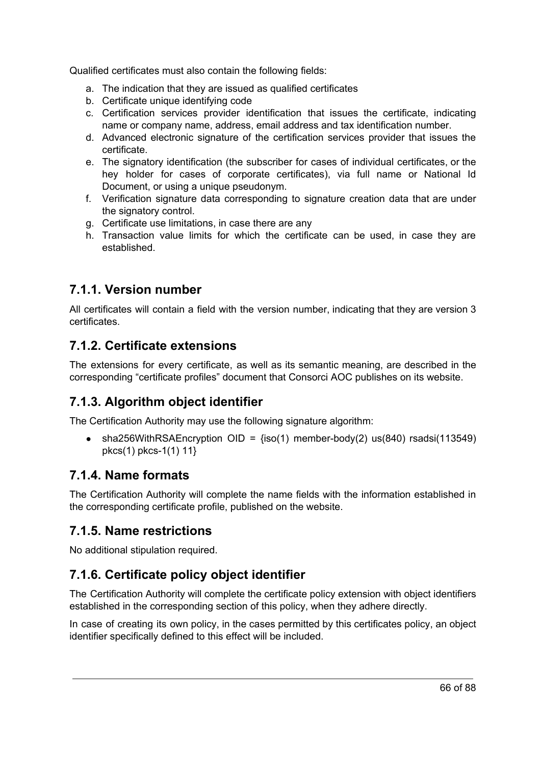Qualified certificates must also contain the following fields:

- a. The indication that they are issued as qualified certificates
- b. Certificate unique identifying code
- c. Certification services provider identification that issues the certificate, indicating name or company name, address, email address and tax identification number.
- d. Advanced electronic signature of the certification services provider that issues the certificate.
- e. The signatory identification (the subscriber for cases of individual certificates, or the hey holder for cases of corporate certificates), via full name or National Id Document, or using a unique pseudonym.
- f. Verification signature data corresponding to signature creation data that are under the signatory control.
- g. Certificate use limitations, in case there are any
- h. Transaction value limits for which the certificate can be used, in case they are established.

#### **7.1.1. Version number**

All certificates will contain a field with the version number, indicating that they are version 3 certificates.

#### **7.1.2. Certificate extensions**

The extensions for every certificate, as well as its semantic meaning, are described in the corresponding "certificate profiles" document that Consorci AOC publishes on its website.

#### **7.1.3. Algorithm object identifier**

The Certification Authority may use the following signature algorithm:

• sha256WithRSAEncryption OID =  ${iso(1)}$  member-body(2) us(840) rsadsi(113549) pkcs(1) pkcs-1(1) 11}

#### **7.1.4. Name formats**

The Certification Authority will complete the name fields with the information established in the corresponding certificate profile, published on the website.

#### **7.1.5. Name restrictions**

No additional stipulation required.

#### **7.1.6. Certificate policy object identifier**

The Certification Authority will complete the certificate policy extension with object identifiers established in the corresponding section of this policy, when they adhere directly.

In case of creating its own policy, in the cases permitted by this certificates policy, an object identifier specifically defined to this effect will be included.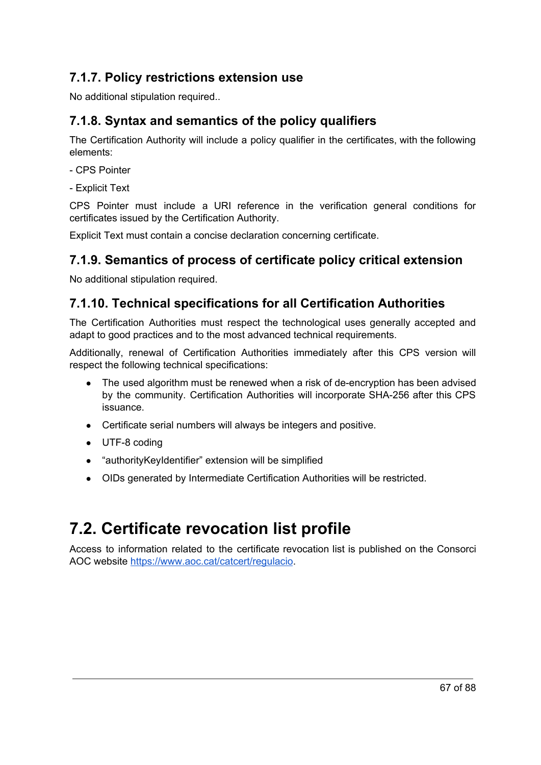#### **7.1.7. Policy restrictions extension use**

No additional stipulation required..

#### **7.1.8. Syntax and semantics of the policy qualifiers**

The Certification Authority will include a policy qualifier in the certificates, with the following elements:

- CPS Pointer
- Explicit Text

CPS Pointer must include a URI reference in the verification general conditions for certificates issued by the Certification Authority.

Explicit Text must contain a concise declaration concerning certificate.

#### **7.1.9. Semantics of process of certificate policy critical extension**

No additional stipulation required.

#### **7.1.10. Technical specifications for all Certification Authorities**

The Certification Authorities must respect the technological uses generally accepted and adapt to good practices and to the most advanced technical requirements.

Additionally, renewal of Certification Authorities immediately after this CPS version will respect the following technical specifications:

- The used algorithm must be renewed when a risk of de-encryption has been advised by the community. Certification Authorities will incorporate SHA-256 after this CPS issuance.
- Certificate serial numbers will always be integers and positive.
- UTF-8 coding
- "authorityKeyIdentifier" extension will be simplified
- OIDs generated by Intermediate Certification Authorities will be restricted.

# **7.2. Certificate revocation list profile**

Access to information related to the certificate revocation list is published on the Consorci AOC website <https://www.aoc.cat/catcert/regulacio>.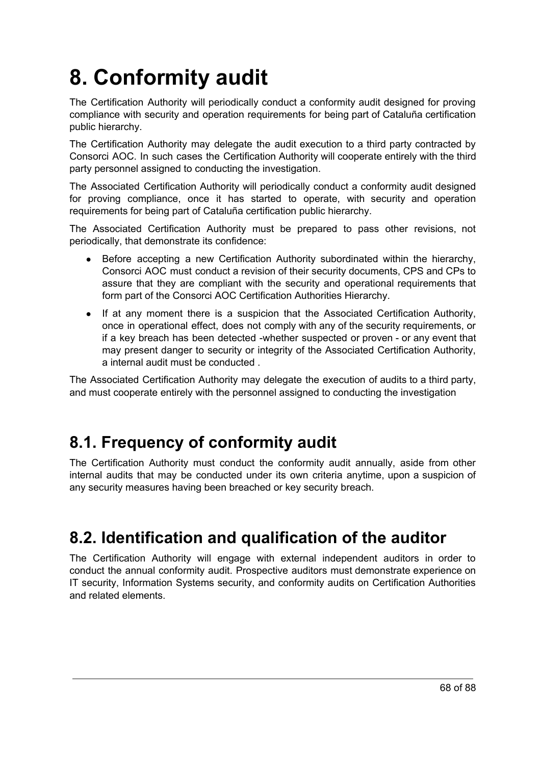# **8. Conformity audit**

The Certification Authority will periodically conduct a conformity audit designed for proving compliance with security and operation requirements for being part of Cataluña certification public hierarchy.

The Certification Authority may delegate the audit execution to a third party contracted by Consorci AOC. In such cases the Certification Authority will cooperate entirely with the third party personnel assigned to conducting the investigation.

The Associated Certification Authority will periodically conduct a conformity audit designed for proving compliance, once it has started to operate, with security and operation requirements for being part of Cataluña certification public hierarchy.

The Associated Certification Authority must be prepared to pass other revisions, not periodically, that demonstrate its confidence:

- Before accepting a new Certification Authority subordinated within the hierarchy, Consorci AOC must conduct a revision of their security documents, CPS and CPs to assure that they are compliant with the security and operational requirements that form part of the Consorci AOC Certification Authorities Hierarchy.
- If at any moment there is a suspicion that the Associated Certification Authority, once in operational effect, does not comply with any of the security requirements, or if a key breach has been detected -whether suspected or proven - or any event that may present danger to security or integrity of the Associated Certification Authority, a internal audit must be conducted .

The Associated Certification Authority may delegate the execution of audits to a third party, and must cooperate entirely with the personnel assigned to conducting the investigation

# **8.1. Frequency of conformity audit**

The Certification Authority must conduct the conformity audit annually, aside from other internal audits that may be conducted under its own criteria anytime, upon a suspicion of any security measures having been breached or key security breach.

# **8.2. Identification and qualification of the auditor**

The Certification Authority will engage with external independent auditors in order to conduct the annual conformity audit. Prospective auditors must demonstrate experience on IT security, Information Systems security, and conformity audits on Certification Authorities and related elements.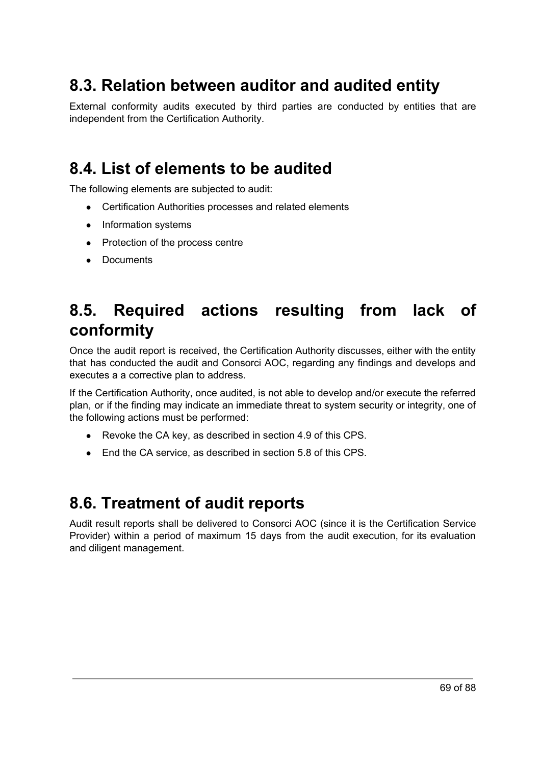### **8.3. Relation between auditor and audited entity**

External conformity audits executed by third parties are conducted by entities that are independent from the Certification Authority.

### **8.4. List of elements to be audited**

The following elements are subjected to audit:

- Certification Authorities processes and related elements
- Information systems
- Protection of the process centre
- Documents

### **8.5. Required actions resulting from lack of conformity**

Once the audit report is received, the Certification Authority discusses, either with the entity that has conducted the audit and Consorci AOC, regarding any findings and develops and executes a a corrective plan to address.

If the Certification Authority, once audited, is not able to develop and/or execute the referred plan, or if the finding may indicate an immediate threat to system security or integrity, one of the following actions must be performed:

- Revoke the CA key, as described in section 4.9 of this CPS.
- End the CA service, as described in section 5.8 of this CPS.

### **8.6. Treatment of audit reports**

Audit result reports shall be delivered to Consorci AOC (since it is the Certification Service Provider) within a period of maximum 15 days from the audit execution, for its evaluation and diligent management.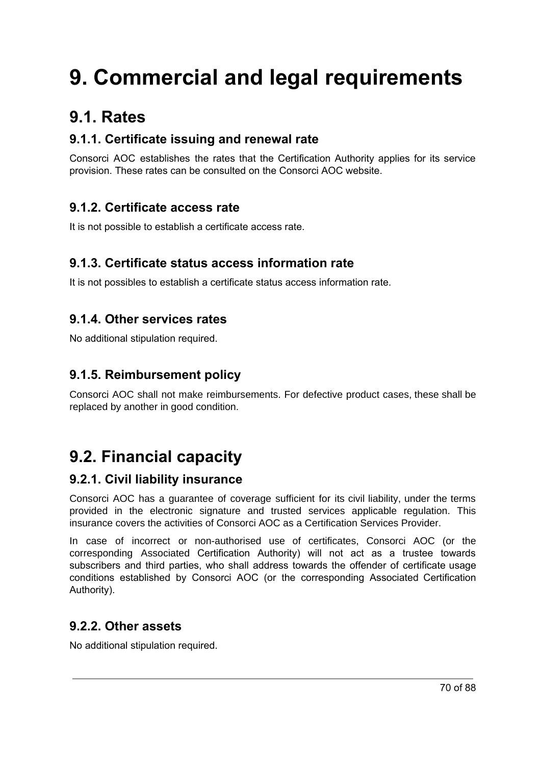# **9. Commercial and legal requirements**

# **9.1. Rates**

#### **9.1.1. Certificate issuing and renewal rate**

Consorci AOC establishes the rates that the Certification Authority applies for its service provision. These rates can be consulted on the Consorci AOC website.

#### **9.1.2. Certificate access rate**

It is not possible to establish a certificate access rate.

#### **9.1.3. Certificate status access information rate**

It is not possibles to establish a certificate status access information rate.

#### **9.1.4. Other services rates**

No additional stipulation required.

#### **9.1.5. Reimbursement policy**

Consorci AOC shall not make reimbursements. For defective product cases, these shall be replaced by another in good condition.

# **9.2. Financial capacity**

#### **9.2.1. Civil liability insurance**

Consorci AOC has a guarantee of coverage sufficient for its civil liability, under the terms provided in the electronic signature and trusted services applicable regulation. This insurance covers the activities of Consorci AOC as a Certification Services Provider.

In case of incorrect or non-authorised use of certificates, Consorci AOC (or the corresponding Associated Certification Authority) will not act as a trustee towards subscribers and third parties, who shall address towards the offender of certificate usage conditions established by Consorci AOC (or the corresponding Associated Certification Authority).

#### **9.2.2. Other assets**

No additional stipulation required.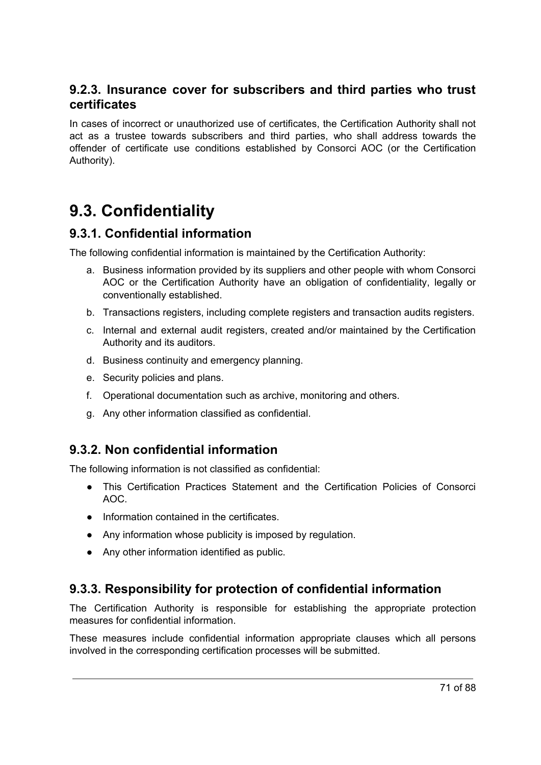#### **9.2.3. Insurance cover for subscribers and third parties who trust certificates**

In cases of incorrect or unauthorized use of certificates, the Certification Authority shall not act as a trustee towards subscribers and third parties, who shall address towards the offender of certificate use conditions established by Consorci AOC (or the Certification Authority).

### **9.3. Confidentiality**

#### **9.3.1. Confidential information**

The following confidential information is maintained by the Certification Authority:

- a. Business information provided by its suppliers and other people with whom Consorci AOC or the Certification Authority have an obligation of confidentiality, legally or conventionally established.
- b. Transactions registers, including complete registers and transaction audits registers.
- c. Internal and external audit registers, created and/or maintained by the Certification Authority and its auditors.
- d. Business continuity and emergency planning.
- e. Security policies and plans.
- f. Operational documentation such as archive, monitoring and others.
- g. Any other information classified as confidential.

#### **9.3.2. Non confidential information**

The following information is not classified as confidential:

- This Certification Practices Statement and the Certification Policies of Consorci AOC.
- Information contained in the certificates.
- Any information whose publicity is imposed by regulation.
- Any other information identified as public.

#### **9.3.3. Responsibility for protection of confidential information**

The Certification Authority is responsible for establishing the appropriate protection measures for confidential information.

These measures include confidential information appropriate clauses which all persons involved in the corresponding certification processes will be submitted.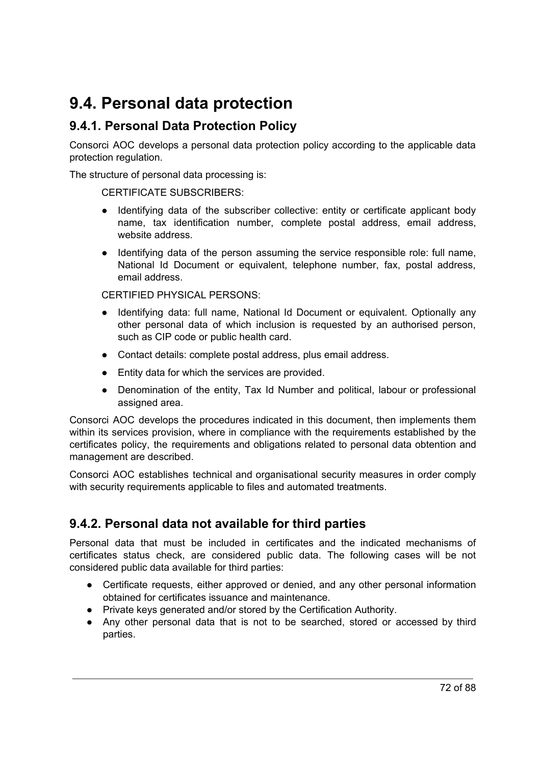# **9.4. Personal data protection**

#### **9.4.1. Personal Data Protection Policy**

Consorci AOC develops a personal data protection policy according to the applicable data protection regulation.

The structure of personal data processing is:

#### CERTIFICATE SUBSCRIBERS:

- Identifying data of the subscriber collective: entity or certificate applicant body name, tax identification number, complete postal address, email address, website address.
- Identifying data of the person assuming the service responsible role: full name, National Id Document or equivalent, telephone number, fax, postal address, email address.

CERTIFIED PHYSICAL PERSONS:

- Identifying data: full name, National Id Document or equivalent. Optionally any other personal data of which inclusion is requested by an authorised person, such as CIP code or public health card.
- Contact details: complete postal address, plus email address.
- Entity data for which the services are provided.
- Denomination of the entity, Tax Id Number and political, labour or professional assigned area.

Consorci AOC develops the procedures indicated in this document, then implements them within its services provision, where in compliance with the requirements established by the certificates policy, the requirements and obligations related to personal data obtention and management are described.

Consorci AOC establishes technical and organisational security measures in order comply with security requirements applicable to files and automated treatments.

#### **9.4.2. Personal data not available for third parties**

Personal data that must be included in certificates and the indicated mechanisms of certificates status check, are considered public data. The following cases will be not considered public data available for third parties:

- Certificate requests, either approved or denied, and any other personal information obtained for certificates issuance and maintenance.
- Private keys generated and/or stored by the Certification Authority.
- Any other personal data that is not to be searched, stored or accessed by third parties.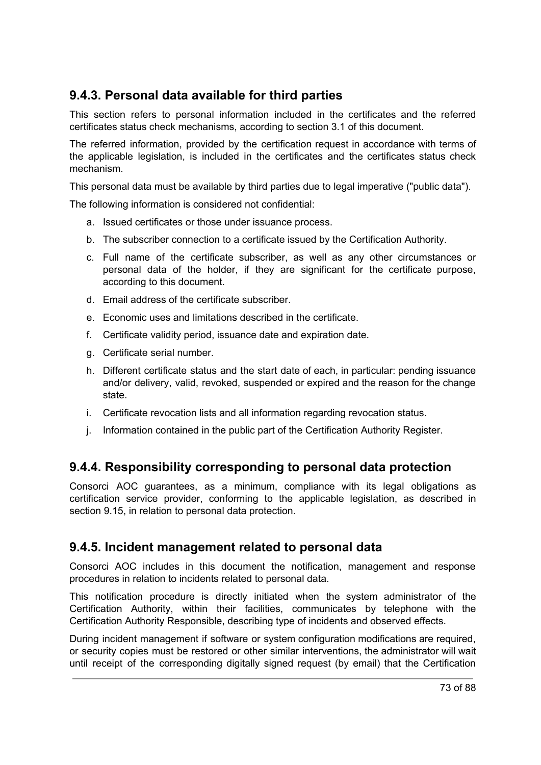## **9.4.3. Personal data available for third parties**

This section refers to personal information included in the certificates and the referred certificates status check mechanisms, according to section 3.1 of this document.

The referred information, provided by the certification request in accordance with terms of the applicable legislation, is included in the certificates and the certificates status check mechanism.

This personal data must be available by third parties due to legal imperative ("public data").

The following information is considered not confidential:

- a. Issued certificates or those under issuance process.
- b. The subscriber connection to a certificate issued by the Certification Authority.
- c. Full name of the certificate subscriber, as well as any other circumstances or personal data of the holder, if they are significant for the certificate purpose, according to this document.
- d. Email address of the certificate subscriber.
- e. Economic uses and limitations described in the certificate.
- f. Certificate validity period, issuance date and expiration date.
- g. Certificate serial number.
- h. Different certificate status and the start date of each, in particular: pending issuance and/or delivery, valid, revoked, suspended or expired and the reason for the change state.
- i. Certificate revocation lists and all information regarding revocation status.
- j. Information contained in the public part of the Certification Authority Register.

### **9.4.4. Responsibility corresponding to personal data protection**

Consorci AOC guarantees, as a minimum, compliance with its legal obligations as certification service provider, conforming to the applicable legislation, as described in section 9.15, in relation to personal data protection.

### **9.4.5. Incident management related to personal data**

Consorci AOC includes in this document the notification, management and response procedures in relation to incidents related to personal data.

This notification procedure is directly initiated when the system administrator of the Certification Authority, within their facilities, communicates by telephone with the Certification Authority Responsible, describing type of incidents and observed effects.

During incident management if software or system configuration modifications are required, or security copies must be restored or other similar interventions, the administrator will wait until receipt of the corresponding digitally signed request (by email) that the Certification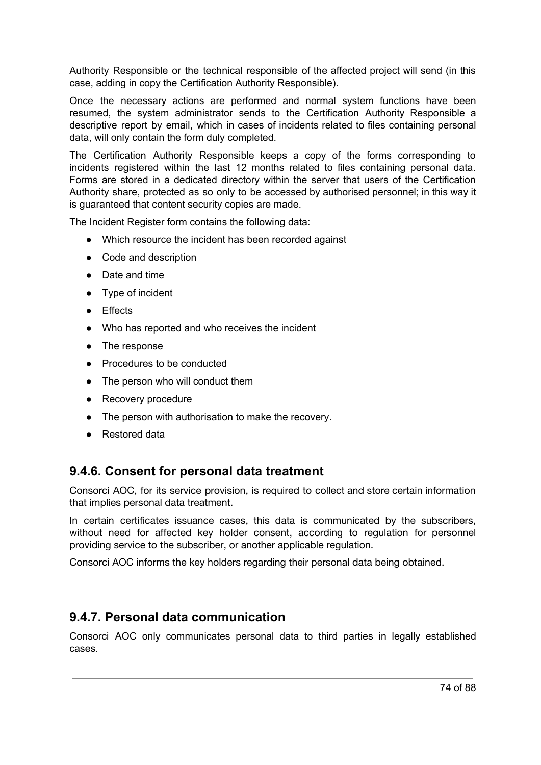Authority Responsible or the technical responsible of the affected project will send (in this case, adding in copy the Certification Authority Responsible).

Once the necessary actions are performed and normal system functions have been resumed, the system administrator sends to the Certification Authority Responsible a descriptive report by email, which in cases of incidents related to files containing personal data, will only contain the form duly completed.

The Certification Authority Responsible keeps a copy of the forms corresponding to incidents registered within the last 12 months related to files containing personal data. Forms are stored in a dedicated directory within the server that users of the Certification Authority share, protected as so only to be accessed by authorised personnel; in this way it is guaranteed that content security copies are made.

The Incident Register form contains the following data:

- Which resource the incident has been recorded against
- Code and description
- Date and time
- Type of incident
- Effects
- Who has reported and who receives the incident
- The response
- Procedures to be conducted
- The person who will conduct them
- Recovery procedure
- The person with authorisation to make the recovery.
- Restored data

### **9.4.6. Consent for personal data treatment**

Consorci AOC, for its service provision, is required to collect and store certain information that implies personal data treatment.

In certain certificates issuance cases, this data is communicated by the subscribers, without need for affected key holder consent, according to regulation for personnel providing service to the subscriber, or another applicable regulation.

Consorci AOC informs the key holders regarding their personal data being obtained.

### **9.4.7. Personal data communication**

Consorci AOC only communicates personal data to third parties in legally established cases.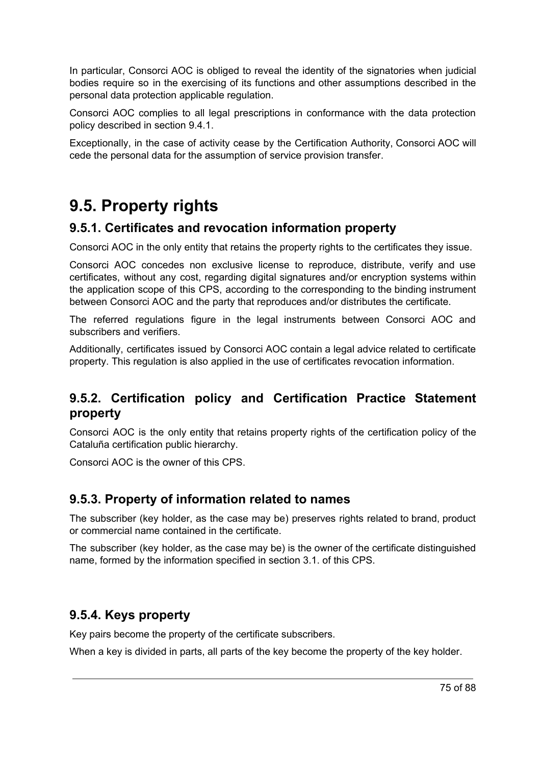In particular, Consorci AOC is obliged to reveal the identity of the signatories when judicial bodies require so in the exercising of its functions and other assumptions described in the personal data protection applicable regulation.

Consorci AOC complies to all legal prescriptions in conformance with the data protection policy described in section 9.4.1.

Exceptionally, in the case of activity cease by the Certification Authority, Consorci AOC will cede the personal data for the assumption of service provision transfer.

# **9.5. Property rights**

## **9.5.1. Certificates and revocation information property**

Consorci AOC in the only entity that retains the property rights to the certificates they issue.

Consorci AOC concedes non exclusive license to reproduce, distribute, verify and use certificates, without any cost, regarding digital signatures and/or encryption systems within the application scope of this CPS, according to the corresponding to the binding instrument between Consorci AOC and the party that reproduces and/or distributes the certificate.

The referred regulations figure in the legal instruments between Consorci AOC and subscribers and verifiers.

Additionally, certificates issued by Consorci AOC contain a legal advice related to certificate property. This regulation is also applied in the use of certificates revocation information.

## **9.5.2. Certification policy and Certification Practice Statement property**

Consorci AOC is the only entity that retains property rights of the certification policy of the Cataluña certification public hierarchy.

Consorci AOC is the owner of this CPS.

## **9.5.3. Property of information related to names**

The subscriber (key holder, as the case may be) preserves rights related to brand, product or commercial name contained in the certificate.

The subscriber (key holder, as the case may be) is the owner of the certificate distinguished name, formed by the information specified in section 3.1. of this CPS.

## **9.5.4. Keys property**

Key pairs become the property of the certificate subscribers.

When a key is divided in parts, all parts of the key become the property of the key holder.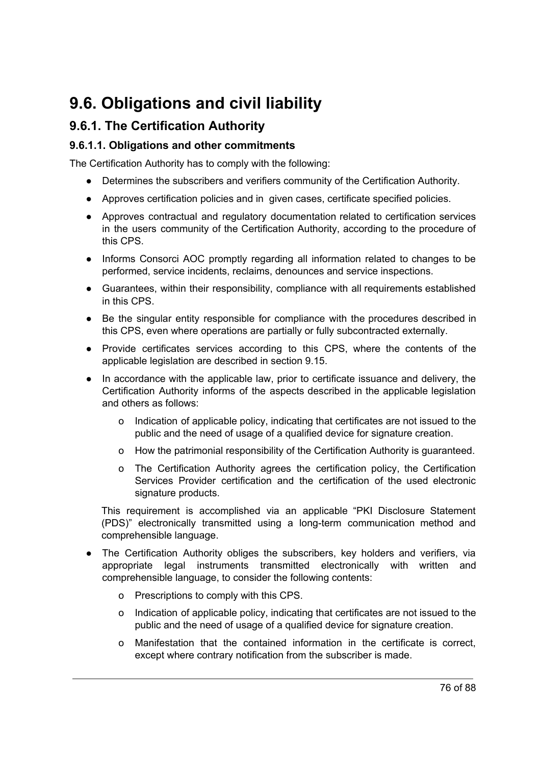# **9.6. Obligations and civil liability**

## **9.6.1. The Certification Authority**

#### **9.6.1.1. Obligations and other commitments**

The Certification Authority has to comply with the following:

- Determines the subscribers and verifiers community of the Certification Authority.
- Approves certification policies and in given cases, certificate specified policies.
- Approves contractual and regulatory documentation related to certification services in the users community of the Certification Authority, according to the procedure of this CPS.
- Informs Consorci AOC promptly regarding all information related to changes to be performed, service incidents, reclaims, denounces and service inspections.
- Guarantees, within their responsibility, compliance with all requirements established in this CPS.
- Be the singular entity responsible for compliance with the procedures described in this CPS, even where operations are partially or fully subcontracted externally.
- Provide certificates services according to this CPS, where the contents of the applicable legislation are described in section 9.15.
- In accordance with the applicable law, prior to certificate issuance and delivery, the Certification Authority informs of the aspects described in the applicable legislation and others as follows:
	- o Indication of applicable policy, indicating that certificates are not issued to the public and the need of usage of a qualified device for signature creation.
	- o How the patrimonial responsibility of the Certification Authority is guaranteed.
	- o The Certification Authority agrees the certification policy, the Certification Services Provider certification and the certification of the used electronic signature products.

This requirement is accomplished via an applicable "PKI Disclosure Statement (PDS)" electronically transmitted using a long-term communication method and comprehensible language.

- The Certification Authority obliges the subscribers, key holders and verifiers, via appropriate legal instruments transmitted electronically with written and comprehensible language, to consider the following contents:
	- o Prescriptions to comply with this CPS.
	- o Indication of applicable policy, indicating that certificates are not issued to the public and the need of usage of a qualified device for signature creation.
	- o Manifestation that the contained information in the certificate is correct, except where contrary notification from the subscriber is made.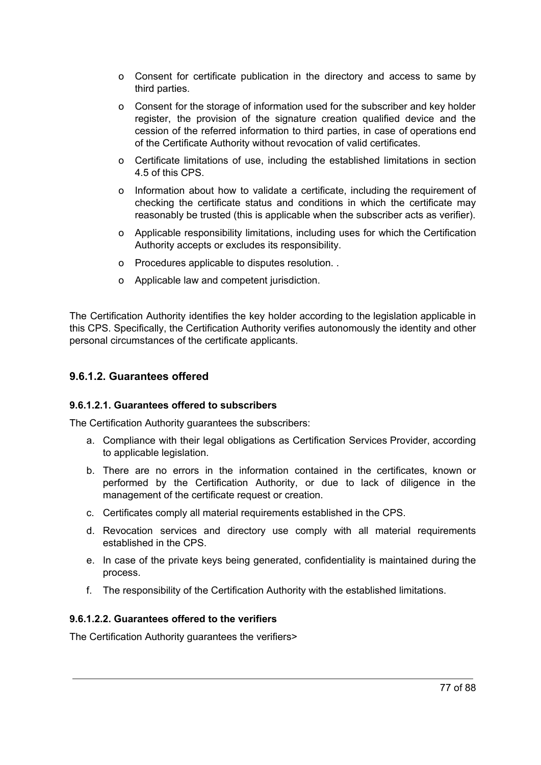- o Consent for certificate publication in the directory and access to same by third parties.
- o Consent for the storage of information used for the subscriber and key holder register, the provision of the signature creation qualified device and the cession of the referred information to third parties, in case of operations end of the Certificate Authority without revocation of valid certificates.
- o Certificate limitations of use, including the established limitations in section 4.5 of this CPS.
- o Information about how to validate a certificate, including the requirement of checking the certificate status and conditions in which the certificate may reasonably be trusted (this is applicable when the subscriber acts as verifier).
- o Applicable responsibility limitations, including uses for which the Certification Authority accepts or excludes its responsibility.
- o Procedures applicable to disputes resolution. .
- o Applicable law and competent jurisdiction.

The Certification Authority identifies the key holder according to the legislation applicable in this CPS. Specifically, the Certification Authority verifies autonomously the identity and other personal circumstances of the certificate applicants.

#### **9.6.1.2. Guarantees offered**

#### **9.6.1.2.1. Guarantees offered to subscribers**

The Certification Authority guarantees the subscribers:

- a. Compliance with their legal obligations as Certification Services Provider, according to applicable legislation.
- b. There are no errors in the information contained in the certificates, known or performed by the Certification Authority, or due to lack of diligence in the management of the certificate request or creation.
- c. Certificates comply all material requirements established in the CPS.
- d. Revocation services and directory use comply with all material requirements established in the CPS.
- e. In case of the private keys being generated, confidentiality is maintained during the process.
- f. The responsibility of the Certification Authority with the established limitations.

#### **9.6.1.2.2. Guarantees offered to the verifiers**

The Certification Authority guarantees the verifiers>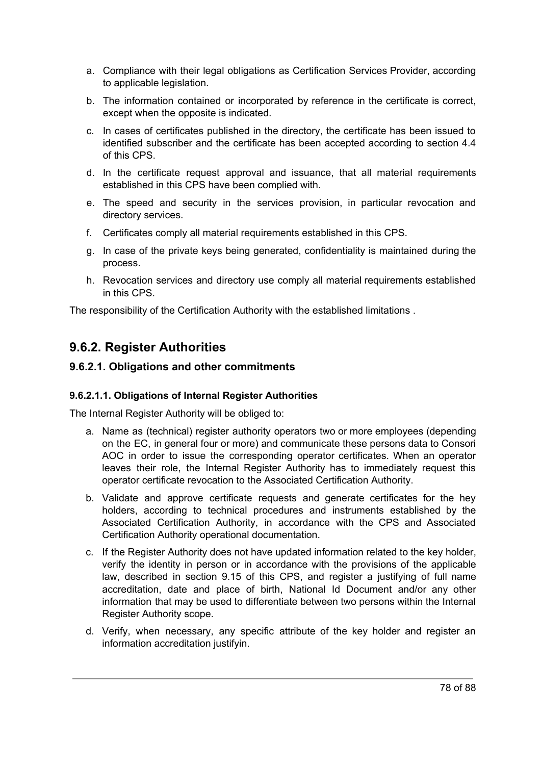- a. Compliance with their legal obligations as Certification Services Provider, according to applicable legislation.
- b. The information contained or incorporated by reference in the certificate is correct, except when the opposite is indicated.
- c. In cases of certificates published in the directory, the certificate has been issued to identified subscriber and the certificate has been accepted according to section 4.4 of this CPS.
- d. In the certificate request approval and issuance, that all material requirements established in this CPS have been complied with.
- e. The speed and security in the services provision, in particular revocation and directory services.
- f. Certificates comply all material requirements established in this CPS.
- g. In case of the private keys being generated, confidentiality is maintained during the process.
- h. Revocation services and directory use comply all material requirements established in this CPS.

The responsibility of the Certification Authority with the established limitations .

## **9.6.2. Register Authorities**

#### **9.6.2.1. Obligations and other commitments**

#### **9.6.2.1.1. Obligations of Internal Register Authorities**

The Internal Register Authority will be obliged to:

- a. Name as (technical) register authority operators two or more employees (depending on the EC, in general four or more) and communicate these persons data to Consori AOC in order to issue the corresponding operator certificates. When an operator leaves their role, the Internal Register Authority has to immediately request this operator certificate revocation to the Associated Certification Authority.
- b. Validate and approve certificate requests and generate certificates for the hey holders, according to technical procedures and instruments established by the Associated Certification Authority, in accordance with the CPS and Associated Certification Authority operational documentation.
- c. If the Register Authority does not have updated information related to the key holder, verify the identity in person or in accordance with the provisions of the applicable law, described in section 9.15 of this CPS, and register a justifying of full name accreditation, date and place of birth, National Id Document and/or any other information that may be used to differentiate between two persons within the Internal Register Authority scope.
- d. Verify, when necessary, any specific attribute of the key holder and register an information accreditation justifyin.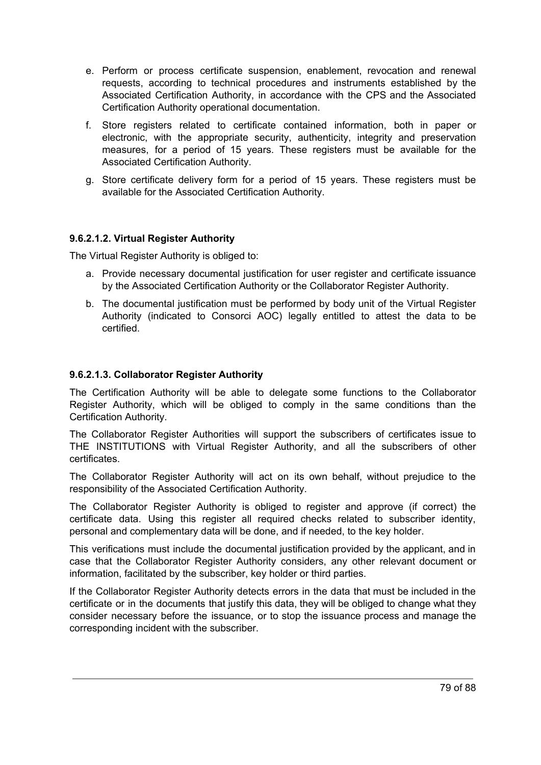- e. Perform or process certificate suspension, enablement, revocation and renewal requests, according to technical procedures and instruments established by the Associated Certification Authority, in accordance with the CPS and the Associated Certification Authority operational documentation.
- f. Store registers related to certificate contained information, both in paper or electronic, with the appropriate security, authenticity, integrity and preservation measures, for a period of 15 years. These registers must be available for the Associated Certification Authority.
- g. Store certificate delivery form for a period of 15 years. These registers must be available for the Associated Certification Authority.

#### **9.6.2.1.2. Virtual Register Authority**

The Virtual Register Authority is obliged to:

- a. Provide necessary documental justification for user register and certificate issuance by the Associated Certification Authority or the Collaborator Register Authority.
- b. The documental justification must be performed by body unit of the Virtual Register Authority (indicated to Consorci AOC) legally entitled to attest the data to be certified.

#### **9.6.2.1.3. Collaborator Register Authority**

The Certification Authority will be able to delegate some functions to the Collaborator Register Authority, which will be obliged to comply in the same conditions than the Certification Authority.

The Collaborator Register Authorities will support the subscribers of certificates issue to THE INSTITUTIONS with Virtual Register Authority, and all the subscribers of other certificates.

The Collaborator Register Authority will act on its own behalf, without prejudice to the responsibility of the Associated Certification Authority.

The Collaborator Register Authority is obliged to register and approve (if correct) the certificate data. Using this register all required checks related to subscriber identity, personal and complementary data will be done, and if needed, to the key holder.

This verifications must include the documental justification provided by the applicant, and in case that the Collaborator Register Authority considers, any other relevant document or information, facilitated by the subscriber, key holder or third parties.

If the Collaborator Register Authority detects errors in the data that must be included in the certificate or in the documents that justify this data, they will be obliged to change what they consider necessary before the issuance, or to stop the issuance process and manage the corresponding incident with the subscriber.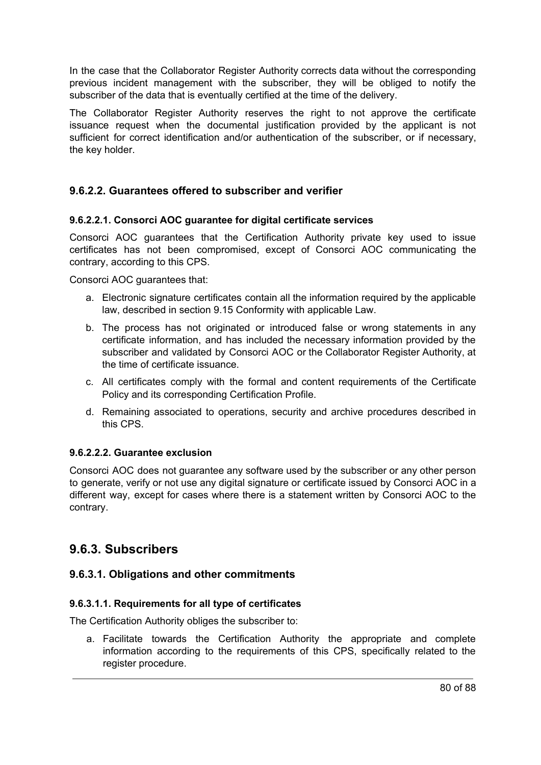In the case that the Collaborator Register Authority corrects data without the corresponding previous incident management with the subscriber, they will be obliged to notify the subscriber of the data that is eventually certified at the time of the delivery.

The Collaborator Register Authority reserves the right to not approve the certificate issuance request when the documental justification provided by the applicant is not sufficient for correct identification and/or authentication of the subscriber, or if necessary, the key holder.

#### **9.6.2.2. Guarantees offered to subscriber and verifier**

#### **9.6.2.2.1. Consorci AOC guarantee for digital certificate services**

Consorci AOC guarantees that the Certification Authority private key used to issue certificates has not been compromised, except of Consorci AOC communicating the contrary, according to this CPS.

Consorci AOC guarantees that:

- a. Electronic signature certificates contain all the information required by the applicable law, described in section 9.15 Conformity with applicable Law.
- b. The process has not originated or introduced false or wrong statements in any certificate information, and has included the necessary information provided by the subscriber and validated by Consorci AOC or the Collaborator Register Authority, at the time of certificate issuance.
- c. All certificates comply with the formal and content requirements of the Certificate Policy and its corresponding Certification Profile.
- d. Remaining associated to operations, security and archive procedures described in this CPS.

#### **9.6.2.2.2. Guarantee exclusion**

Consorci AOC does not guarantee any software used by the subscriber or any other person to generate, verify or not use any digital signature or certificate issued by Consorci AOC in a different way, except for cases where there is a statement written by Consorci AOC to the contrary.

### **9.6.3. Subscribers**

#### **9.6.3.1. Obligations and other commitments**

#### **9.6.3.1.1. Requirements for all type of certificates**

The Certification Authority obliges the subscriber to:

a. Facilitate towards the Certification Authority the appropriate and complete information according to the requirements of this CPS, specifically related to the register procedure.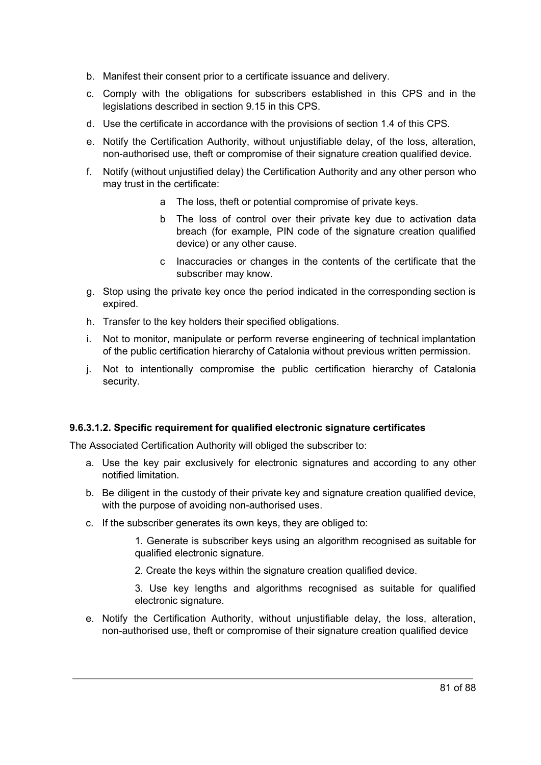- b. Manifest their consent prior to a certificate issuance and delivery.
- c. Comply with the obligations for subscribers established in this CPS and in the legislations described in section 9.15 in this CPS.
- d. Use the certificate in accordance with the provisions of section 1.4 of this CPS.
- e. Notify the Certification Authority, without unjustifiable delay, of the loss, alteration, non-authorised use, theft or compromise of their signature creation qualified device.
- f. Notify (without unjustified delay) the Certification Authority and any other person who may trust in the certificate:
	- a The loss, theft or potential compromise of private keys.
	- b The loss of control over their private key due to activation data breach (for example, PIN code of the signature creation qualified device) or any other cause.
	- c Inaccuracies or changes in the contents of the certificate that the subscriber may know.
- g. Stop using the private key once the period indicated in the corresponding section is expired.
- h. Transfer to the key holders their specified obligations.
- i. Not to monitor, manipulate or perform reverse engineering of technical implantation of the public certification hierarchy of Catalonia without previous written permission.
- j. Not to intentionally compromise the public certification hierarchy of Catalonia security.

#### **9.6.3.1.2. Specific requirement for qualified electronic signature certificates**

The Associated Certification Authority will obliged the subscriber to:

- a. Use the key pair exclusively for electronic signatures and according to any other notified limitation.
- b. Be diligent in the custody of their private key and signature creation qualified device, with the purpose of avoiding non-authorised uses.
- c. If the subscriber generates its own keys, they are obliged to:

1. Generate is subscriber keys using an algorithm recognised as suitable for qualified electronic signature.

2. Create the keys within the signature creation qualified device.

3. Use key lengths and algorithms recognised as suitable for qualified electronic signature.

e. Notify the Certification Authority, without unjustifiable delay, the loss, alteration, non-authorised use, theft or compromise of their signature creation qualified device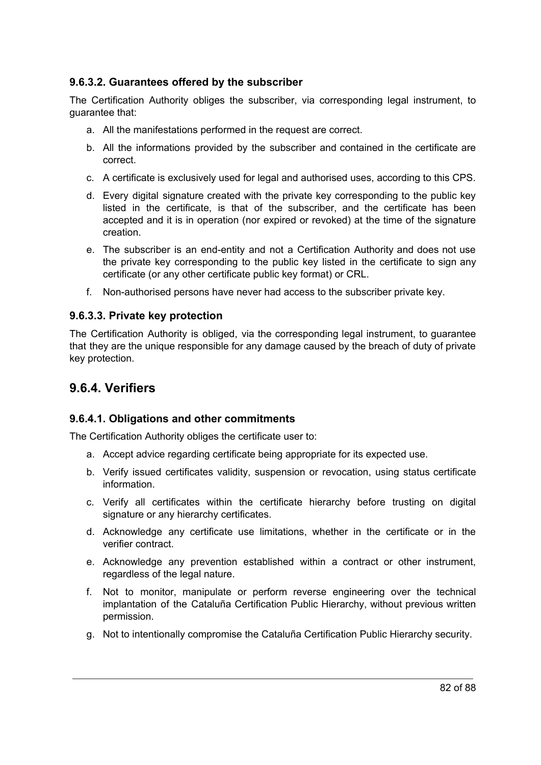#### **9.6.3.2. Guarantees offered by the subscriber**

The Certification Authority obliges the subscriber, via corresponding legal instrument, to guarantee that:

- a. All the manifestations performed in the request are correct.
- b. All the informations provided by the subscriber and contained in the certificate are correct.
- c. A certificate is exclusively used for legal and authorised uses, according to this CPS.
- d. Every digital signature created with the private key corresponding to the public key listed in the certificate, is that of the subscriber, and the certificate has been accepted and it is in operation (nor expired or revoked) at the time of the signature creation.
- e. The subscriber is an end-entity and not a Certification Authority and does not use the private key corresponding to the public key listed in the certificate to sign any certificate (or any other certificate public key format) or CRL.
- f. Non-authorised persons have never had access to the subscriber private key.

#### **9.6.3.3. Private key protection**

The Certification Authority is obliged, via the corresponding legal instrument, to guarantee that they are the unique responsible for any damage caused by the breach of duty of private key protection.

## **9.6.4. Verifiers**

#### **9.6.4.1. Obligations and other commitments**

The Certification Authority obliges the certificate user to:

- a. Accept advice regarding certificate being appropriate for its expected use.
- b. Verify issued certificates validity, suspension or revocation, using status certificate information.
- c. Verify all certificates within the certificate hierarchy before trusting on digital signature or any hierarchy certificates.
- d. Acknowledge any certificate use limitations, whether in the certificate or in the verifier contract.
- e. Acknowledge any prevention established within a contract or other instrument, regardless of the legal nature.
- f. Not to monitor, manipulate or perform reverse engineering over the technical implantation of the Cataluña Certification Public Hierarchy, without previous written permission.
- g. Not to intentionally compromise the Cataluña Certification Public Hierarchy security.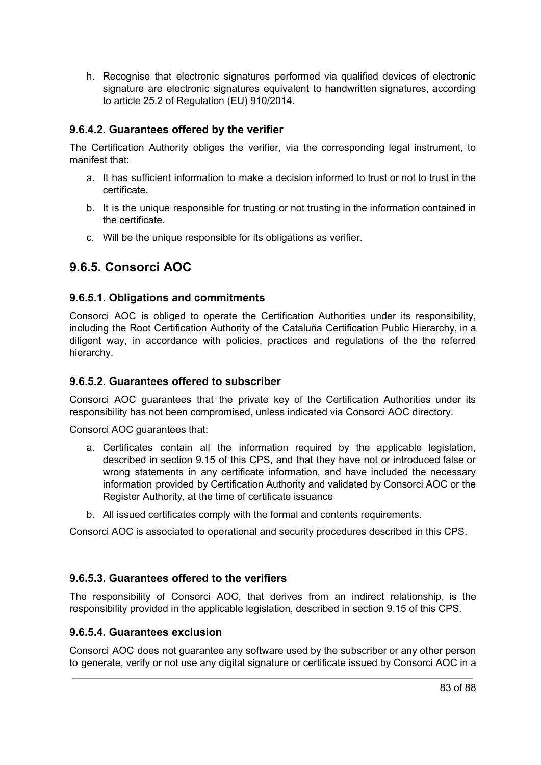h. Recognise that electronic signatures performed via qualified devices of electronic signature are electronic signatures equivalent to handwritten signatures, according to article 25.2 of Regulation (EU) 910/2014.

#### **9.6.4.2. Guarantees offered by the verifier**

The Certification Authority obliges the verifier, via the corresponding legal instrument, to manifest that:

- a. It has sufficient information to make a decision informed to trust or not to trust in the certificate.
- b. It is the unique responsible for trusting or not trusting in the information contained in the certificate.
- c. Will be the unique responsible for its obligations as verifier.

## **9.6.5. Consorci AOC**

#### **9.6.5.1. Obligations and commitments**

Consorci AOC is obliged to operate the Certification Authorities under its responsibility, including the Root Certification Authority of the Cataluña Certification Public Hierarchy, in a diligent way, in accordance with policies, practices and regulations of the the referred hierarchy.

#### **9.6.5.2. Guarantees offered to subscriber**

Consorci AOC guarantees that the private key of the Certification Authorities under its responsibility has not been compromised, unless indicated via Consorci AOC directory.

Consorci AOC guarantees that:

- a. Certificates contain all the information required by the applicable legislation, described in section 9.15 of this CPS, and that they have not or introduced false or wrong statements in any certificate information, and have included the necessary information provided by Certification Authority and validated by Consorci AOC or the Register Authority, at the time of certificate issuance
- b. All issued certificates comply with the formal and contents requirements.

Consorci AOC is associated to operational and security procedures described in this CPS.

### **9.6.5.3. Guarantees offered to the verifiers**

The responsibility of Consorci AOC, that derives from an indirect relationship, is the responsibility provided in the applicable legislation, described in section 9.15 of this CPS.

#### **9.6.5.4. Guarantees exclusion**

Consorci AOC does not guarantee any software used by the subscriber or any other person to generate, verify or not use any digital signature or certificate issued by Consorci AOC in a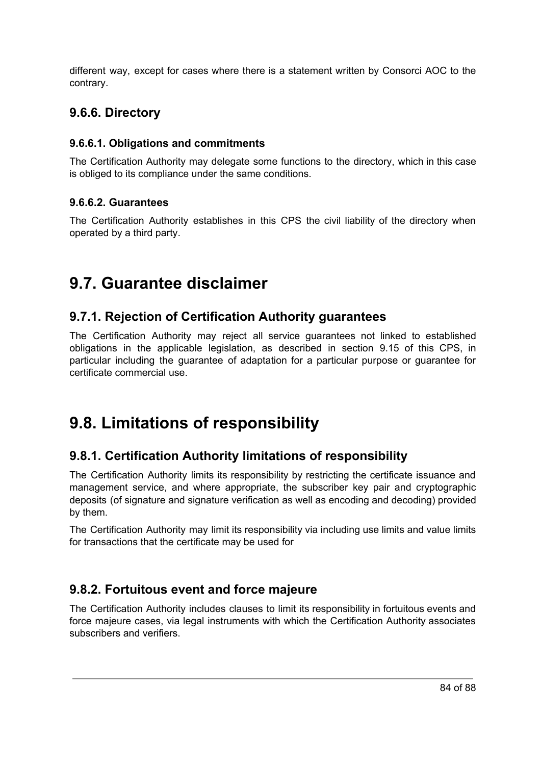different way, except for cases where there is a statement written by Consorci AOC to the contrary.

## **9.6.6. Directory**

#### **9.6.6.1. Obligations and commitments**

The Certification Authority may delegate some functions to the directory, which in this case is obliged to its compliance under the same conditions.

#### **9.6.6.2. Guarantees**

The Certification Authority establishes in this CPS the civil liability of the directory when operated by a third party.

# **9.7. Guarantee disclaimer**

## **9.7.1. Rejection of Certification Authority guarantees**

The Certification Authority may reject all service guarantees not linked to established obligations in the applicable legislation, as described in section 9.15 of this CPS, in particular including the guarantee of adaptation for a particular purpose or guarantee for certificate commercial use.

# **9.8. Limitations of responsibility**

## **9.8.1. Certification Authority limitations of responsibility**

The Certification Authority limits its responsibility by restricting the certificate issuance and management service, and where appropriate, the subscriber key pair and cryptographic deposits (of signature and signature verification as well as encoding and decoding) provided by them.

The Certification Authority may limit its responsibility via including use limits and value limits for transactions that the certificate may be used for

## **9.8.2. Fortuitous event and force majeure**

The Certification Authority includes clauses to limit its responsibility in fortuitous events and force majeure cases, via legal instruments with which the Certification Authority associates subscribers and verifiers.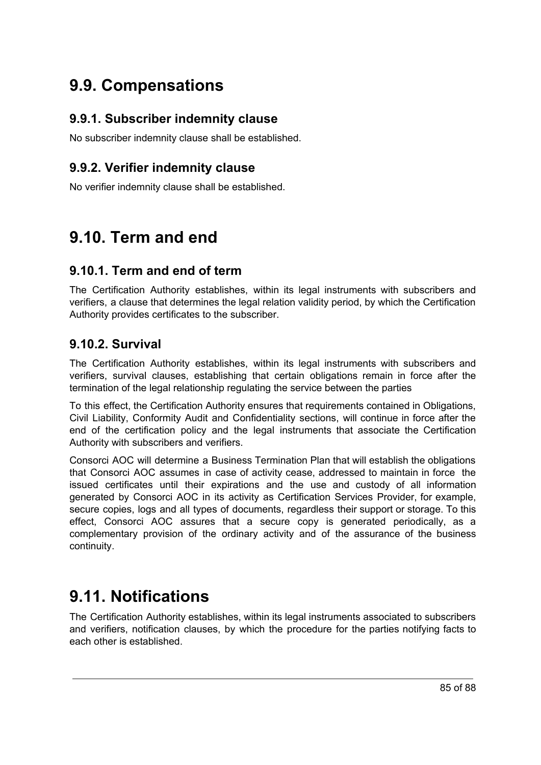# **9.9. Compensations**

## **9.9.1. Subscriber indemnity clause**

No subscriber indemnity clause shall be established.

## **9.9.2. Verifier indemnity clause**

No verifier indemnity clause shall be established.

# **9.10. Term and end**

## **9.10.1. Term and end of term**

The Certification Authority establishes, within its legal instruments with subscribers and verifiers, a clause that determines the legal relation validity period, by which the Certification Authority provides certificates to the subscriber.

## **9.10.2. Survival**

The Certification Authority establishes, within its legal instruments with subscribers and verifiers, survival clauses, establishing that certain obligations remain in force after the termination of the legal relationship regulating the service between the parties

To this effect, the Certification Authority ensures that requirements contained in Obligations, Civil Liability, Conformity Audit and Confidentiality sections, will continue in force after the end of the certification policy and the legal instruments that associate the Certification Authority with subscribers and verifiers.

Consorci AOC will determine a Business Termination Plan that will establish the obligations that Consorci AOC assumes in case of activity cease, addressed to maintain in force the issued certificates until their expirations and the use and custody of all information generated by Consorci AOC in its activity as Certification Services Provider, for example, secure copies, logs and all types of documents, regardless their support or storage. To this effect, Consorci AOC assures that a secure copy is generated periodically, as a complementary provision of the ordinary activity and of the assurance of the business continuity.

# **9.11. Notifications**

The Certification Authority establishes, within its legal instruments associated to subscribers and verifiers, notification clauses, by which the procedure for the parties notifying facts to each other is established.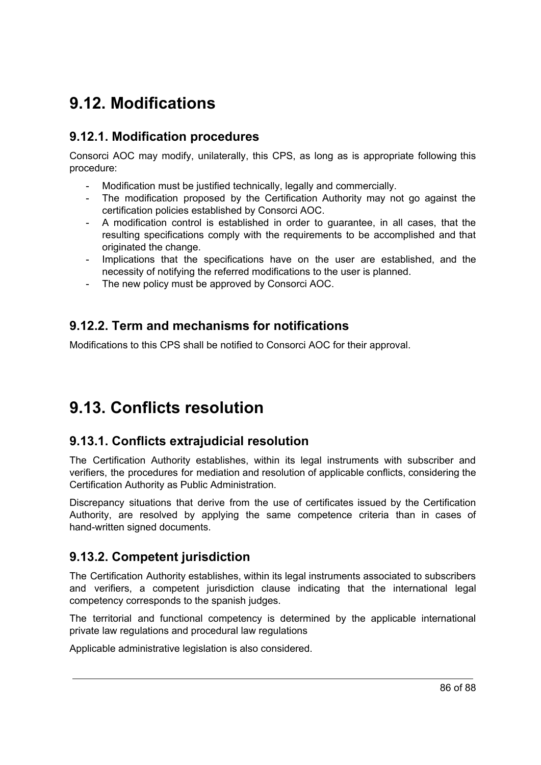# **9.12. Modifications**

### **9.12.1. Modification procedures**

Consorci AOC may modify, unilaterally, this CPS, as long as is appropriate following this procedure:

- Modification must be justified technically, legally and commercially.
- The modification proposed by the Certification Authority may not go against the certification policies established by Consorci AOC.
- A modification control is established in order to guarantee, in all cases, that the resulting specifications comply with the requirements to be accomplished and that originated the change.
- Implications that the specifications have on the user are established, and the necessity of notifying the referred modifications to the user is planned.
- The new policy must be approved by Consorci AOC.

### **9.12.2. Term and mechanisms for notifications**

Modifications to this CPS shall be notified to Consorci AOC for their approval.

# **9.13. Conflicts resolution**

### **9.13.1. Conflicts extrajudicial resolution**

The Certification Authority establishes, within its legal instruments with subscriber and verifiers, the procedures for mediation and resolution of applicable conflicts, considering the Certification Authority as Public Administration.

Discrepancy situations that derive from the use of certificates issued by the Certification Authority, are resolved by applying the same competence criteria than in cases of hand-written signed documents.

## **9.13.2. Competent jurisdiction**

The Certification Authority establishes, within its legal instruments associated to subscribers and verifiers, a competent jurisdiction clause indicating that the international legal competency corresponds to the spanish judges.

The territorial and functional competency is determined by the applicable international private law regulations and procedural law regulations

Applicable administrative legislation is also considered.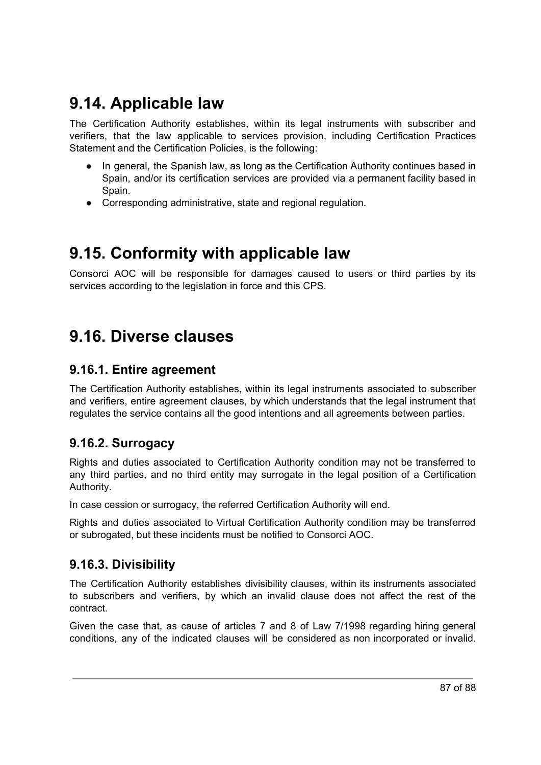# **9.14. Applicable law**

The Certification Authority establishes, within its legal instruments with subscriber and verifiers, that the law applicable to services provision, including Certification Practices Statement and the Certification Policies, is the following:

- In general, the Spanish law, as long as the Certification Authority continues based in Spain, and/or its certification services are provided via a permanent facility based in Spain.
- Corresponding administrative, state and regional regulation.

# **9.15. Conformity with applicable law**

Consorci AOC will be responsible for damages caused to users or third parties by its services according to the legislation in force and this CPS.

# **9.16. Diverse clauses**

## **9.16.1. Entire agreement**

The Certification Authority establishes, within its legal instruments associated to subscriber and verifiers, entire agreement clauses, by which understands that the legal instrument that regulates the service contains all the good intentions and all agreements between parties.

## **9.16.2. Surrogacy**

Rights and duties associated to Certification Authority condition may not be transferred to any third parties, and no third entity may surrogate in the legal position of a Certification Authority.

In case cession or surrogacy, the referred Certification Authority will end.

Rights and duties associated to Virtual Certification Authority condition may be transferred or subrogated, but these incidents must be notified to Consorci AOC.

## **9.16.3. Divisibility**

The Certification Authority establishes divisibility clauses, within its instruments associated to subscribers and verifiers, by which an invalid clause does not affect the rest of the contract.

Given the case that, as cause of articles 7 and 8 of Law 7/1998 regarding hiring general conditions, any of the indicated clauses will be considered as non incorporated or invalid.